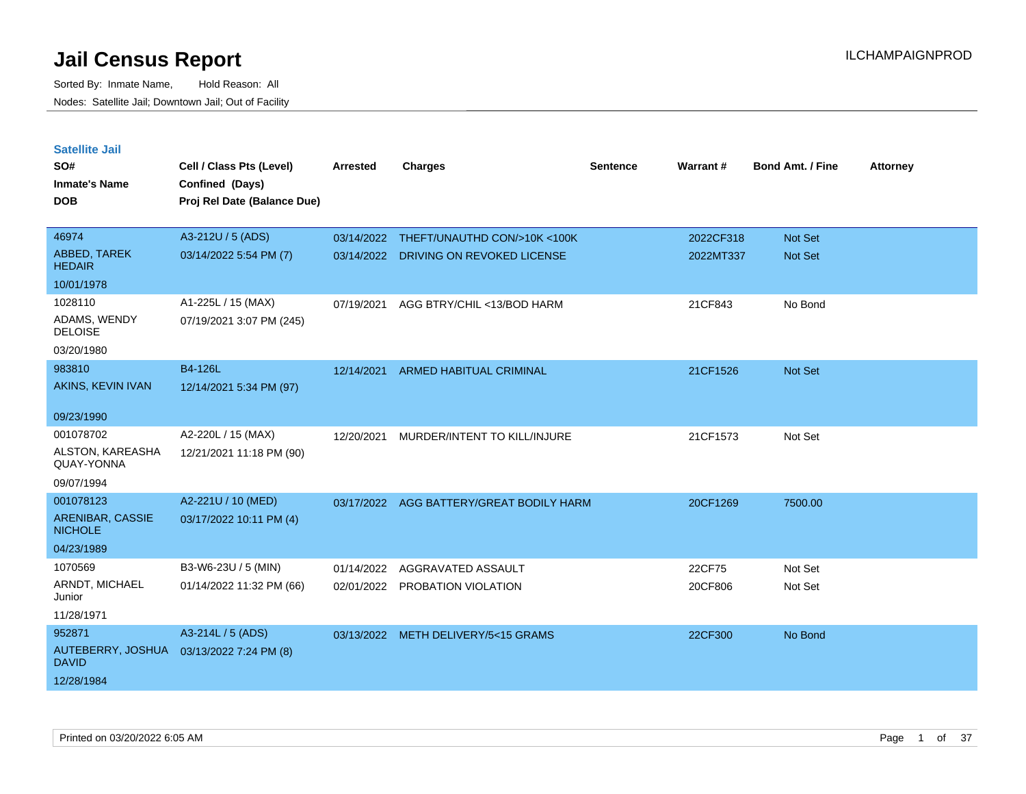| <b>Satellite Jail</b>              |                                             |            |                                       |                 |           |                         |                 |
|------------------------------------|---------------------------------------------|------------|---------------------------------------|-----------------|-----------|-------------------------|-----------------|
| SO#<br><b>Inmate's Name</b>        | Cell / Class Pts (Level)<br>Confined (Days) | Arrested   | <b>Charges</b>                        | <b>Sentence</b> | Warrant#  | <b>Bond Amt. / Fine</b> | <b>Attorney</b> |
| <b>DOB</b>                         | Proj Rel Date (Balance Due)                 |            |                                       |                 |           |                         |                 |
|                                    |                                             |            |                                       |                 |           |                         |                 |
| 46974                              | A3-212U / 5 (ADS)                           | 03/14/2022 | THEFT/UNAUTHD CON/>10K <100K          |                 | 2022CF318 | Not Set                 |                 |
| ABBED, TAREK<br><b>HEDAIR</b>      | 03/14/2022 5:54 PM (7)                      |            | 03/14/2022 DRIVING ON REVOKED LICENSE |                 | 2022MT337 | <b>Not Set</b>          |                 |
| 10/01/1978                         |                                             |            |                                       |                 |           |                         |                 |
| 1028110                            | A1-225L / 15 (MAX)                          | 07/19/2021 | AGG BTRY/CHIL <13/BOD HARM            |                 | 21CF843   | No Bond                 |                 |
| ADAMS, WENDY<br><b>DELOISE</b>     | 07/19/2021 3:07 PM (245)                    |            |                                       |                 |           |                         |                 |
| 03/20/1980                         |                                             |            |                                       |                 |           |                         |                 |
| 983810                             | B4-126L                                     | 12/14/2021 | <b>ARMED HABITUAL CRIMINAL</b>        |                 | 21CF1526  | Not Set                 |                 |
| AKINS, KEVIN IVAN                  | 12/14/2021 5:34 PM (97)                     |            |                                       |                 |           |                         |                 |
| 09/23/1990                         |                                             |            |                                       |                 |           |                         |                 |
| 001078702                          | A2-220L / 15 (MAX)                          | 12/20/2021 | MURDER/INTENT TO KILL/INJURE          |                 | 21CF1573  | Not Set                 |                 |
| ALSTON, KAREASHA<br>QUAY-YONNA     | 12/21/2021 11:18 PM (90)                    |            |                                       |                 |           |                         |                 |
| 09/07/1994                         |                                             |            |                                       |                 |           |                         |                 |
| 001078123                          | A2-221U / 10 (MED)                          | 03/17/2022 | AGG BATTERY/GREAT BODILY HARM         |                 | 20CF1269  | 7500.00                 |                 |
| ARENIBAR, CASSIE<br><b>NICHOLE</b> | 03/17/2022 10:11 PM (4)                     |            |                                       |                 |           |                         |                 |
| 04/23/1989                         |                                             |            |                                       |                 |           |                         |                 |
| 1070569                            | B3-W6-23U / 5 (MIN)                         | 01/14/2022 | AGGRAVATED ASSAULT                    |                 | 22CF75    | Not Set                 |                 |
| ARNDT, MICHAEL<br>Junior           | 01/14/2022 11:32 PM (66)                    |            | 02/01/2022 PROBATION VIOLATION        |                 | 20CF806   | Not Set                 |                 |
| 11/28/1971                         |                                             |            |                                       |                 |           |                         |                 |
| 952871                             | A3-214L / 5 (ADS)                           |            | 03/13/2022 METH DELIVERY/5<15 GRAMS   |                 | 22CF300   | No Bond                 |                 |
| AUTEBERRY, JOSHUA<br><b>DAVID</b>  | 03/13/2022 7:24 PM (8)                      |            |                                       |                 |           |                         |                 |
| 12/28/1984                         |                                             |            |                                       |                 |           |                         |                 |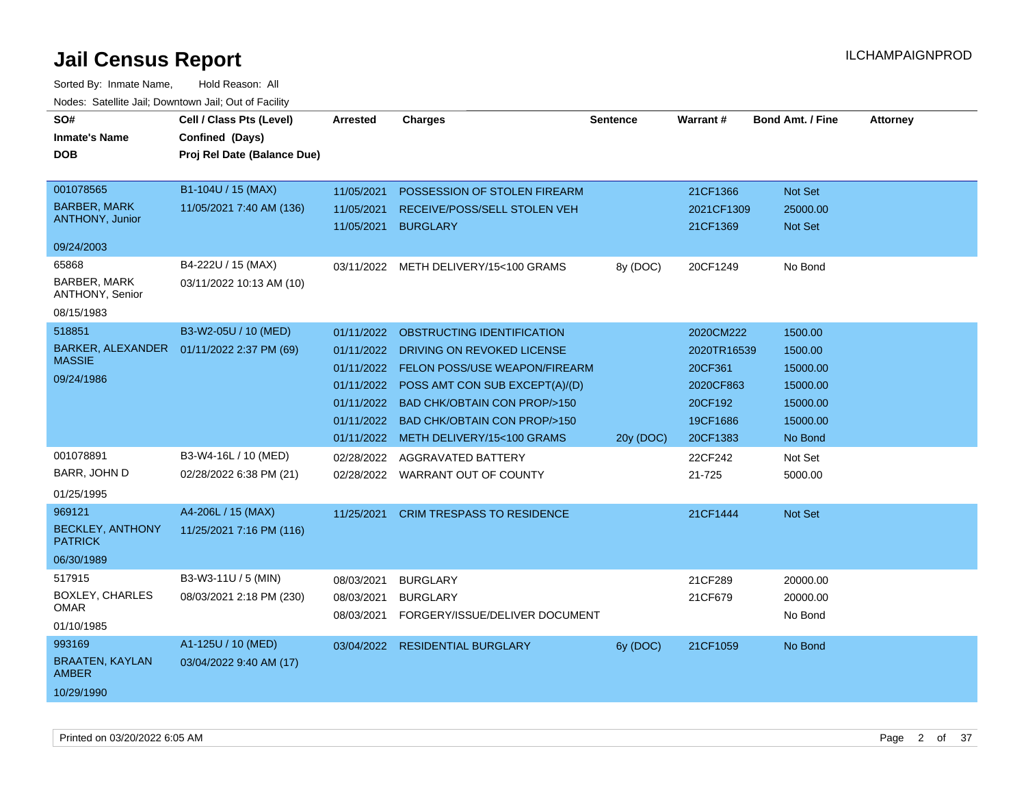| SO#<br><b>Inmate's Name</b><br><b>DOB</b><br>001078565<br><b>BARBER, MARK</b><br><b>ANTHONY, Junior</b><br>09/24/2003 | Cell / Class Pts (Level)<br>Confined (Days)<br>Proj Rel Date (Balance Due)<br>B1-104U / 15 (MAX)<br>11/05/2021 7:40 AM (136) | Arrested<br>11/05/2021<br>11/05/2021<br>11/05/2021                                             | <b>Charges</b><br>POSSESSION OF STOLEN FIREARM<br>RECEIVE/POSS/SELL STOLEN VEH<br><b>BURGLARY</b>                                                                                                                                             | <b>Sentence</b> | <b>Warrant#</b><br>21CF1366<br>2021CF1309<br>21CF1369                               | <b>Bond Amt. / Fine</b><br>Not Set<br>25000.00<br><b>Not Set</b>              | <b>Attorney</b> |
|-----------------------------------------------------------------------------------------------------------------------|------------------------------------------------------------------------------------------------------------------------------|------------------------------------------------------------------------------------------------|-----------------------------------------------------------------------------------------------------------------------------------------------------------------------------------------------------------------------------------------------|-----------------|-------------------------------------------------------------------------------------|-------------------------------------------------------------------------------|-----------------|
| 65868<br><b>BARBER, MARK</b><br>ANTHONY, Senior<br>08/15/1983                                                         | B4-222U / 15 (MAX)<br>03/11/2022 10:13 AM (10)                                                                               |                                                                                                | 03/11/2022 METH DELIVERY/15<100 GRAMS                                                                                                                                                                                                         | 8y (DOC)        | 20CF1249                                                                            | No Bond                                                                       |                 |
| 518851<br>BARKER, ALEXANDER<br><b>MASSIE</b><br>09/24/1986                                                            | B3-W2-05U / 10 (MED)<br>01/11/2022 2:37 PM (69)                                                                              | 01/11/2022<br>01/11/2022<br>01/11/2022<br>01/11/2022<br>01/11/2022<br>01/11/2022<br>01/11/2022 | OBSTRUCTING IDENTIFICATION<br>DRIVING ON REVOKED LICENSE<br>FELON POSS/USE WEAPON/FIREARM<br>POSS AMT CON SUB EXCEPT(A)/(D)<br><b>BAD CHK/OBTAIN CON PROP/&gt;150</b><br><b>BAD CHK/OBTAIN CON PROP/&gt;150</b><br>METH DELIVERY/15<100 GRAMS | 20y (DOC)       | 2020CM222<br>2020TR16539<br>20CF361<br>2020CF863<br>20CF192<br>19CF1686<br>20CF1383 | 1500.00<br>1500.00<br>15000.00<br>15000.00<br>15000.00<br>15000.00<br>No Bond |                 |
| 001078891<br>BARR, JOHN D<br>01/25/1995                                                                               | B3-W4-16L / 10 (MED)<br>02/28/2022 6:38 PM (21)                                                                              | 02/28/2022                                                                                     | AGGRAVATED BATTERY<br>02/28/2022 WARRANT OUT OF COUNTY                                                                                                                                                                                        |                 | 22CF242<br>21-725                                                                   | Not Set<br>5000.00                                                            |                 |
| 969121<br><b>BECKLEY, ANTHONY</b><br><b>PATRICK</b><br>06/30/1989                                                     | A4-206L / 15 (MAX)<br>11/25/2021 7:16 PM (116)                                                                               | 11/25/2021                                                                                     | <b>CRIM TRESPASS TO RESIDENCE</b>                                                                                                                                                                                                             |                 | 21CF1444                                                                            | Not Set                                                                       |                 |
| 517915<br><b>BOXLEY, CHARLES</b><br>OMAR<br>01/10/1985                                                                | B3-W3-11U / 5 (MIN)<br>08/03/2021 2:18 PM (230)                                                                              | 08/03/2021<br>08/03/2021<br>08/03/2021                                                         | <b>BURGLARY</b><br><b>BURGLARY</b><br>FORGERY/ISSUE/DELIVER DOCUMENT                                                                                                                                                                          |                 | 21CF289<br>21CF679                                                                  | 20000.00<br>20000.00<br>No Bond                                               |                 |
| 993169<br><b>BRAATEN, KAYLAN</b><br><b>AMBER</b><br>10/29/1990                                                        | A1-125U / 10 (MED)<br>03/04/2022 9:40 AM (17)                                                                                | 03/04/2022                                                                                     | <b>RESIDENTIAL BURGLARY</b>                                                                                                                                                                                                                   | 6y (DOC)        | 21CF1059                                                                            | No Bond                                                                       |                 |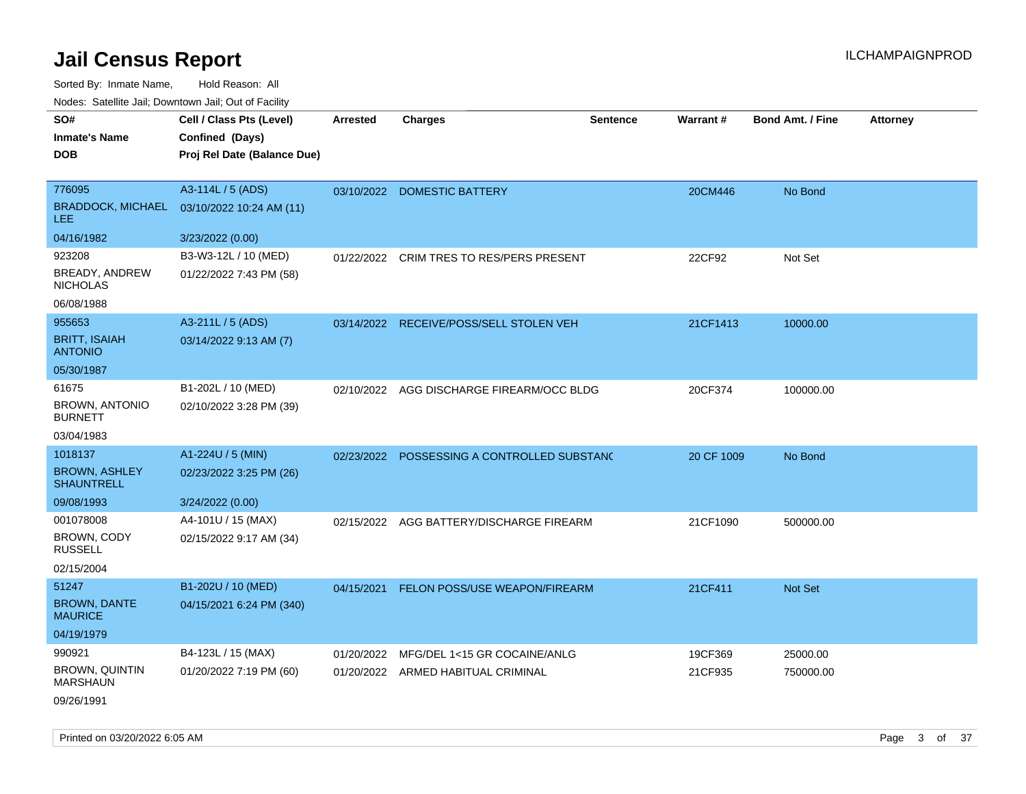| SO#<br><b>Inmate's Name</b><br><b>DOB</b>                                    | Cell / Class Pts (Level)<br>Confined (Days)<br>Proj Rel Date (Balance Due) | <b>Arrested</b> | <b>Charges</b>                                                     | Sentence | <b>Warrant#</b>    | <b>Bond Amt. / Fine</b> | <b>Attorney</b> |
|------------------------------------------------------------------------------|----------------------------------------------------------------------------|-----------------|--------------------------------------------------------------------|----------|--------------------|-------------------------|-----------------|
| 776095<br><b>BRADDOCK, MICHAEL</b><br><b>LEE</b>                             | A3-114L / 5 (ADS)<br>03/10/2022 10:24 AM (11)                              | 03/10/2022      | <b>DOMESTIC BATTERY</b>                                            |          | 20CM446            | No Bond                 |                 |
| 04/16/1982<br>923208<br>BREADY, ANDREW<br><b>NICHOLAS</b><br>06/08/1988      | 3/23/2022 (0.00)<br>B3-W3-12L / 10 (MED)<br>01/22/2022 7:43 PM (58)        | 01/22/2022      | CRIM TRES TO RES/PERS PRESENT                                      |          | 22CF92             | Not Set                 |                 |
| 955653<br><b>BRITT, ISAIAH</b><br><b>ANTONIO</b>                             | A3-211L / 5 (ADS)<br>03/14/2022 9:13 AM (7)                                |                 | 03/14/2022 RECEIVE/POSS/SELL STOLEN VEH                            |          | 21CF1413           | 10000.00                |                 |
| 05/30/1987<br>61675<br><b>BROWN, ANTONIO</b><br><b>BURNETT</b><br>03/04/1983 | B1-202L / 10 (MED)<br>02/10/2022 3:28 PM (39)                              | 02/10/2022      | AGG DISCHARGE FIREARM/OCC BLDG                                     |          | 20CF374            | 100000.00               |                 |
| 1018137<br><b>BROWN, ASHLEY</b><br><b>SHAUNTRELL</b><br>09/08/1993           | A1-224U / 5 (MIN)<br>02/23/2022 3:25 PM (26)<br>3/24/2022 (0.00)           | 02/23/2022      | POSSESSING A CONTROLLED SUBSTANC                                   |          | 20 CF 1009         | No Bond                 |                 |
| 001078008<br>BROWN, CODY<br><b>RUSSELL</b><br>02/15/2004                     | A4-101U / 15 (MAX)<br>02/15/2022 9:17 AM (34)                              | 02/15/2022      | AGG BATTERY/DISCHARGE FIREARM                                      |          | 21CF1090           | 500000.00               |                 |
| 51247<br><b>BROWN, DANTE</b><br><b>MAURICE</b><br>04/19/1979                 | B1-202U / 10 (MED)<br>04/15/2021 6:24 PM (340)                             |                 | 04/15/2021 FELON POSS/USE WEAPON/FIREARM                           |          | 21CF411            | Not Set                 |                 |
| 990921<br><b>BROWN, QUINTIN</b><br><b>MARSHAUN</b><br>09/26/1991             | B4-123L / 15 (MAX)<br>01/20/2022 7:19 PM (60)                              | 01/20/2022      | MFG/DEL 1<15 GR COCAINE/ANLG<br>01/20/2022 ARMED HABITUAL CRIMINAL |          | 19CF369<br>21CF935 | 25000.00<br>750000.00   |                 |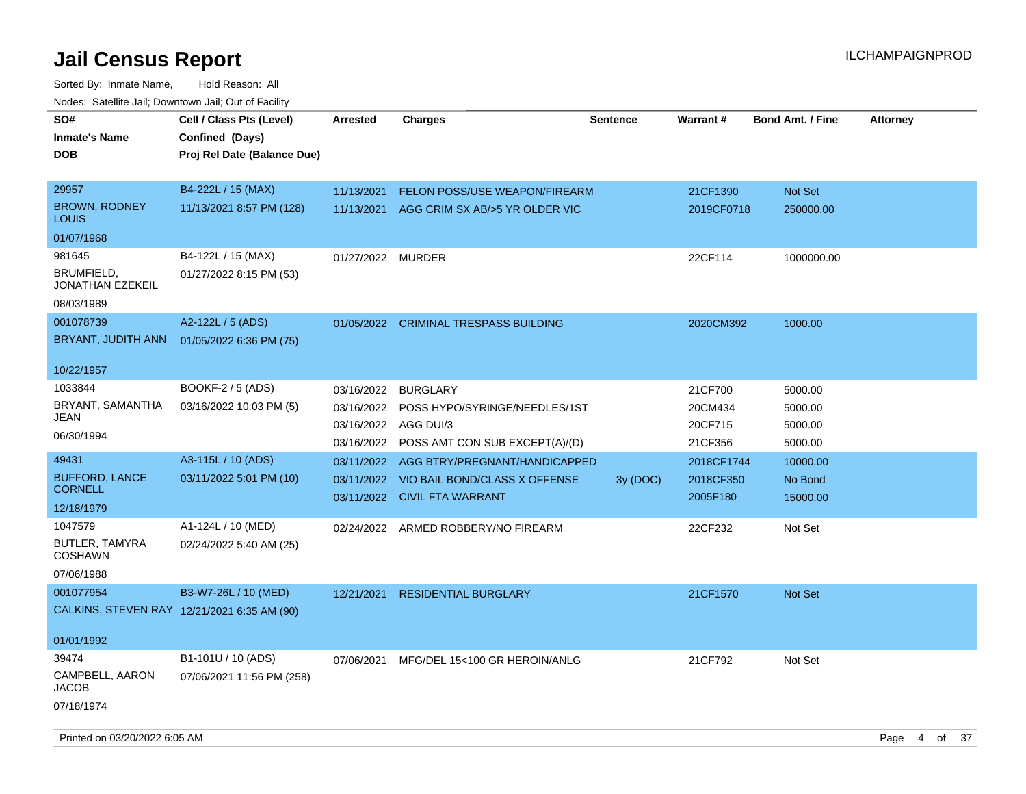| SO#<br><b>Inmate's Name</b><br><b>DOB</b>              | Cell / Class Pts (Level)<br>Confined (Days)<br>Proj Rel Date (Balance Due) | <b>Arrested</b>                                      | <b>Charges</b>                                                                                  | <b>Sentence</b> | <b>Warrant#</b>                          | <b>Bond Amt. / Fine</b>                  | <b>Attorney</b> |    |      |
|--------------------------------------------------------|----------------------------------------------------------------------------|------------------------------------------------------|-------------------------------------------------------------------------------------------------|-----------------|------------------------------------------|------------------------------------------|-----------------|----|------|
| 29957<br>BROWN, RODNEY<br>LOUIS                        | B4-222L / 15 (MAX)<br>11/13/2021 8:57 PM (128)                             | 11/13/2021<br>11/13/2021                             | FELON POSS/USE WEAPON/FIREARM<br>AGG CRIM SX AB/>5 YR OLDER VIC                                 |                 | 21CF1390<br>2019CF0718                   | Not Set<br>250000.00                     |                 |    |      |
| 01/07/1968                                             |                                                                            |                                                      |                                                                                                 |                 |                                          |                                          |                 |    |      |
| 981645<br>BRUMFIELD,<br>JONATHAN EZEKEIL               | B4-122L / 15 (MAX)<br>01/27/2022 8:15 PM (53)                              | 01/27/2022 MURDER                                    |                                                                                                 |                 | 22CF114                                  | 1000000.00                               |                 |    |      |
| 08/03/1989                                             |                                                                            |                                                      |                                                                                                 |                 |                                          |                                          |                 |    |      |
| 001078739<br>BRYANT, JUDITH ANN                        | A2-122L / 5 (ADS)<br>01/05/2022 6:36 PM (75)                               |                                                      | 01/05/2022 CRIMINAL TRESPASS BUILDING                                                           |                 | 2020CM392                                | 1000.00                                  |                 |    |      |
| 10/22/1957                                             |                                                                            |                                                      |                                                                                                 |                 |                                          |                                          |                 |    |      |
| 1033844<br>BRYANT, SAMANTHA<br>JEAN<br>06/30/1994      | BOOKF-2 / 5 (ADS)<br>03/16/2022 10:03 PM (5)                               | 03/16/2022<br>03/16/2022<br>03/16/2022<br>03/16/2022 | <b>BURGLARY</b><br>POSS HYPO/SYRINGE/NEEDLES/1ST<br>AGG DUI/3<br>POSS AMT CON SUB EXCEPT(A)/(D) |                 | 21CF700<br>20CM434<br>20CF715<br>21CF356 | 5000.00<br>5000.00<br>5000.00<br>5000.00 |                 |    |      |
| 49431                                                  | A3-115L / 10 (ADS)                                                         |                                                      | 03/11/2022 AGG BTRY/PREGNANT/HANDICAPPED                                                        |                 | 2018CF1744                               | 10000.00                                 |                 |    |      |
| <b>BUFFORD, LANCE</b><br><b>CORNELL</b>                | 03/11/2022 5:01 PM (10)                                                    |                                                      | 03/11/2022 VIO BAIL BOND/CLASS X OFFENSE<br>03/11/2022 CIVIL FTA WARRANT                        | 3y(DOC)         | 2018CF350<br>2005F180                    | No Bond<br>15000.00                      |                 |    |      |
| 12/18/1979                                             |                                                                            |                                                      |                                                                                                 |                 |                                          |                                          |                 |    |      |
| 1047579<br>BUTLER, TAMYRA<br><b>COSHAWN</b>            | A1-124L / 10 (MED)<br>02/24/2022 5:40 AM (25)                              |                                                      | 02/24/2022 ARMED ROBBERY/NO FIREARM                                                             |                 | 22CF232                                  | Not Set                                  |                 |    |      |
| 07/06/1988                                             |                                                                            |                                                      |                                                                                                 |                 |                                          |                                          |                 |    |      |
| 001077954                                              | B3-W7-26L / 10 (MED)<br>CALKINS, STEVEN RAY 12/21/2021 6:35 AM (90)        | 12/21/2021                                           | <b>RESIDENTIAL BURGLARY</b>                                                                     |                 | 21CF1570                                 | <b>Not Set</b>                           |                 |    |      |
| 01/01/1992                                             |                                                                            |                                                      |                                                                                                 |                 |                                          |                                          |                 |    |      |
| 39474<br>CAMPBELL, AARON<br><b>JACOB</b><br>07/18/1974 | B1-101U / 10 (ADS)<br>07/06/2021 11:56 PM (258)                            | 07/06/2021                                           | MFG/DEL 15<100 GR HEROIN/ANLG                                                                   |                 | 21CF792                                  | Not Set                                  |                 |    |      |
| Printed on 03/20/2022 6:05 AM                          |                                                                            |                                                      |                                                                                                 |                 |                                          |                                          | Page<br>4       | of | - 37 |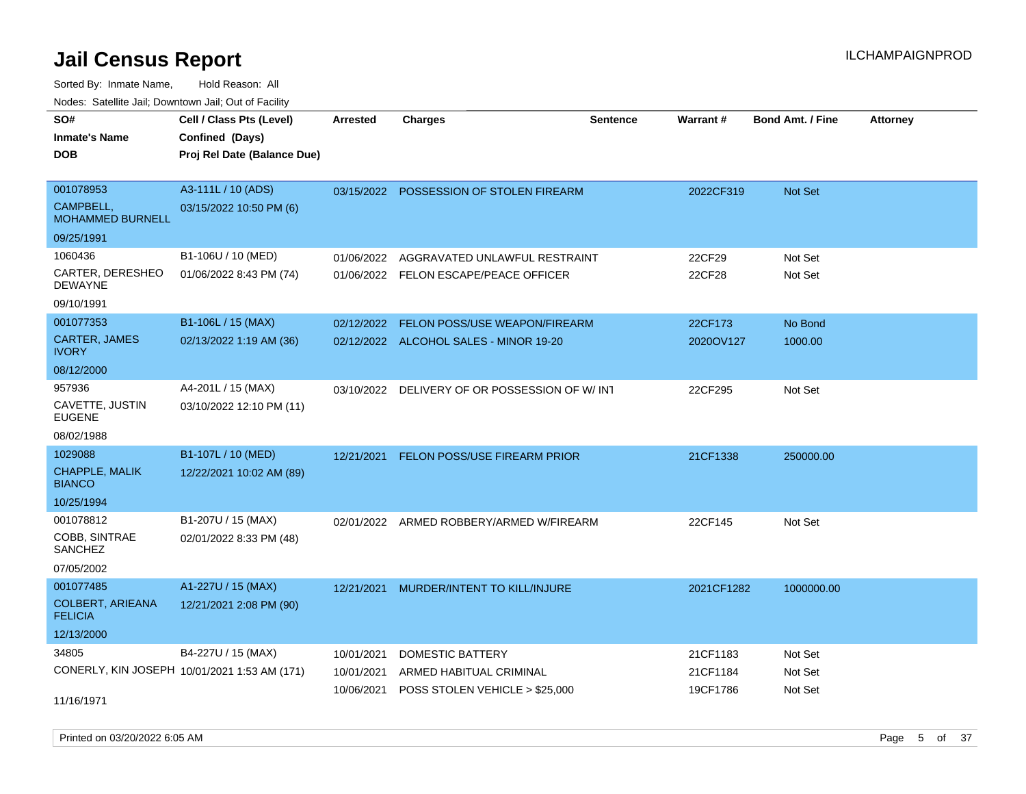Sorted By: Inmate Name, Hold Reason: All Nodes: Satellite Jail; Downtown Jail; Out of Facility

| SO#                                       | Cell / Class Pts (Level)                     | <b>Arrested</b> | <b>Charges</b>                           | <b>Sentence</b> | Warrant#   | <b>Bond Amt. / Fine</b> | <b>Attorney</b> |
|-------------------------------------------|----------------------------------------------|-----------------|------------------------------------------|-----------------|------------|-------------------------|-----------------|
| <b>Inmate's Name</b>                      | Confined (Days)                              |                 |                                          |                 |            |                         |                 |
| <b>DOB</b>                                | Proj Rel Date (Balance Due)                  |                 |                                          |                 |            |                         |                 |
| 001078953                                 | A3-111L / 10 (ADS)                           |                 |                                          |                 |            |                         |                 |
| CAMPBELL.                                 | 03/15/2022 10:50 PM (6)                      |                 | 03/15/2022 POSSESSION OF STOLEN FIREARM  |                 | 2022CF319  | Not Set                 |                 |
| <b>MOHAMMED BURNELL</b>                   |                                              |                 |                                          |                 |            |                         |                 |
| 09/25/1991                                |                                              |                 |                                          |                 |            |                         |                 |
| 1060436                                   | B1-106U / 10 (MED)                           | 01/06/2022      | AGGRAVATED UNLAWFUL RESTRAINT            |                 | 22CF29     | Not Set                 |                 |
| CARTER, DERESHEO<br><b>DEWAYNE</b>        | 01/06/2022 8:43 PM (74)                      |                 | 01/06/2022 FELON ESCAPE/PEACE OFFICER    |                 | 22CF28     | Not Set                 |                 |
| 09/10/1991                                |                                              |                 |                                          |                 |            |                         |                 |
| 001077353                                 | B1-106L / 15 (MAX)                           |                 | 02/12/2022 FELON POSS/USE WEAPON/FIREARM |                 | 22CF173    | No Bond                 |                 |
| CARTER, JAMES<br><b>IVORY</b>             | 02/13/2022 1:19 AM (36)                      |                 | 02/12/2022 ALCOHOL SALES - MINOR 19-20   |                 | 2020OV127  | 1000.00                 |                 |
| 08/12/2000                                |                                              |                 |                                          |                 |            |                         |                 |
| 957936                                    | A4-201L / 15 (MAX)                           | 03/10/2022      | DELIVERY OF OR POSSESSION OF W/ INT      |                 | 22CF295    | Not Set                 |                 |
| CAVETTE, JUSTIN<br><b>EUGENE</b>          | 03/10/2022 12:10 PM (11)                     |                 |                                          |                 |            |                         |                 |
| 08/02/1988                                |                                              |                 |                                          |                 |            |                         |                 |
| 1029088                                   | B1-107L / 10 (MED)                           | 12/21/2021      | <b>FELON POSS/USE FIREARM PRIOR</b>      |                 | 21CF1338   | 250000.00               |                 |
| <b>CHAPPLE, MALIK</b><br><b>BIANCO</b>    | 12/22/2021 10:02 AM (89)                     |                 |                                          |                 |            |                         |                 |
| 10/25/1994                                |                                              |                 |                                          |                 |            |                         |                 |
| 001078812                                 | B1-207U / 15 (MAX)                           |                 | 02/01/2022 ARMED ROBBERY/ARMED W/FIREARM |                 | 22CF145    | Not Set                 |                 |
| COBB, SINTRAE<br><b>SANCHEZ</b>           | 02/01/2022 8:33 PM (48)                      |                 |                                          |                 |            |                         |                 |
| 07/05/2002                                |                                              |                 |                                          |                 |            |                         |                 |
| 001077485                                 | A1-227U / 15 (MAX)                           | 12/21/2021      | <b>MURDER/INTENT TO KILL/INJURE</b>      |                 | 2021CF1282 | 1000000.00              |                 |
| <b>COLBERT, ARIEANA</b><br><b>FELICIA</b> | 12/21/2021 2:08 PM (90)                      |                 |                                          |                 |            |                         |                 |
| 12/13/2000                                |                                              |                 |                                          |                 |            |                         |                 |
| 34805                                     | B4-227U / 15 (MAX)                           | 10/01/2021      | <b>DOMESTIC BATTERY</b>                  |                 | 21CF1183   | Not Set                 |                 |
|                                           | CONERLY, KIN JOSEPH 10/01/2021 1:53 AM (171) | 10/01/2021      | ARMED HABITUAL CRIMINAL                  |                 | 21CF1184   | Not Set                 |                 |
| 11/16/1971                                |                                              | 10/06/2021      | POSS STOLEN VEHICLE > \$25,000           |                 | 19CF1786   | Not Set                 |                 |

Printed on 03/20/2022 6:05 AM Page 5 of 37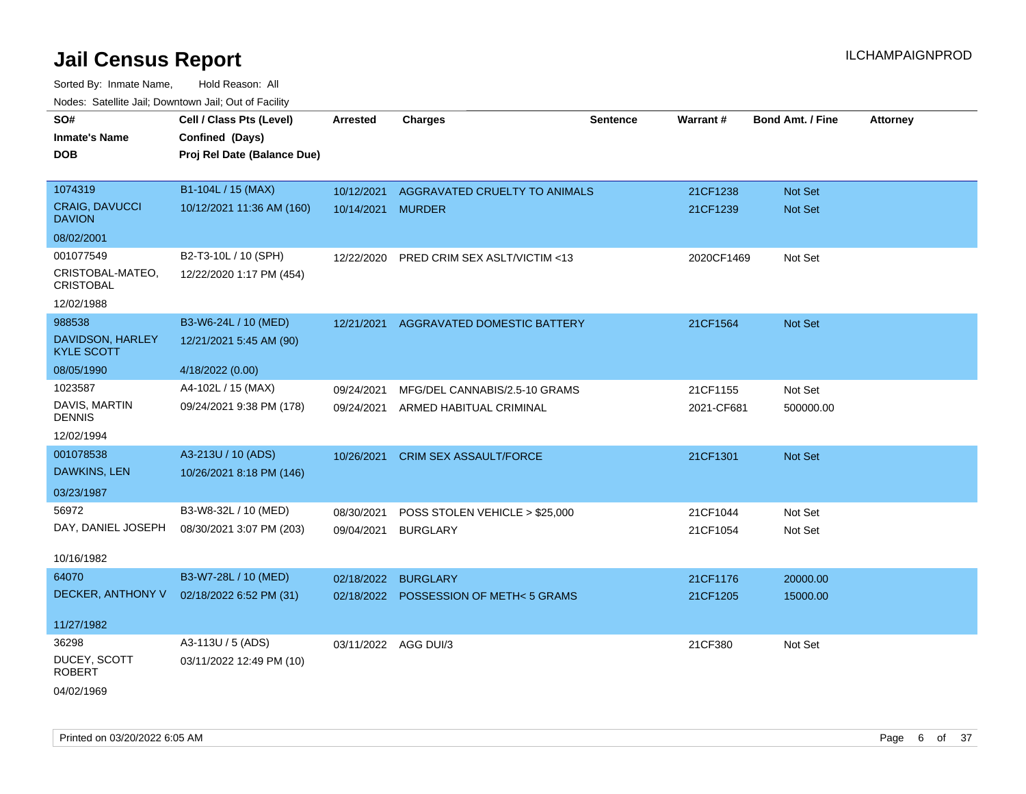Sorted By: Inmate Name, Hold Reason: All Nodes: Satellite Jail; Downtown Jail; Out of Facility

| SO#                                    | Cell / Class Pts (Level)    | <b>Arrested</b>      | <b>Charges</b>                        | <b>Sentence</b> | Warrant#   | <b>Bond Amt. / Fine</b> | <b>Attorney</b> |
|----------------------------------------|-----------------------------|----------------------|---------------------------------------|-----------------|------------|-------------------------|-----------------|
| <b>Inmate's Name</b>                   | Confined (Days)             |                      |                                       |                 |            |                         |                 |
| <b>DOB</b>                             | Proj Rel Date (Balance Due) |                      |                                       |                 |            |                         |                 |
|                                        |                             |                      |                                       |                 |            |                         |                 |
| 1074319                                | B1-104L / 15 (MAX)          | 10/12/2021           | AGGRAVATED CRUELTY TO ANIMALS         |                 | 21CF1238   | Not Set                 |                 |
| <b>CRAIG, DAVUCCI</b><br><b>DAVION</b> | 10/12/2021 11:36 AM (160)   | 10/14/2021 MURDER    |                                       |                 | 21CF1239   | Not Set                 |                 |
| 08/02/2001                             |                             |                      |                                       |                 |            |                         |                 |
| 001077549                              | B2-T3-10L / 10 (SPH)        | 12/22/2020           | PRED CRIM SEX ASLT/VICTIM <13         |                 | 2020CF1469 | Not Set                 |                 |
| CRISTOBAL-MATEO,<br><b>CRISTOBAL</b>   | 12/22/2020 1:17 PM (454)    |                      |                                       |                 |            |                         |                 |
| 12/02/1988                             |                             |                      |                                       |                 |            |                         |                 |
| 988538                                 | B3-W6-24L / 10 (MED)        | 12/21/2021           | AGGRAVATED DOMESTIC BATTERY           |                 | 21CF1564   | Not Set                 |                 |
| DAVIDSON, HARLEY<br><b>KYLE SCOTT</b>  | 12/21/2021 5:45 AM (90)     |                      |                                       |                 |            |                         |                 |
| 08/05/1990                             | 4/18/2022 (0.00)            |                      |                                       |                 |            |                         |                 |
| 1023587                                | A4-102L / 15 (MAX)          | 09/24/2021           | MFG/DEL CANNABIS/2.5-10 GRAMS         |                 | 21CF1155   | Not Set                 |                 |
| DAVIS, MARTIN<br><b>DENNIS</b>         | 09/24/2021 9:38 PM (178)    | 09/24/2021           | ARMED HABITUAL CRIMINAL               |                 | 2021-CF681 | 500000.00               |                 |
| 12/02/1994                             |                             |                      |                                       |                 |            |                         |                 |
| 001078538                              | A3-213U / 10 (ADS)          | 10/26/2021           | <b>CRIM SEX ASSAULT/FORCE</b>         |                 | 21CF1301   | Not Set                 |                 |
| DAWKINS, LEN                           | 10/26/2021 8:18 PM (146)    |                      |                                       |                 |            |                         |                 |
| 03/23/1987                             |                             |                      |                                       |                 |            |                         |                 |
| 56972                                  | B3-W8-32L / 10 (MED)        | 08/30/2021           | POSS STOLEN VEHICLE > \$25,000        |                 | 21CF1044   | Not Set                 |                 |
| DAY, DANIEL JOSEPH                     | 08/30/2021 3:07 PM (203)    | 09/04/2021           | <b>BURGLARY</b>                       |                 | 21CF1054   | Not Set                 |                 |
|                                        |                             |                      |                                       |                 |            |                         |                 |
| 10/16/1982                             |                             |                      |                                       |                 |            |                         |                 |
| 64070                                  | B3-W7-28L / 10 (MED)        | 02/18/2022           | <b>BURGLARY</b>                       |                 | 21CF1176   | 20000.00                |                 |
| DECKER, ANTHONY V                      | 02/18/2022 6:52 PM (31)     |                      | 02/18/2022 POSSESSION OF METH<5 GRAMS |                 | 21CF1205   | 15000.00                |                 |
| 11/27/1982                             |                             |                      |                                       |                 |            |                         |                 |
| 36298                                  | A3-113U / 5 (ADS)           | 03/11/2022 AGG DUI/3 |                                       |                 | 21CF380    | Not Set                 |                 |
| DUCEY, SCOTT<br><b>ROBERT</b>          | 03/11/2022 12:49 PM (10)    |                      |                                       |                 |            |                         |                 |
|                                        |                             |                      |                                       |                 |            |                         |                 |

04/02/1969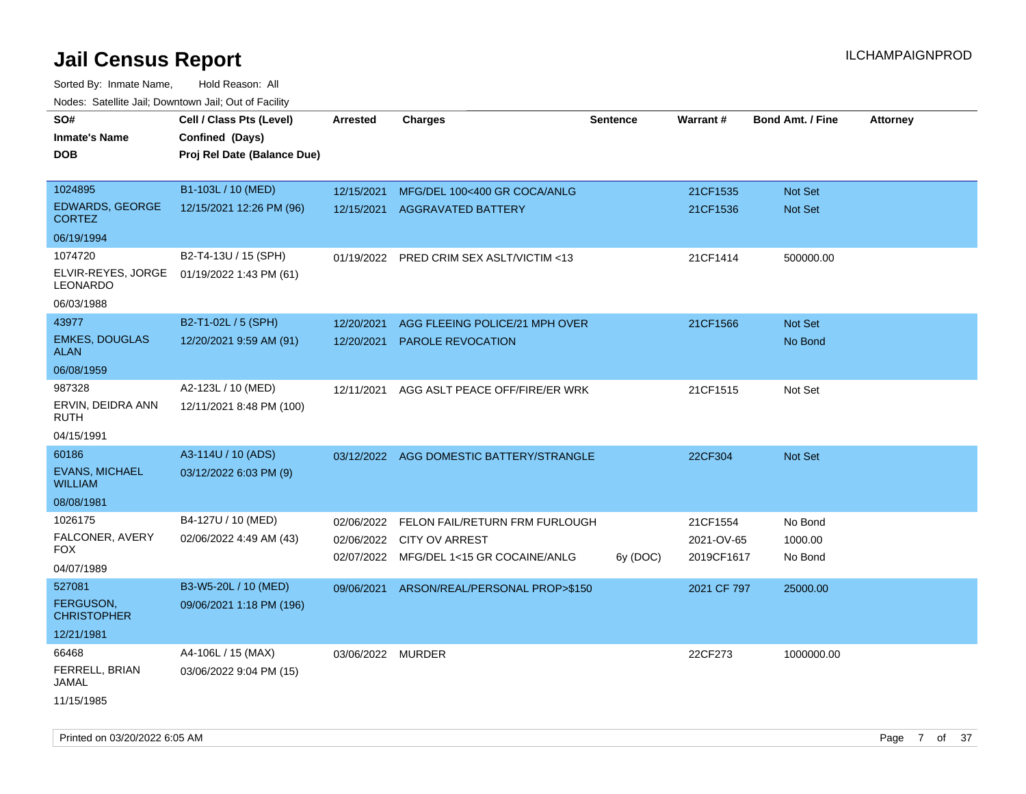| <b>Noute:</b> Catoline Jan, Downtown Jan, Out of Fability |                             |                   |                                          |                 |             |                         |                 |
|-----------------------------------------------------------|-----------------------------|-------------------|------------------------------------------|-----------------|-------------|-------------------------|-----------------|
| SO#                                                       | Cell / Class Pts (Level)    | <b>Arrested</b>   | <b>Charges</b>                           | <b>Sentence</b> | Warrant#    | <b>Bond Amt. / Fine</b> | <b>Attorney</b> |
| <b>Inmate's Name</b>                                      | Confined (Days)             |                   |                                          |                 |             |                         |                 |
| <b>DOB</b>                                                | Proj Rel Date (Balance Due) |                   |                                          |                 |             |                         |                 |
|                                                           |                             |                   |                                          |                 |             |                         |                 |
| 1024895                                                   | B1-103L / 10 (MED)          | 12/15/2021        | MFG/DEL 100<400 GR COCA/ANLG             |                 | 21CF1535    | Not Set                 |                 |
| <b>EDWARDS, GEORGE</b><br><b>CORTEZ</b>                   | 12/15/2021 12:26 PM (96)    | 12/15/2021        | <b>AGGRAVATED BATTERY</b>                |                 | 21CF1536    | <b>Not Set</b>          |                 |
| 06/19/1994                                                |                             |                   |                                          |                 |             |                         |                 |
| 1074720                                                   | B2-T4-13U / 15 (SPH)        | 01/19/2022        | PRED CRIM SEX ASLT/VICTIM <13            |                 | 21CF1414    | 500000.00               |                 |
| ELVIR-REYES, JORGE<br>LEONARDO                            | 01/19/2022 1:43 PM (61)     |                   |                                          |                 |             |                         |                 |
| 06/03/1988                                                |                             |                   |                                          |                 |             |                         |                 |
| 43977                                                     | B2-T1-02L / 5 (SPH)         | 12/20/2021        | AGG FLEEING POLICE/21 MPH OVER           |                 | 21CF1566    | Not Set                 |                 |
| <b>EMKES, DOUGLAS</b><br><b>ALAN</b>                      | 12/20/2021 9:59 AM (91)     | 12/20/2021        | PAROLE REVOCATION                        |                 |             | No Bond                 |                 |
| 06/08/1959                                                |                             |                   |                                          |                 |             |                         |                 |
| 987328                                                    | A2-123L / 10 (MED)          | 12/11/2021        | AGG ASLT PEACE OFF/FIRE/ER WRK           |                 | 21CF1515    | Not Set                 |                 |
| ERVIN, DEIDRA ANN<br><b>RUTH</b>                          | 12/11/2021 8:48 PM (100)    |                   |                                          |                 |             |                         |                 |
| 04/15/1991                                                |                             |                   |                                          |                 |             |                         |                 |
| 60186                                                     | A3-114U / 10 (ADS)          |                   | 03/12/2022 AGG DOMESTIC BATTERY/STRANGLE |                 | 22CF304     | Not Set                 |                 |
| <b>EVANS, MICHAEL</b><br><b>WILLIAM</b>                   | 03/12/2022 6:03 PM (9)      |                   |                                          |                 |             |                         |                 |
| 08/08/1981                                                |                             |                   |                                          |                 |             |                         |                 |
| 1026175                                                   | B4-127U / 10 (MED)          | 02/06/2022        | FELON FAIL/RETURN FRM FURLOUGH           |                 | 21CF1554    | No Bond                 |                 |
| FALCONER, AVERY                                           | 02/06/2022 4:49 AM (43)     | 02/06/2022        | <b>CITY OV ARREST</b>                    |                 | 2021-OV-65  | 1000.00                 |                 |
| <b>FOX</b>                                                |                             |                   | 02/07/2022 MFG/DEL 1<15 GR COCAINE/ANLG  | 6y (DOC)        | 2019CF1617  | No Bond                 |                 |
| 04/07/1989                                                |                             |                   |                                          |                 |             |                         |                 |
| 527081                                                    | B3-W5-20L / 10 (MED)        | 09/06/2021        | ARSON/REAL/PERSONAL PROP>\$150           |                 | 2021 CF 797 | 25000.00                |                 |
| <b>FERGUSON.</b><br><b>CHRISTOPHER</b>                    | 09/06/2021 1:18 PM (196)    |                   |                                          |                 |             |                         |                 |
| 12/21/1981                                                |                             |                   |                                          |                 |             |                         |                 |
| 66468                                                     | A4-106L / 15 (MAX)          | 03/06/2022 MURDER |                                          |                 | 22CF273     | 1000000.00              |                 |
| FERRELL, BRIAN<br>JAMAL                                   | 03/06/2022 9:04 PM (15)     |                   |                                          |                 |             |                         |                 |
| 11/15/1985                                                |                             |                   |                                          |                 |             |                         |                 |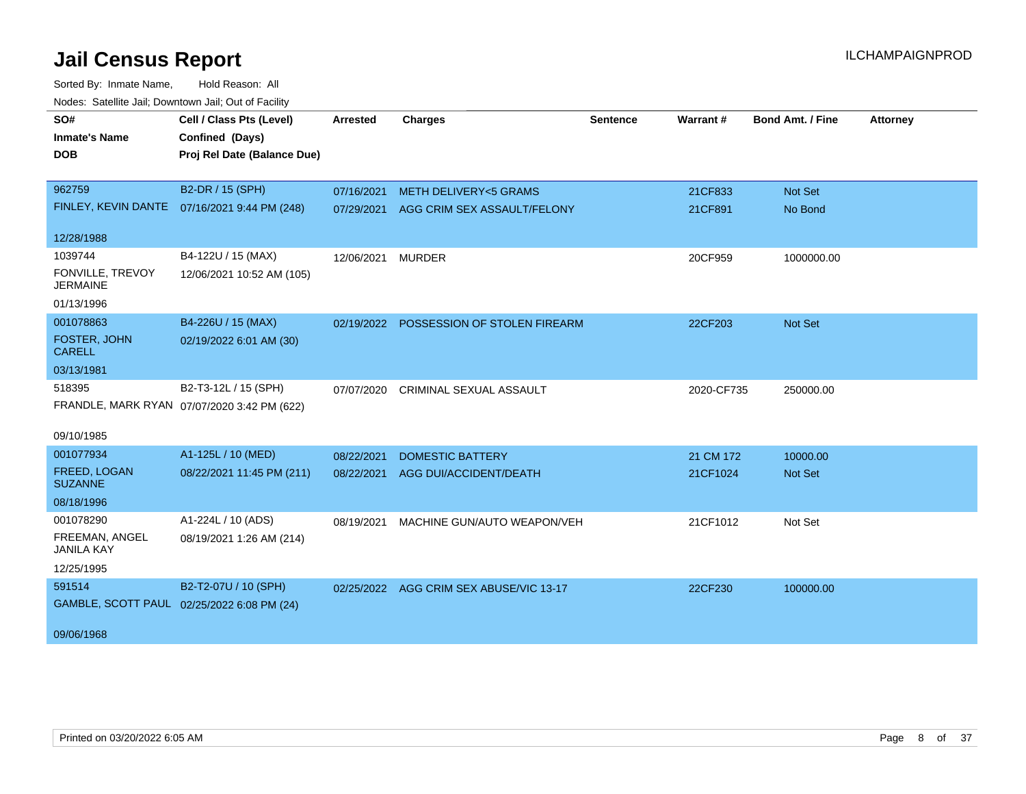| SO#                                 | Cell / Class Pts (Level)                    | <b>Arrested</b> | <b>Charges</b>                          | <b>Sentence</b> | Warrant#   | <b>Bond Amt. / Fine</b> | <b>Attorney</b> |
|-------------------------------------|---------------------------------------------|-----------------|-----------------------------------------|-----------------|------------|-------------------------|-----------------|
| <b>Inmate's Name</b>                | Confined (Days)                             |                 |                                         |                 |            |                         |                 |
| <b>DOB</b>                          | Proj Rel Date (Balance Due)                 |                 |                                         |                 |            |                         |                 |
|                                     |                                             |                 |                                         |                 |            |                         |                 |
| 962759                              | B2-DR / 15 (SPH)                            | 07/16/2021      | <b>METH DELIVERY&lt;5 GRAMS</b>         |                 | 21CF833    | Not Set                 |                 |
| FINLEY, KEVIN DANTE                 | 07/16/2021 9:44 PM (248)                    | 07/29/2021      | AGG CRIM SEX ASSAULT/FELONY             |                 | 21CF891    | No Bond                 |                 |
| 12/28/1988                          |                                             |                 |                                         |                 |            |                         |                 |
| 1039744                             | B4-122U / 15 (MAX)                          | 12/06/2021      | <b>MURDER</b>                           |                 | 20CF959    | 1000000.00              |                 |
| FONVILLE, TREVOY<br><b>JERMAINE</b> | 12/06/2021 10:52 AM (105)                   |                 |                                         |                 |            |                         |                 |
| 01/13/1996                          |                                             |                 |                                         |                 |            |                         |                 |
| 001078863                           | B4-226U / 15 (MAX)                          | 02/19/2022      | POSSESSION OF STOLEN FIREARM            |                 | 22CF203    | <b>Not Set</b>          |                 |
| FOSTER, JOHN<br><b>CARELL</b>       | 02/19/2022 6:01 AM (30)                     |                 |                                         |                 |            |                         |                 |
| 03/13/1981                          |                                             |                 |                                         |                 |            |                         |                 |
| 518395                              | B2-T3-12L / 15 (SPH)                        | 07/07/2020      | CRIMINAL SEXUAL ASSAULT                 |                 | 2020-CF735 | 250000.00               |                 |
|                                     | FRANDLE, MARK RYAN 07/07/2020 3:42 PM (622) |                 |                                         |                 |            |                         |                 |
| 09/10/1985                          |                                             |                 |                                         |                 |            |                         |                 |
| 001077934                           | A1-125L / 10 (MED)                          | 08/22/2021      | <b>DOMESTIC BATTERY</b>                 |                 | 21 CM 172  | 10000.00                |                 |
| FREED, LOGAN<br><b>SUZANNE</b>      | 08/22/2021 11:45 PM (211)                   | 08/22/2021      | AGG DUI/ACCIDENT/DEATH                  |                 | 21CF1024   | <b>Not Set</b>          |                 |
| 08/18/1996                          |                                             |                 |                                         |                 |            |                         |                 |
| 001078290                           | A1-224L / 10 (ADS)                          | 08/19/2021      | MACHINE GUN/AUTO WEAPON/VEH             |                 | 21CF1012   | Not Set                 |                 |
| FREEMAN, ANGEL<br><b>JANILA KAY</b> | 08/19/2021 1:26 AM (214)                    |                 |                                         |                 |            |                         |                 |
| 12/25/1995                          |                                             |                 |                                         |                 |            |                         |                 |
| 591514                              | B2-T2-07U / 10 (SPH)                        |                 | 02/25/2022 AGG CRIM SEX ABUSE/VIC 13-17 |                 | 22CF230    | 100000.00               |                 |
|                                     | GAMBLE, SCOTT PAUL 02/25/2022 6:08 PM (24)  |                 |                                         |                 |            |                         |                 |
| 09/06/1968                          |                                             |                 |                                         |                 |            |                         |                 |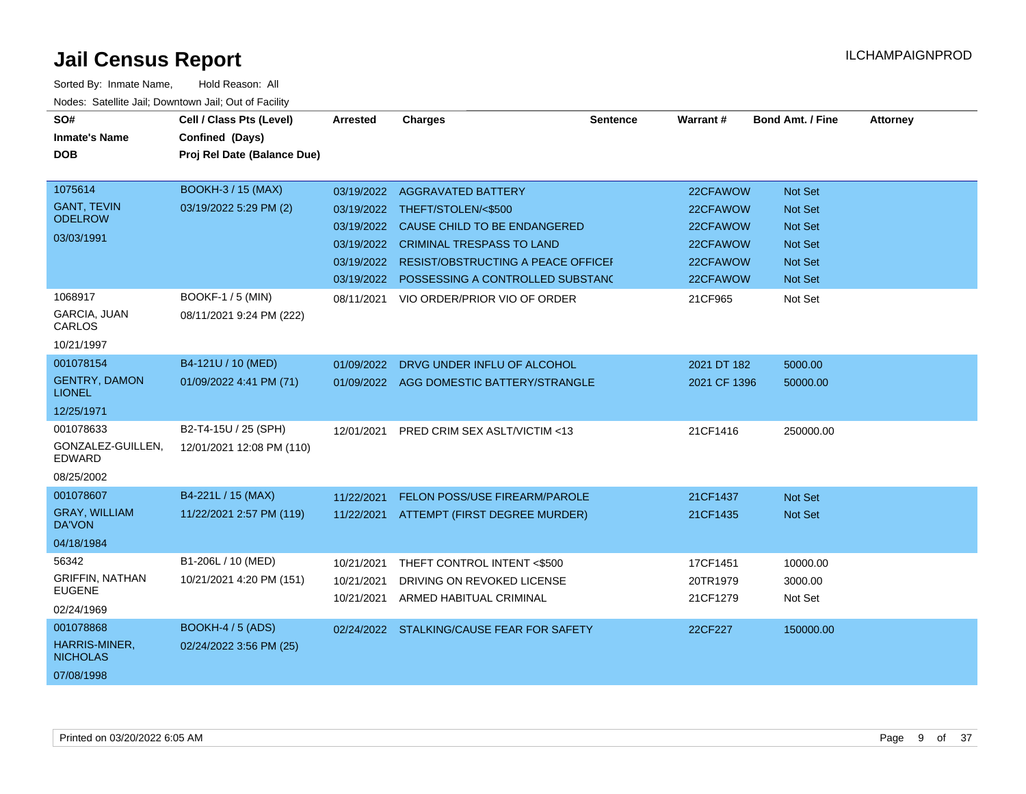| SO#<br><b>Inmate's Name</b><br><b>DOB</b> | Cell / Class Pts (Level)<br>Confined (Days)<br>Proj Rel Date (Balance Due) | <b>Arrested</b> | <b>Charges</b>                            | <b>Sentence</b> | Warrant #    | <b>Bond Amt. / Fine</b> | <b>Attorney</b> |
|-------------------------------------------|----------------------------------------------------------------------------|-----------------|-------------------------------------------|-----------------|--------------|-------------------------|-----------------|
| 1075614                                   | <b>BOOKH-3 / 15 (MAX)</b>                                                  |                 | 03/19/2022 AGGRAVATED BATTERY             |                 | 22CFAWOW     | <b>Not Set</b>          |                 |
| <b>GANT, TEVIN</b><br><b>ODELROW</b>      | 03/19/2022 5:29 PM (2)                                                     |                 | 03/19/2022 THEFT/STOLEN/<\$500            |                 | 22CFAWOW     | <b>Not Set</b>          |                 |
| 03/03/1991                                |                                                                            |                 | 03/19/2022 CAUSE CHILD TO BE ENDANGERED   |                 | 22CFAWOW     | <b>Not Set</b>          |                 |
|                                           |                                                                            |                 | 03/19/2022 CRIMINAL TRESPASS TO LAND      |                 | 22CFAWOW     | <b>Not Set</b>          |                 |
|                                           |                                                                            | 03/19/2022      | <b>RESIST/OBSTRUCTING A PEACE OFFICEF</b> |                 | 22CFAWOW     | <b>Not Set</b>          |                 |
|                                           |                                                                            | 03/19/2022      | POSSESSING A CONTROLLED SUBSTANC          |                 | 22CFAWOW     | <b>Not Set</b>          |                 |
| 1068917                                   | <b>BOOKF-1 / 5 (MIN)</b>                                                   | 08/11/2021      | VIO ORDER/PRIOR VIO OF ORDER              |                 | 21CF965      | Not Set                 |                 |
| GARCIA, JUAN<br>CARLOS                    | 08/11/2021 9:24 PM (222)                                                   |                 |                                           |                 |              |                         |                 |
| 10/21/1997                                |                                                                            |                 |                                           |                 |              |                         |                 |
| 001078154                                 | B4-121U / 10 (MED)                                                         | 01/09/2022      | DRVG UNDER INFLU OF ALCOHOL               |                 | 2021 DT 182  | 5000.00                 |                 |
| <b>GENTRY, DAMON</b><br><b>LIONEL</b>     | 01/09/2022 4:41 PM (71)                                                    |                 | 01/09/2022 AGG DOMESTIC BATTERY/STRANGLE  |                 | 2021 CF 1396 | 50000.00                |                 |
| 12/25/1971                                |                                                                            |                 |                                           |                 |              |                         |                 |
| 001078633                                 | B2-T4-15U / 25 (SPH)                                                       | 12/01/2021      | PRED CRIM SEX ASLT/VICTIM <13             |                 | 21CF1416     | 250000.00               |                 |
| GONZALEZ-GUILLEN,<br>EDWARD               | 12/01/2021 12:08 PM (110)                                                  |                 |                                           |                 |              |                         |                 |
| 08/25/2002                                |                                                                            |                 |                                           |                 |              |                         |                 |
| 001078607                                 | B4-221L / 15 (MAX)                                                         | 11/22/2021      | FELON POSS/USE FIREARM/PAROLE             |                 | 21CF1437     | <b>Not Set</b>          |                 |
| <b>GRAY, WILLIAM</b><br>DA'VON            | 11/22/2021 2:57 PM (119)                                                   |                 | 11/22/2021 ATTEMPT (FIRST DEGREE MURDER)  |                 | 21CF1435     | <b>Not Set</b>          |                 |
| 04/18/1984                                |                                                                            |                 |                                           |                 |              |                         |                 |
| 56342                                     | B1-206L / 10 (MED)                                                         | 10/21/2021      | THEFT CONTROL INTENT <\$500               |                 | 17CF1451     | 10000.00                |                 |
| <b>GRIFFIN, NATHAN</b>                    | 10/21/2021 4:20 PM (151)                                                   | 10/21/2021      | DRIVING ON REVOKED LICENSE                |                 | 20TR1979     | 3000.00                 |                 |
| <b>EUGENE</b>                             |                                                                            | 10/21/2021      | ARMED HABITUAL CRIMINAL                   |                 | 21CF1279     | Not Set                 |                 |
| 02/24/1969                                |                                                                            |                 |                                           |                 |              |                         |                 |
| 001078868                                 | <b>BOOKH-4 / 5 (ADS)</b>                                                   |                 | 02/24/2022 STALKING/CAUSE FEAR FOR SAFETY |                 | 22CF227      | 150000.00               |                 |
| HARRIS-MINER,<br><b>NICHOLAS</b>          | 02/24/2022 3:56 PM (25)                                                    |                 |                                           |                 |              |                         |                 |
| 07/08/1998                                |                                                                            |                 |                                           |                 |              |                         |                 |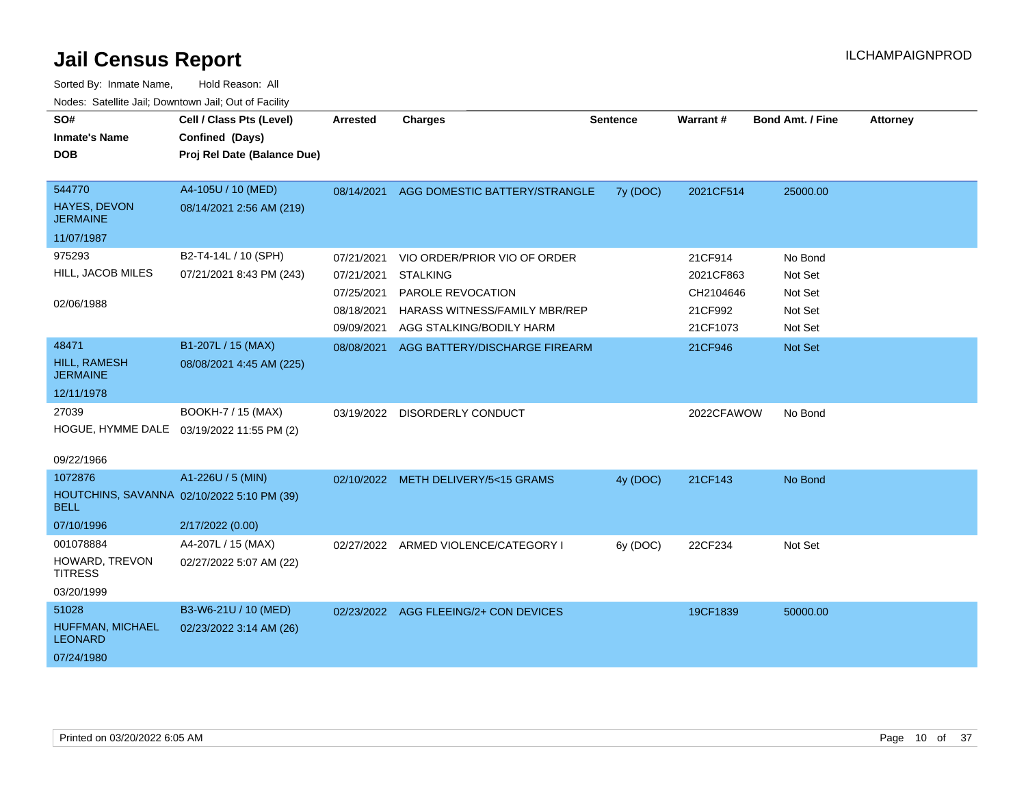| SO#<br><b>Inmate's Name</b>                               | Cell / Class Pts (Level)<br>Confined (Days) | <b>Arrested</b> | <b>Charges</b>                        | <b>Sentence</b> | Warrant#   | <b>Bond Amt. / Fine</b> | <b>Attorney</b> |
|-----------------------------------------------------------|---------------------------------------------|-----------------|---------------------------------------|-----------------|------------|-------------------------|-----------------|
| <b>DOB</b>                                                | Proj Rel Date (Balance Due)                 |                 |                                       |                 |            |                         |                 |
|                                                           |                                             |                 |                                       |                 |            |                         |                 |
| 544770                                                    | A4-105U / 10 (MED)                          | 08/14/2021      | AGG DOMESTIC BATTERY/STRANGLE         | 7y (DOC)        | 2021CF514  | 25000.00                |                 |
| <b>HAYES, DEVON</b><br><b>JERMAINE</b>                    | 08/14/2021 2:56 AM (219)                    |                 |                                       |                 |            |                         |                 |
| 11/07/1987                                                |                                             |                 |                                       |                 |            |                         |                 |
| 975293                                                    | B2-T4-14L / 10 (SPH)                        | 07/21/2021      | VIO ORDER/PRIOR VIO OF ORDER          |                 | 21CF914    | No Bond                 |                 |
| HILL, JACOB MILES                                         | 07/21/2021 8:43 PM (243)                    | 07/21/2021      | <b>STALKING</b>                       |                 | 2021CF863  | Not Set                 |                 |
|                                                           |                                             | 07/25/2021      | PAROLE REVOCATION                     |                 | CH2104646  | Not Set                 |                 |
| 02/06/1988                                                |                                             | 08/18/2021      | HARASS WITNESS/FAMILY MBR/REP         |                 | 21CF992    | Not Set                 |                 |
|                                                           |                                             | 09/09/2021      | AGG STALKING/BODILY HARM              |                 | 21CF1073   | Not Set                 |                 |
| 48471                                                     | B1-207L / 15 (MAX)                          | 08/08/2021      | AGG BATTERY/DISCHARGE FIREARM         |                 | 21CF946    | <b>Not Set</b>          |                 |
| HILL, RAMESH<br><b>JERMAINE</b>                           | 08/08/2021 4:45 AM (225)                    |                 |                                       |                 |            |                         |                 |
| 12/11/1978                                                |                                             |                 |                                       |                 |            |                         |                 |
| 27039                                                     | BOOKH-7 / 15 (MAX)                          | 03/19/2022      | DISORDERLY CONDUCT                    |                 | 2022CFAWOW | No Bond                 |                 |
| HOGUE, HYMME DALE 03/19/2022 11:55 PM (2)                 |                                             |                 |                                       |                 |            |                         |                 |
| 09/22/1966                                                |                                             |                 |                                       |                 |            |                         |                 |
| 1072876                                                   | A1-226U / 5 (MIN)                           |                 | 02/10/2022 METH DELIVERY/5<15 GRAMS   | 4y (DOC)        | 21CF143    | No Bond                 |                 |
| HOUTCHINS, SAVANNA 02/10/2022 5:10 PM (39)<br><b>BELL</b> |                                             |                 |                                       |                 |            |                         |                 |
| 07/10/1996                                                | 2/17/2022 (0.00)                            |                 |                                       |                 |            |                         |                 |
| 001078884                                                 | A4-207L / 15 (MAX)                          | 02/27/2022      | ARMED VIOLENCE/CATEGORY I             | 6y (DOC)        | 22CF234    | Not Set                 |                 |
| HOWARD, TREVON<br><b>TITRESS</b>                          | 02/27/2022 5:07 AM (22)                     |                 |                                       |                 |            |                         |                 |
| 03/20/1999                                                |                                             |                 |                                       |                 |            |                         |                 |
| 51028                                                     | B3-W6-21U / 10 (MED)                        |                 | 02/23/2022 AGG FLEEING/2+ CON DEVICES |                 | 19CF1839   | 50000.00                |                 |
| HUFFMAN, MICHAEL<br><b>LEONARD</b>                        | 02/23/2022 3:14 AM (26)                     |                 |                                       |                 |            |                         |                 |
| 07/24/1980                                                |                                             |                 |                                       |                 |            |                         |                 |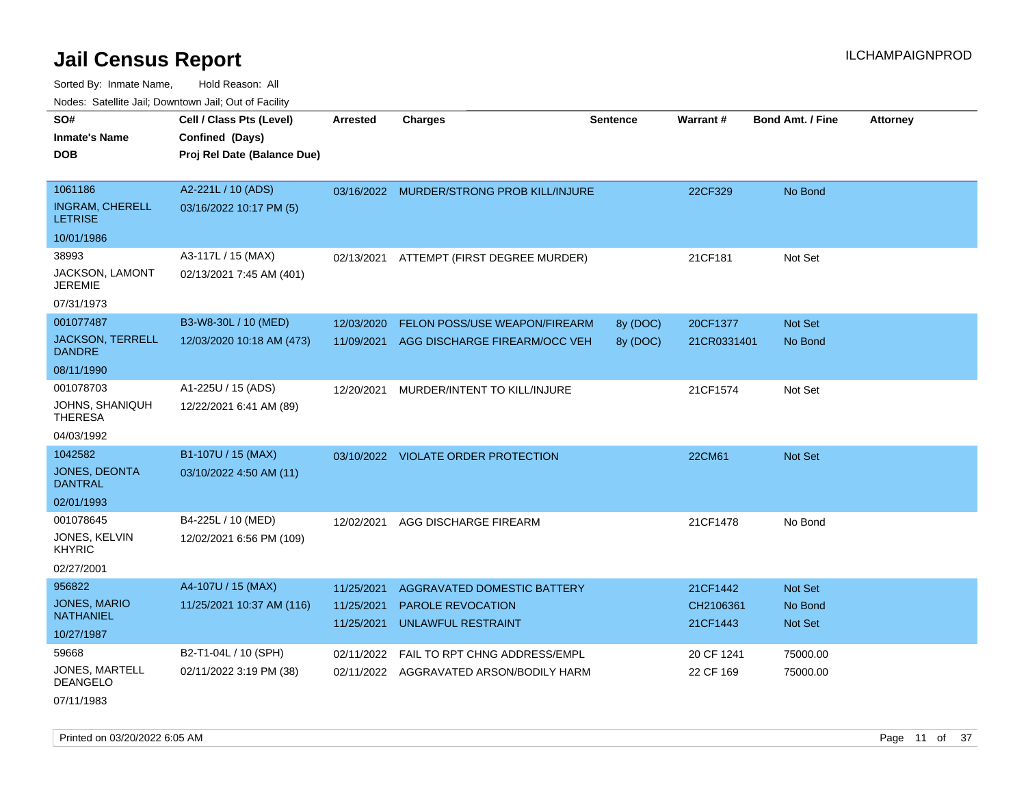Sorted By: Inmate Name, Hold Reason: All Nodes: Satellite Jail; Downtown Jail; Out of Facility

| noaco. Catolino cali, Domntonni cali, Cat on I acilit |                                                                            |                          |                                                               |                 |                         |                         |                 |
|-------------------------------------------------------|----------------------------------------------------------------------------|--------------------------|---------------------------------------------------------------|-----------------|-------------------------|-------------------------|-----------------|
| SO#<br>Inmate's Name<br>DOB                           | Cell / Class Pts (Level)<br>Confined (Days)<br>Proj Rel Date (Balance Due) | <b>Arrested</b>          | <b>Charges</b>                                                | <b>Sentence</b> | <b>Warrant#</b>         | <b>Bond Amt. / Fine</b> | <b>Attorney</b> |
| 1061186<br><b>INGRAM, CHERELL</b><br>LETRISE          | A2-221L / 10 (ADS)<br>03/16/2022 10:17 PM (5)                              |                          | 03/16/2022 MURDER/STRONG PROB KILL/INJURE                     |                 | 22CF329                 | No Bond                 |                 |
| 10/01/1986                                            |                                                                            |                          |                                                               |                 |                         |                         |                 |
| 38993<br>JACKSON, LAMONT<br>JEREMIE<br>07/31/1973     | A3-117L / 15 (MAX)<br>02/13/2021 7:45 AM (401)                             |                          | 02/13/2021 ATTEMPT (FIRST DEGREE MURDER)                      |                 | 21CF181                 | Not Set                 |                 |
| 001077487                                             | B3-W8-30L / 10 (MED)                                                       | 12/03/2020               | FELON POSS/USE WEAPON/FIREARM                                 | 8y (DOC)        | 20CF1377                | Not Set                 |                 |
| <b>JACKSON, TERRELL</b><br>DANDRE                     | 12/03/2020 10:18 AM (473)                                                  | 11/09/2021               | AGG DISCHARGE FIREARM/OCC VEH                                 | 8y (DOC)        | 21CR0331401             | No Bond                 |                 |
| 08/11/1990                                            |                                                                            |                          |                                                               |                 |                         |                         |                 |
| 001078703                                             | A1-225U / 15 (ADS)                                                         | 12/20/2021               | MURDER/INTENT TO KILL/INJURE                                  |                 | 21CF1574                | Not Set                 |                 |
| JOHNS, SHANIQUH<br>THERESA                            | 12/22/2021 6:41 AM (89)                                                    |                          |                                                               |                 |                         |                         |                 |
| 04/03/1992                                            |                                                                            |                          |                                                               |                 |                         |                         |                 |
| 1042582                                               | B1-107U / 15 (MAX)                                                         |                          | 03/10/2022 VIOLATE ORDER PROTECTION                           |                 | 22CM61                  | <b>Not Set</b>          |                 |
| <b>JONES, DEONTA</b><br>DANTRAL                       | 03/10/2022 4:50 AM (11)                                                    |                          |                                                               |                 |                         |                         |                 |
| 02/01/1993                                            |                                                                            |                          |                                                               |                 |                         |                         |                 |
| 001078645                                             | B4-225L / 10 (MED)                                                         | 12/02/2021               | AGG DISCHARGE FIREARM                                         |                 | 21CF1478                | No Bond                 |                 |
| JONES, KELVIN<br>KHYRIC                               | 12/02/2021 6:56 PM (109)                                                   |                          |                                                               |                 |                         |                         |                 |
| 02/27/2001                                            |                                                                            |                          |                                                               |                 |                         |                         |                 |
| 956822                                                | A4-107U / 15 (MAX)                                                         | 11/25/2021               | <b>AGGRAVATED DOMESTIC BATTERY</b>                            |                 | 21CF1442                | Not Set                 |                 |
| JONES, MARIO<br>NATHANIEL                             | 11/25/2021 10:37 AM (116)                                                  | 11/25/2021<br>11/25/2021 | <b>PAROLE REVOCATION</b><br>UNLAWFUL RESTRAINT                |                 | CH2106361<br>21CF1443   | No Bond<br>Not Set      |                 |
| 10/27/1987                                            |                                                                            |                          |                                                               |                 |                         |                         |                 |
| 59668<br>JONES, MARTELL<br>DEANGELO                   | B2-T1-04L / 10 (SPH)<br>02/11/2022 3:19 PM (38)                            | 02/11/2022<br>02/11/2022 | FAIL TO RPT CHNG ADDRESS/EMPL<br>AGGRAVATED ARSON/BODILY HARM |                 | 20 CF 1241<br>22 CF 169 | 75000.00<br>75000.00    |                 |
|                                                       |                                                                            |                          |                                                               |                 |                         |                         |                 |

07/11/1983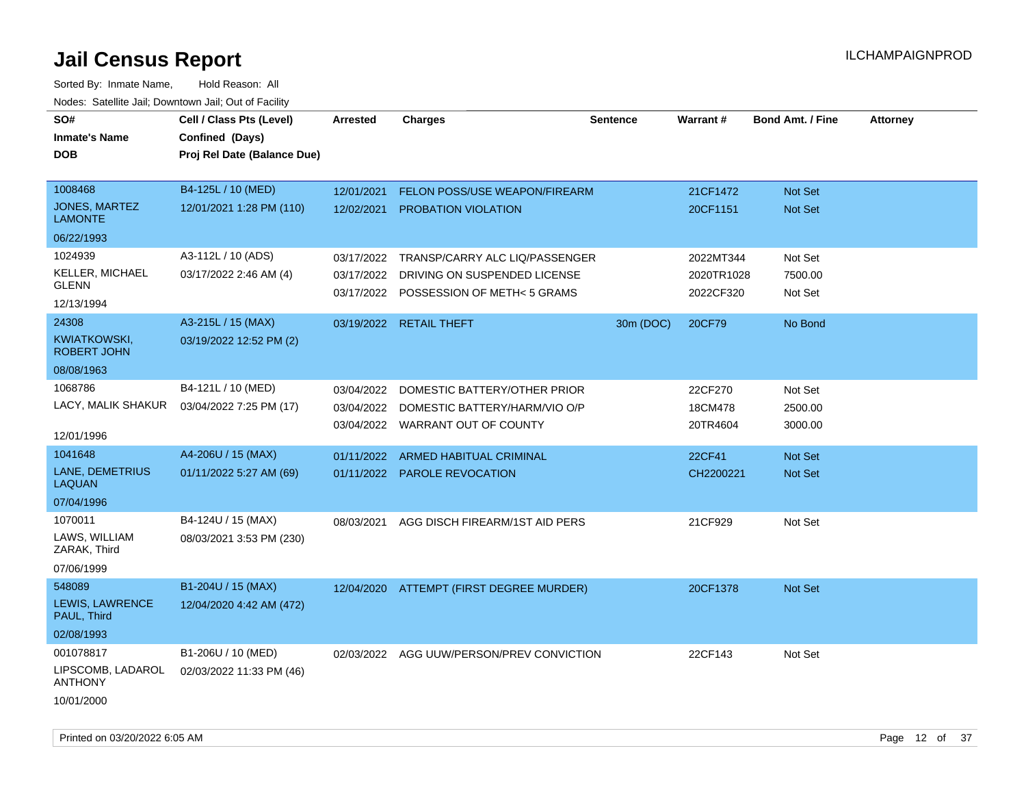| roaco. Calcinio can, Downtown can, Out of Fability |                                             |                 |                                           |                 |                 |                         |                 |
|----------------------------------------------------|---------------------------------------------|-----------------|-------------------------------------------|-----------------|-----------------|-------------------------|-----------------|
| SO#<br><b>Inmate's Name</b>                        | Cell / Class Pts (Level)<br>Confined (Days) | <b>Arrested</b> | <b>Charges</b>                            | <b>Sentence</b> | <b>Warrant#</b> | <b>Bond Amt. / Fine</b> | <b>Attorney</b> |
| <b>DOB</b>                                         | Proj Rel Date (Balance Due)                 |                 |                                           |                 |                 |                         |                 |
|                                                    |                                             |                 |                                           |                 |                 |                         |                 |
| 1008468                                            | B4-125L / 10 (MED)                          | 12/01/2021      | FELON POSS/USE WEAPON/FIREARM             |                 | 21CF1472        | Not Set                 |                 |
| JONES, MARTEZ<br><b>LAMONTE</b>                    | 12/01/2021 1:28 PM (110)                    | 12/02/2021      | <b>PROBATION VIOLATION</b>                |                 | 20CF1151        | <b>Not Set</b>          |                 |
| 06/22/1993                                         |                                             |                 |                                           |                 |                 |                         |                 |
| 1024939                                            | A3-112L / 10 (ADS)                          | 03/17/2022      | TRANSP/CARRY ALC LIQ/PASSENGER            |                 | 2022MT344       | Not Set                 |                 |
| KELLER, MICHAEL<br><b>GLENN</b>                    | 03/17/2022 2:46 AM (4)                      | 03/17/2022      | DRIVING ON SUSPENDED LICENSE              |                 | 2020TR1028      | 7500.00                 |                 |
| 12/13/1994                                         |                                             |                 | 03/17/2022 POSSESSION OF METH< 5 GRAMS    |                 | 2022CF320       | Not Set                 |                 |
| 24308                                              | A3-215L / 15 (MAX)                          |                 | 03/19/2022 RETAIL THEFT                   | 30m (DOC)       | 20CF79          | No Bond                 |                 |
| KWIATKOWSKI,<br><b>ROBERT JOHN</b>                 | 03/19/2022 12:52 PM (2)                     |                 |                                           |                 |                 |                         |                 |
| 08/08/1963                                         |                                             |                 |                                           |                 |                 |                         |                 |
| 1068786                                            | B4-121L / 10 (MED)                          | 03/04/2022      | DOMESTIC BATTERY/OTHER PRIOR              |                 | 22CF270         | Not Set                 |                 |
| LACY, MALIK SHAKUR                                 | 03/04/2022 7:25 PM (17)                     | 03/04/2022      | DOMESTIC BATTERY/HARM/VIO O/P             |                 | 18CM478         | 2500.00                 |                 |
| 12/01/1996                                         |                                             |                 | 03/04/2022 WARRANT OUT OF COUNTY          |                 | 20TR4604        | 3000.00                 |                 |
| 1041648                                            | A4-206U / 15 (MAX)                          | 01/11/2022      | ARMED HABITUAL CRIMINAL                   |                 | 22CF41          | Not Set                 |                 |
| <b>LANE, DEMETRIUS</b><br><b>LAQUAN</b>            | 01/11/2022 5:27 AM (69)                     |                 | 01/11/2022 PAROLE REVOCATION              |                 | CH2200221       | Not Set                 |                 |
| 07/04/1996                                         |                                             |                 |                                           |                 |                 |                         |                 |
| 1070011                                            | B4-124U / 15 (MAX)                          | 08/03/2021      | AGG DISCH FIREARM/1ST AID PERS            |                 | 21CF929         | Not Set                 |                 |
| LAWS, WILLIAM<br>ZARAK, Third                      | 08/03/2021 3:53 PM (230)                    |                 |                                           |                 |                 |                         |                 |
| 07/06/1999                                         |                                             |                 |                                           |                 |                 |                         |                 |
| 548089                                             | B1-204U / 15 (MAX)                          |                 | 12/04/2020 ATTEMPT (FIRST DEGREE MURDER)  |                 | 20CF1378        | <b>Not Set</b>          |                 |
| LEWIS, LAWRENCE<br>PAUL, Third                     | 12/04/2020 4:42 AM (472)                    |                 |                                           |                 |                 |                         |                 |
| 02/08/1993                                         |                                             |                 |                                           |                 |                 |                         |                 |
| 001078817                                          | B1-206U / 10 (MED)                          |                 | 02/03/2022 AGG UUW/PERSON/PREV CONVICTION |                 | 22CF143         | Not Set                 |                 |
| LIPSCOMB, LADAROL<br><b>ANTHONY</b>                | 02/03/2022 11:33 PM (46)                    |                 |                                           |                 |                 |                         |                 |
| 10/01/2000                                         |                                             |                 |                                           |                 |                 |                         |                 |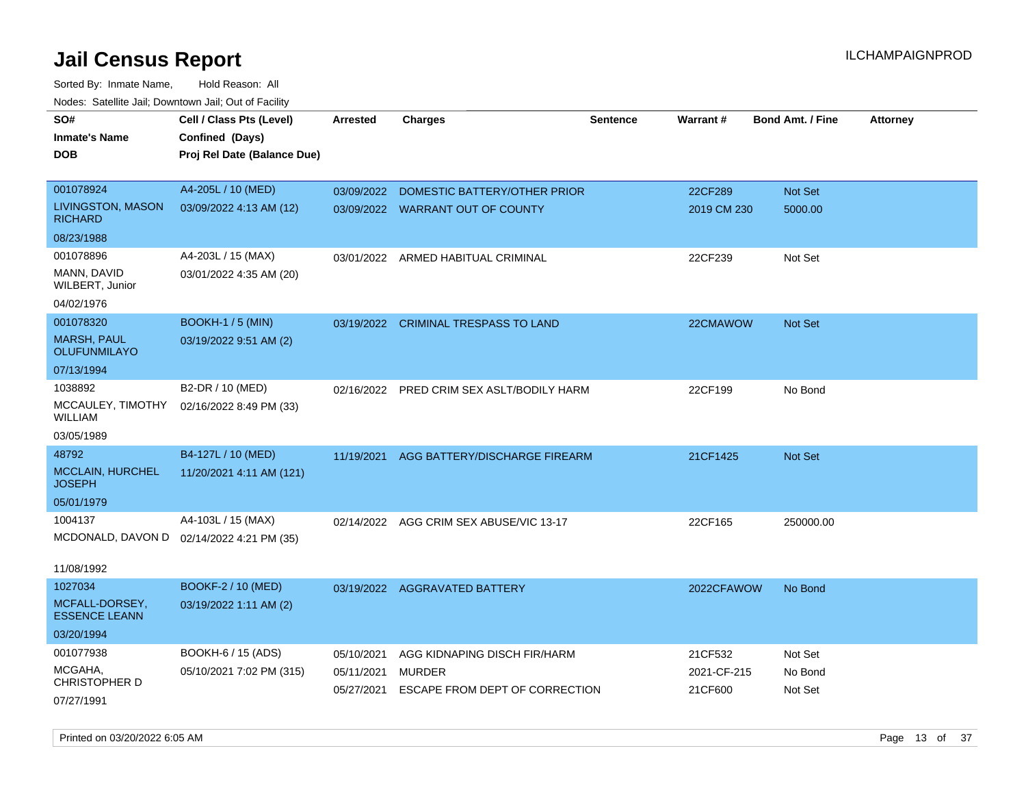| rouce. Calcinic Jan, Downtown Jan, Out of Facility |                             |                 |                                           |                 |             |                         |                 |
|----------------------------------------------------|-----------------------------|-----------------|-------------------------------------------|-----------------|-------------|-------------------------|-----------------|
| SO#                                                | Cell / Class Pts (Level)    | <b>Arrested</b> | <b>Charges</b>                            | <b>Sentence</b> | Warrant#    | <b>Bond Amt. / Fine</b> | <b>Attorney</b> |
| <b>Inmate's Name</b>                               | Confined (Days)             |                 |                                           |                 |             |                         |                 |
| <b>DOB</b>                                         | Proj Rel Date (Balance Due) |                 |                                           |                 |             |                         |                 |
|                                                    |                             |                 |                                           |                 |             |                         |                 |
| 001078924                                          | A4-205L / 10 (MED)          | 03/09/2022      | DOMESTIC BATTERY/OTHER PRIOR              |                 | 22CF289     | Not Set                 |                 |
| LIVINGSTON, MASON<br><b>RICHARD</b>                | 03/09/2022 4:13 AM (12)     |                 | 03/09/2022 WARRANT OUT OF COUNTY          |                 | 2019 CM 230 | 5000.00                 |                 |
| 08/23/1988                                         |                             |                 |                                           |                 |             |                         |                 |
| 001078896                                          | A4-203L / 15 (MAX)          |                 | 03/01/2022 ARMED HABITUAL CRIMINAL        |                 | 22CF239     | Not Set                 |                 |
| MANN, DAVID<br>WILBERT, Junior                     | 03/01/2022 4:35 AM (20)     |                 |                                           |                 |             |                         |                 |
| 04/02/1976                                         |                             |                 |                                           |                 |             |                         |                 |
| 001078320                                          | <b>BOOKH-1/5 (MIN)</b>      |                 | 03/19/2022 CRIMINAL TRESPASS TO LAND      |                 | 22CMAWOW    | <b>Not Set</b>          |                 |
| <b>MARSH, PAUL</b><br><b>OLUFUNMILAYO</b>          | 03/19/2022 9:51 AM (2)      |                 |                                           |                 |             |                         |                 |
| 07/13/1994                                         |                             |                 |                                           |                 |             |                         |                 |
| 1038892                                            | B2-DR / 10 (MED)            |                 | 02/16/2022 PRED CRIM SEX ASLT/BODILY HARM |                 | 22CF199     | No Bond                 |                 |
| MCCAULEY, TIMOTHY<br><b>WILLIAM</b>                | 02/16/2022 8:49 PM (33)     |                 |                                           |                 |             |                         |                 |
| 03/05/1989                                         |                             |                 |                                           |                 |             |                         |                 |
| 48792                                              | B4-127L / 10 (MED)          | 11/19/2021      | AGG BATTERY/DISCHARGE FIREARM             |                 | 21CF1425    | <b>Not Set</b>          |                 |
| MCCLAIN, HURCHEL<br><b>JOSEPH</b>                  | 11/20/2021 4:11 AM (121)    |                 |                                           |                 |             |                         |                 |
| 05/01/1979                                         |                             |                 |                                           |                 |             |                         |                 |
| 1004137                                            | A4-103L / 15 (MAX)          |                 | 02/14/2022 AGG CRIM SEX ABUSE/VIC 13-17   |                 | 22CF165     | 250000.00               |                 |
| MCDONALD, DAVON D 02/14/2022 4:21 PM (35)          |                             |                 |                                           |                 |             |                         |                 |
|                                                    |                             |                 |                                           |                 |             |                         |                 |
| 11/08/1992                                         |                             |                 |                                           |                 |             |                         |                 |
| 1027034                                            | <b>BOOKF-2 / 10 (MED)</b>   |                 | 03/19/2022 AGGRAVATED BATTERY             |                 | 2022CFAWOW  | No Bond                 |                 |
| MCFALL-DORSEY,<br><b>ESSENCE LEANN</b>             | 03/19/2022 1:11 AM (2)      |                 |                                           |                 |             |                         |                 |
| 03/20/1994                                         |                             |                 |                                           |                 |             |                         |                 |
| 001077938                                          | BOOKH-6 / 15 (ADS)          | 05/10/2021      | AGG KIDNAPING DISCH FIR/HARM              |                 | 21CF532     | Not Set                 |                 |
| MCGAHA,<br><b>CHRISTOPHER D</b>                    | 05/10/2021 7:02 PM (315)    | 05/11/2021      | <b>MURDER</b>                             |                 | 2021-CF-215 | No Bond                 |                 |
| 07/27/1991                                         |                             | 05/27/2021      | ESCAPE FROM DEPT OF CORRECTION            |                 | 21CF600     | Not Set                 |                 |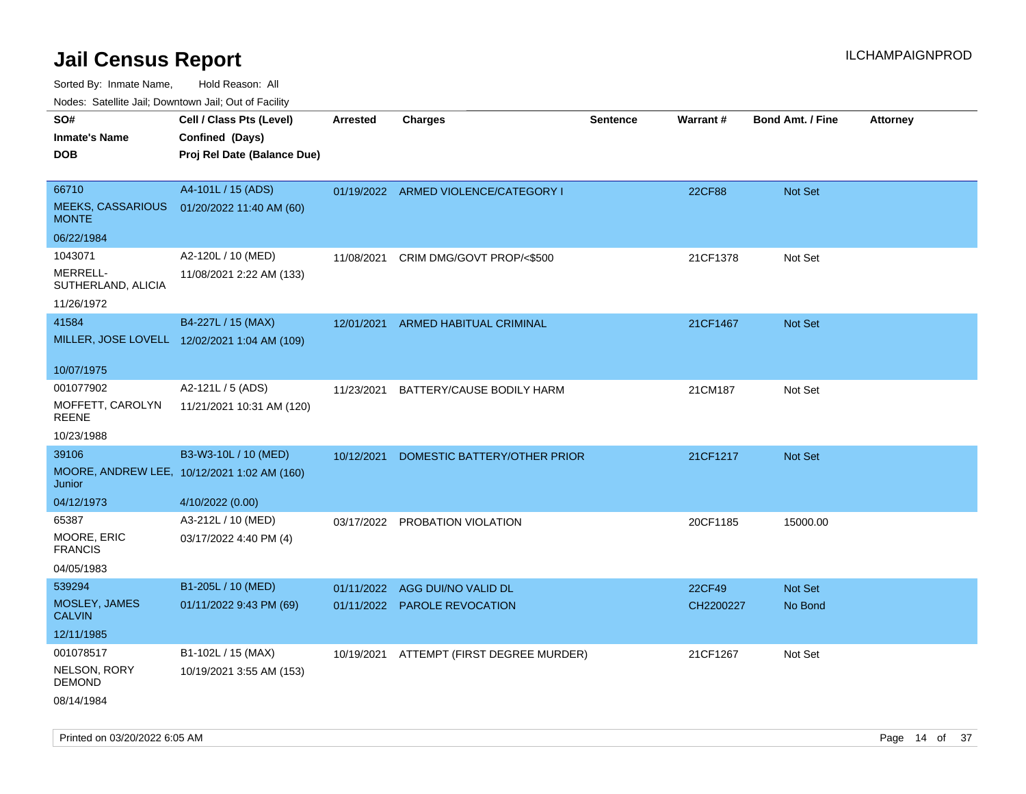Sorted By: Inmate Name, Hold Reason: All

Nodes: Satellite Jail; Downtown Jail; Out of Facility

| SO#                                      | Cell / Class Pts (Level)                     | <b>Arrested</b> | <b>Charges</b>                       | <b>Sentence</b> | Warrant#  | <b>Bond Amt. / Fine</b> | <b>Attorney</b> |
|------------------------------------------|----------------------------------------------|-----------------|--------------------------------------|-----------------|-----------|-------------------------|-----------------|
| <b>Inmate's Name</b>                     | Confined (Days)                              |                 |                                      |                 |           |                         |                 |
| <b>DOB</b>                               | Proj Rel Date (Balance Due)                  |                 |                                      |                 |           |                         |                 |
|                                          |                                              |                 |                                      |                 |           |                         |                 |
| 66710                                    | A4-101L / 15 (ADS)                           |                 | 01/19/2022 ARMED VIOLENCE/CATEGORY I |                 | 22CF88    | Not Set                 |                 |
| <b>MEEKS, CASSARIOUS</b><br><b>MONTE</b> | 01/20/2022 11:40 AM (60)                     |                 |                                      |                 |           |                         |                 |
| 06/22/1984                               |                                              |                 |                                      |                 |           |                         |                 |
| 1043071                                  | A2-120L / 10 (MED)                           | 11/08/2021      | CRIM DMG/GOVT PROP/<\$500            |                 | 21CF1378  | Not Set                 |                 |
| MERRELL-<br>SUTHERLAND, ALICIA           | 11/08/2021 2:22 AM (133)                     |                 |                                      |                 |           |                         |                 |
| 11/26/1972                               |                                              |                 |                                      |                 |           |                         |                 |
| 41584                                    | B4-227L / 15 (MAX)                           | 12/01/2021      | <b>ARMED HABITUAL CRIMINAL</b>       |                 | 21CF1467  | Not Set                 |                 |
|                                          | MILLER, JOSE LOVELL 12/02/2021 1:04 AM (109) |                 |                                      |                 |           |                         |                 |
|                                          |                                              |                 |                                      |                 |           |                         |                 |
| 10/07/1975                               |                                              |                 |                                      |                 |           |                         |                 |
| 001077902                                | A2-121L / 5 (ADS)                            | 11/23/2021      | BATTERY/CAUSE BODILY HARM            |                 | 21CM187   | Not Set                 |                 |
| MOFFETT, CAROLYN<br><b>REENE</b>         | 11/21/2021 10:31 AM (120)                    |                 |                                      |                 |           |                         |                 |
| 10/23/1988                               |                                              |                 |                                      |                 |           |                         |                 |
| 39106                                    | B3-W3-10L / 10 (MED)                         | 10/12/2021      | DOMESTIC BATTERY/OTHER PRIOR         |                 | 21CF1217  | <b>Not Set</b>          |                 |
| Junior                                   | MOORE, ANDREW LEE, 10/12/2021 1:02 AM (160)  |                 |                                      |                 |           |                         |                 |
| 04/12/1973                               | 4/10/2022 (0.00)                             |                 |                                      |                 |           |                         |                 |
| 65387                                    | A3-212L / 10 (MED)                           |                 | 03/17/2022 PROBATION VIOLATION       |                 | 20CF1185  | 15000.00                |                 |
| MOORE, ERIC<br><b>FRANCIS</b>            | 03/17/2022 4:40 PM (4)                       |                 |                                      |                 |           |                         |                 |
| 04/05/1983                               |                                              |                 |                                      |                 |           |                         |                 |
| 539294                                   | B1-205L / 10 (MED)                           |                 | 01/11/2022 AGG DUI/NO VALID DL       |                 | 22CF49    | Not Set                 |                 |
| MOSLEY, JAMES<br><b>CALVIN</b>           | 01/11/2022 9:43 PM (69)                      |                 | 01/11/2022 PAROLE REVOCATION         |                 | CH2200227 | No Bond                 |                 |
| 12/11/1985                               |                                              |                 |                                      |                 |           |                         |                 |
| 001078517                                | B1-102L / 15 (MAX)                           | 10/19/2021      | ATTEMPT (FIRST DEGREE MURDER)        |                 | 21CF1267  | Not Set                 |                 |
| NELSON, RORY<br><b>DEMOND</b>            | 10/19/2021 3:55 AM (153)                     |                 |                                      |                 |           |                         |                 |
| 08/14/1984                               |                                              |                 |                                      |                 |           |                         |                 |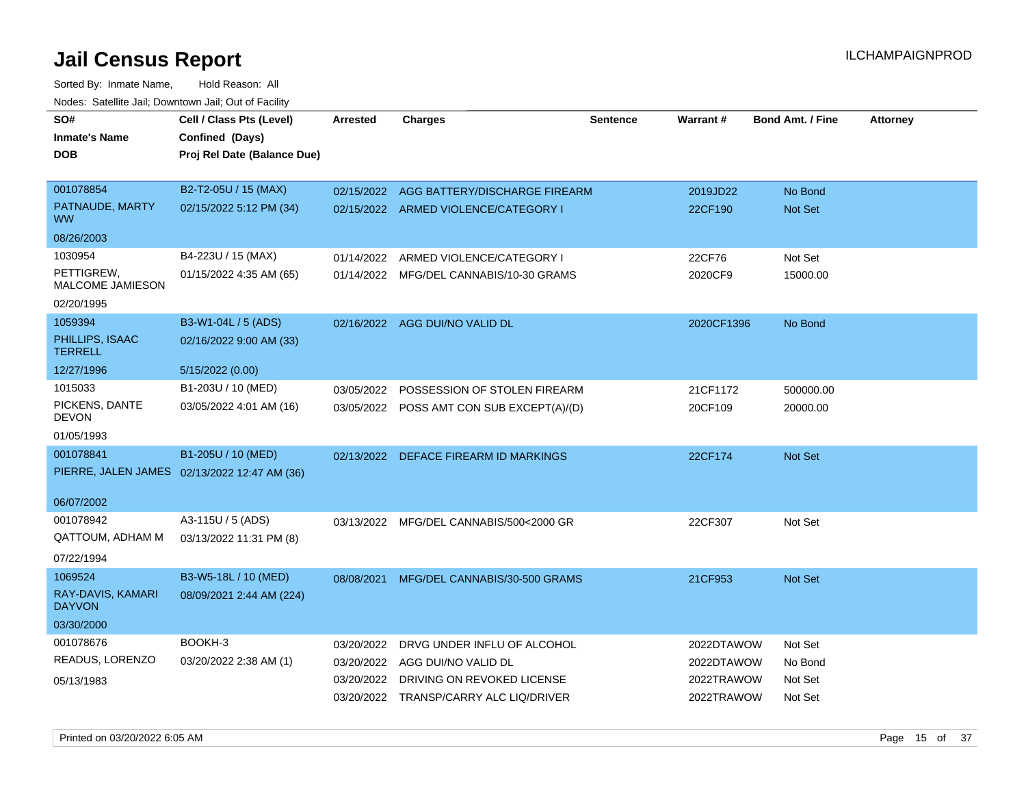| SO#<br><b>Inmate's Name</b><br><b>DOB</b> | Cell / Class Pts (Level)<br>Confined (Days)<br>Proj Rel Date (Balance Due) | <b>Arrested</b> | <b>Charges</b>                            | <b>Sentence</b> | <b>Warrant#</b> | <b>Bond Amt. / Fine</b> | <b>Attorney</b> |
|-------------------------------------------|----------------------------------------------------------------------------|-----------------|-------------------------------------------|-----------------|-----------------|-------------------------|-----------------|
| 001078854                                 | B2-T2-05U / 15 (MAX)                                                       |                 | 02/15/2022 AGG BATTERY/DISCHARGE FIREARM  |                 | 2019JD22        | No Bond                 |                 |
| PATNAUDE, MARTY<br><b>WW</b>              | 02/15/2022 5:12 PM (34)                                                    |                 | 02/15/2022 ARMED VIOLENCE/CATEGORY I      |                 | 22CF190         | Not Set                 |                 |
| 08/26/2003                                |                                                                            |                 |                                           |                 |                 |                         |                 |
| 1030954                                   | B4-223U / 15 (MAX)                                                         | 01/14/2022      | ARMED VIOLENCE/CATEGORY I                 |                 | 22CF76          | Not Set                 |                 |
| PETTIGREW,<br><b>MALCOME JAMIESON</b>     | 01/15/2022 4:35 AM (65)                                                    |                 | 01/14/2022 MFG/DEL CANNABIS/10-30 GRAMS   |                 | 2020CF9         | 15000.00                |                 |
| 02/20/1995                                |                                                                            |                 |                                           |                 |                 |                         |                 |
| 1059394                                   | B3-W1-04L / 5 (ADS)                                                        |                 | 02/16/2022 AGG DUI/NO VALID DL            |                 | 2020CF1396      | No Bond                 |                 |
| PHILLIPS, ISAAC<br><b>TERRELL</b>         | 02/16/2022 9:00 AM (33)                                                    |                 |                                           |                 |                 |                         |                 |
| 12/27/1996                                | 5/15/2022 (0.00)                                                           |                 |                                           |                 |                 |                         |                 |
| 1015033                                   | B1-203U / 10 (MED)                                                         |                 | 03/05/2022 POSSESSION OF STOLEN FIREARM   |                 | 21CF1172        | 500000.00               |                 |
| PICKENS, DANTE<br><b>DEVON</b>            | 03/05/2022 4:01 AM (16)                                                    |                 | 03/05/2022 POSS AMT CON SUB EXCEPT(A)/(D) |                 | 20CF109         | 20000.00                |                 |
| 01/05/1993                                |                                                                            |                 |                                           |                 |                 |                         |                 |
| 001078841                                 | B1-205U / 10 (MED)                                                         |                 | 02/13/2022 DEFACE FIREARM ID MARKINGS     |                 | 22CF174         | <b>Not Set</b>          |                 |
|                                           | PIERRE, JALEN JAMES 02/13/2022 12:47 AM (36)                               |                 |                                           |                 |                 |                         |                 |
| 06/07/2002                                |                                                                            |                 |                                           |                 |                 |                         |                 |
| 001078942                                 | A3-115U / 5 (ADS)                                                          |                 | 03/13/2022 MFG/DEL CANNABIS/500<2000 GR   |                 | 22CF307         | Not Set                 |                 |
| QATTOUM, ADHAM M                          | 03/13/2022 11:31 PM (8)                                                    |                 |                                           |                 |                 |                         |                 |
| 07/22/1994                                |                                                                            |                 |                                           |                 |                 |                         |                 |
| 1069524                                   | B3-W5-18L / 10 (MED)                                                       |                 | 08/08/2021 MFG/DEL CANNABIS/30-500 GRAMS  |                 | 21CF953         | Not Set                 |                 |
| RAY-DAVIS, KAMARI<br><b>DAYVON</b>        | 08/09/2021 2:44 AM (224)                                                   |                 |                                           |                 |                 |                         |                 |
| 03/30/2000                                |                                                                            |                 |                                           |                 |                 |                         |                 |
| 001078676                                 | BOOKH-3                                                                    | 03/20/2022      | DRVG UNDER INFLU OF ALCOHOL               |                 | 2022DTAWOW      | Not Set                 |                 |
| READUS, LORENZO                           | 03/20/2022 2:38 AM (1)                                                     | 03/20/2022      | AGG DUI/NO VALID DL                       |                 | 2022DTAWOW      | No Bond                 |                 |
| 05/13/1983                                |                                                                            | 03/20/2022      | DRIVING ON REVOKED LICENSE                |                 | 2022TRAWOW      | Not Set                 |                 |
|                                           |                                                                            |                 | 03/20/2022 TRANSP/CARRY ALC LIQ/DRIVER    |                 | 2022TRAWOW      | Not Set                 |                 |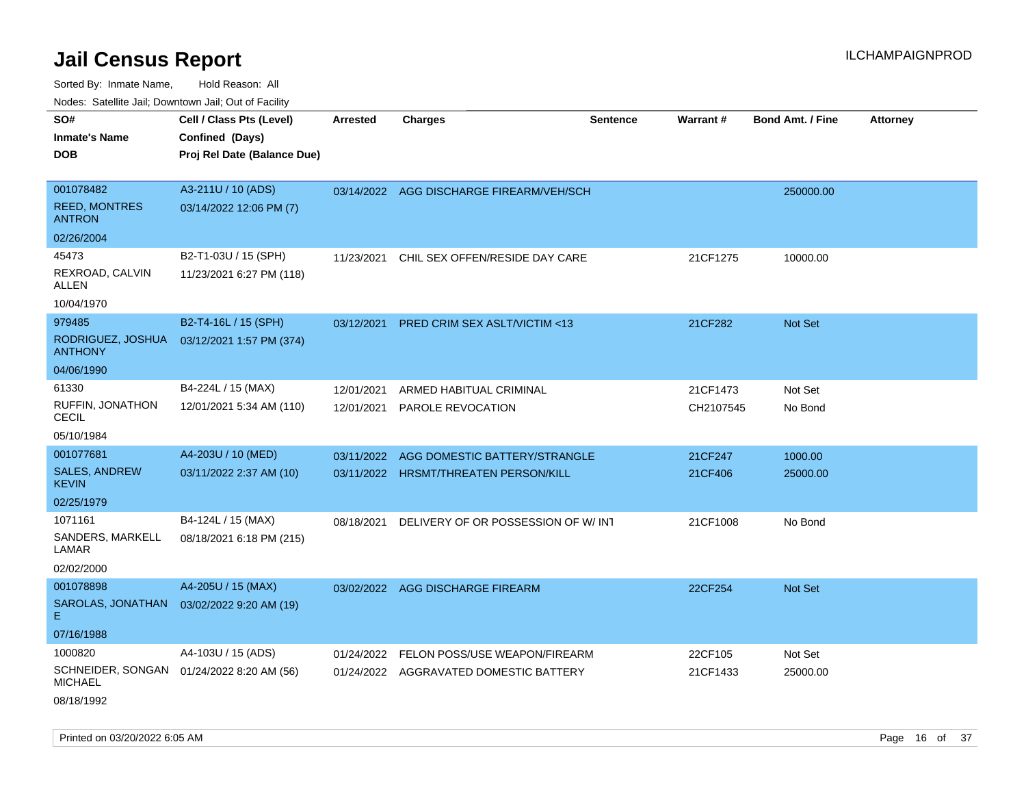| SO#                                   | Cell / Class Pts (Level)    | <b>Arrested</b> | <b>Charges</b>                           | <b>Sentence</b> | <b>Warrant#</b> | <b>Bond Amt. / Fine</b> | <b>Attorney</b> |
|---------------------------------------|-----------------------------|-----------------|------------------------------------------|-----------------|-----------------|-------------------------|-----------------|
| <b>Inmate's Name</b>                  | Confined (Days)             |                 |                                          |                 |                 |                         |                 |
| <b>DOB</b>                            | Proj Rel Date (Balance Due) |                 |                                          |                 |                 |                         |                 |
|                                       |                             |                 |                                          |                 |                 |                         |                 |
| 001078482                             | A3-211U / 10 (ADS)          |                 | 03/14/2022 AGG DISCHARGE FIREARM/VEH/SCH |                 |                 | 250000.00               |                 |
| <b>REED, MONTRES</b><br><b>ANTRON</b> | 03/14/2022 12:06 PM (7)     |                 |                                          |                 |                 |                         |                 |
| 02/26/2004                            |                             |                 |                                          |                 |                 |                         |                 |
| 45473                                 | B2-T1-03U / 15 (SPH)        | 11/23/2021      | CHIL SEX OFFEN/RESIDE DAY CARE           |                 | 21CF1275        | 10000.00                |                 |
| REXROAD, CALVIN<br><b>ALLEN</b>       | 11/23/2021 6:27 PM (118)    |                 |                                          |                 |                 |                         |                 |
| 10/04/1970                            |                             |                 |                                          |                 |                 |                         |                 |
| 979485                                | B2-T4-16L / 15 (SPH)        | 03/12/2021      | <b>PRED CRIM SEX ASLT/VICTIM &lt;13</b>  |                 | 21CF282         | Not Set                 |                 |
| RODRIGUEZ, JOSHUA<br><b>ANTHONY</b>   | 03/12/2021 1:57 PM (374)    |                 |                                          |                 |                 |                         |                 |
| 04/06/1990                            |                             |                 |                                          |                 |                 |                         |                 |
| 61330                                 | B4-224L / 15 (MAX)          | 12/01/2021      | ARMED HABITUAL CRIMINAL                  |                 | 21CF1473        | Not Set                 |                 |
| RUFFIN, JONATHON<br><b>CECIL</b>      | 12/01/2021 5:34 AM (110)    | 12/01/2021      | PAROLE REVOCATION                        |                 | CH2107545       | No Bond                 |                 |
| 05/10/1984                            |                             |                 |                                          |                 |                 |                         |                 |
| 001077681                             | A4-203U / 10 (MED)          | 03/11/2022      | AGG DOMESTIC BATTERY/STRANGLE            |                 | 21CF247         | 1000.00                 |                 |
| <b>SALES, ANDREW</b><br><b>KEVIN</b>  | 03/11/2022 2:37 AM (10)     |                 | 03/11/2022 HRSMT/THREATEN PERSON/KILL    |                 | 21CF406         | 25000.00                |                 |
| 02/25/1979                            |                             |                 |                                          |                 |                 |                         |                 |
| 1071161                               | B4-124L / 15 (MAX)          | 08/18/2021      | DELIVERY OF OR POSSESSION OF W/INT       |                 | 21CF1008        | No Bond                 |                 |
| SANDERS, MARKELL<br>LAMAR             | 08/18/2021 6:18 PM (215)    |                 |                                          |                 |                 |                         |                 |
| 02/02/2000                            |                             |                 |                                          |                 |                 |                         |                 |
| 001078898                             | A4-205U / 15 (MAX)          |                 | 03/02/2022 AGG DISCHARGE FIREARM         |                 | 22CF254         | Not Set                 |                 |
| SAROLAS, JONATHAN<br>E.               | 03/02/2022 9:20 AM (19)     |                 |                                          |                 |                 |                         |                 |
| 07/16/1988                            |                             |                 |                                          |                 |                 |                         |                 |
| 1000820                               | A4-103U / 15 (ADS)          | 01/24/2022      | FELON POSS/USE WEAPON/FIREARM            |                 | 22CF105         | Not Set                 |                 |
| SCHNEIDER, SONGAN<br><b>MICHAEL</b>   | 01/24/2022 8:20 AM (56)     |                 | 01/24/2022 AGGRAVATED DOMESTIC BATTERY   |                 | 21CF1433        | 25000.00                |                 |
| 08/18/1992                            |                             |                 |                                          |                 |                 |                         |                 |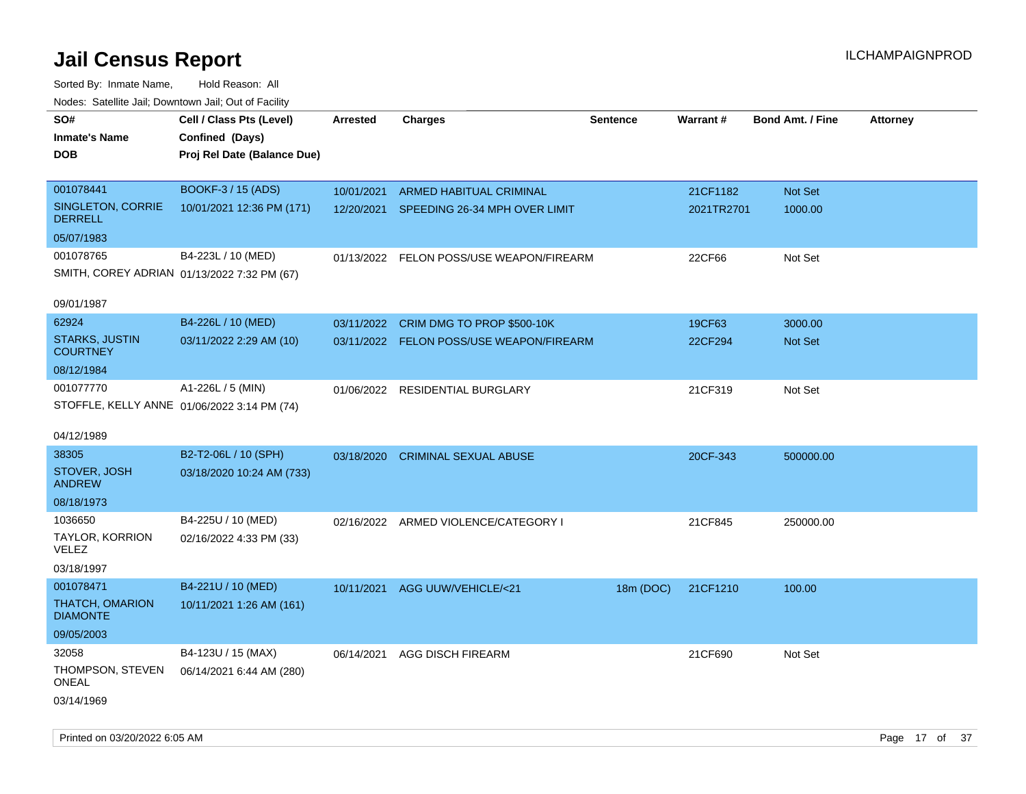| roaco. Oatomto dan, Downtown dan, Oat or Fability |                                             |                 |                                          |                 |            |                         |                 |
|---------------------------------------------------|---------------------------------------------|-----------------|------------------------------------------|-----------------|------------|-------------------------|-----------------|
| SO#<br><b>Inmate's Name</b>                       | Cell / Class Pts (Level)<br>Confined (Days) | <b>Arrested</b> | <b>Charges</b>                           | <b>Sentence</b> | Warrant#   | <b>Bond Amt. / Fine</b> | <b>Attorney</b> |
|                                                   |                                             |                 |                                          |                 |            |                         |                 |
| <b>DOB</b>                                        | Proj Rel Date (Balance Due)                 |                 |                                          |                 |            |                         |                 |
|                                                   |                                             |                 |                                          |                 |            |                         |                 |
| 001078441                                         | BOOKF-3 / 15 (ADS)                          | 10/01/2021      | ARMED HABITUAL CRIMINAL                  |                 | 21CF1182   | Not Set                 |                 |
| SINGLETON, CORRIE<br><b>DERRELL</b>               | 10/01/2021 12:36 PM (171)                   |                 | 12/20/2021 SPEEDING 26-34 MPH OVER LIMIT |                 | 2021TR2701 | 1000.00                 |                 |
| 05/07/1983                                        |                                             |                 |                                          |                 |            |                         |                 |
| 001078765                                         | B4-223L / 10 (MED)                          |                 | 01/13/2022 FELON POSS/USE WEAPON/FIREARM |                 | 22CF66     | Not Set                 |                 |
| SMITH, COREY ADRIAN 01/13/2022 7:32 PM (67)       |                                             |                 |                                          |                 |            |                         |                 |
|                                                   |                                             |                 |                                          |                 |            |                         |                 |
| 09/01/1987                                        |                                             |                 |                                          |                 |            |                         |                 |
| 62924                                             | B4-226L / 10 (MED)                          | 03/11/2022      | CRIM DMG TO PROP \$500-10K               |                 | 19CF63     | 3000.00                 |                 |
| <b>STARKS, JUSTIN</b>                             | 03/11/2022 2:29 AM (10)                     |                 | 03/11/2022 FELON POSS/USE WEAPON/FIREARM |                 | 22CF294    | Not Set                 |                 |
| <b>COURTNEY</b>                                   |                                             |                 |                                          |                 |            |                         |                 |
| 08/12/1984                                        |                                             |                 |                                          |                 |            |                         |                 |
| 001077770                                         | A1-226L / 5 (MIN)                           | 01/06/2022      | RESIDENTIAL BURGLARY                     |                 | 21CF319    | Not Set                 |                 |
| STOFFLE, KELLY ANNE 01/06/2022 3:14 PM (74)       |                                             |                 |                                          |                 |            |                         |                 |
|                                                   |                                             |                 |                                          |                 |            |                         |                 |
| 04/12/1989                                        |                                             |                 |                                          |                 |            |                         |                 |
| 38305                                             | B2-T2-06L / 10 (SPH)                        | 03/18/2020      | <b>CRIMINAL SEXUAL ABUSE</b>             |                 | 20CF-343   | 500000.00               |                 |
| STOVER, JOSH<br><b>ANDREW</b>                     | 03/18/2020 10:24 AM (733)                   |                 |                                          |                 |            |                         |                 |
| 08/18/1973                                        |                                             |                 |                                          |                 |            |                         |                 |
| 1036650                                           | B4-225U / 10 (MED)                          |                 | 02/16/2022 ARMED VIOLENCE/CATEGORY I     |                 | 21CF845    | 250000.00               |                 |
| TAYLOR, KORRION<br><b>VELEZ</b>                   | 02/16/2022 4:33 PM (33)                     |                 |                                          |                 |            |                         |                 |
| 03/18/1997                                        |                                             |                 |                                          |                 |            |                         |                 |
| 001078471                                         | B4-221U / 10 (MED)                          | 10/11/2021      | AGG UUW/VEHICLE/<21                      | 18m (DOC)       | 21CF1210   | 100.00                  |                 |
| <b>THATCH, OMARION</b><br><b>DIAMONTE</b>         | 10/11/2021 1:26 AM (161)                    |                 |                                          |                 |            |                         |                 |
| 09/05/2003                                        |                                             |                 |                                          |                 |            |                         |                 |
| 32058                                             | B4-123U / 15 (MAX)                          | 06/14/2021      | <b>AGG DISCH FIREARM</b>                 |                 | 21CF690    | Not Set                 |                 |
| THOMPSON, STEVEN<br><b>ONEAL</b>                  | 06/14/2021 6:44 AM (280)                    |                 |                                          |                 |            |                         |                 |
| 03/14/1969                                        |                                             |                 |                                          |                 |            |                         |                 |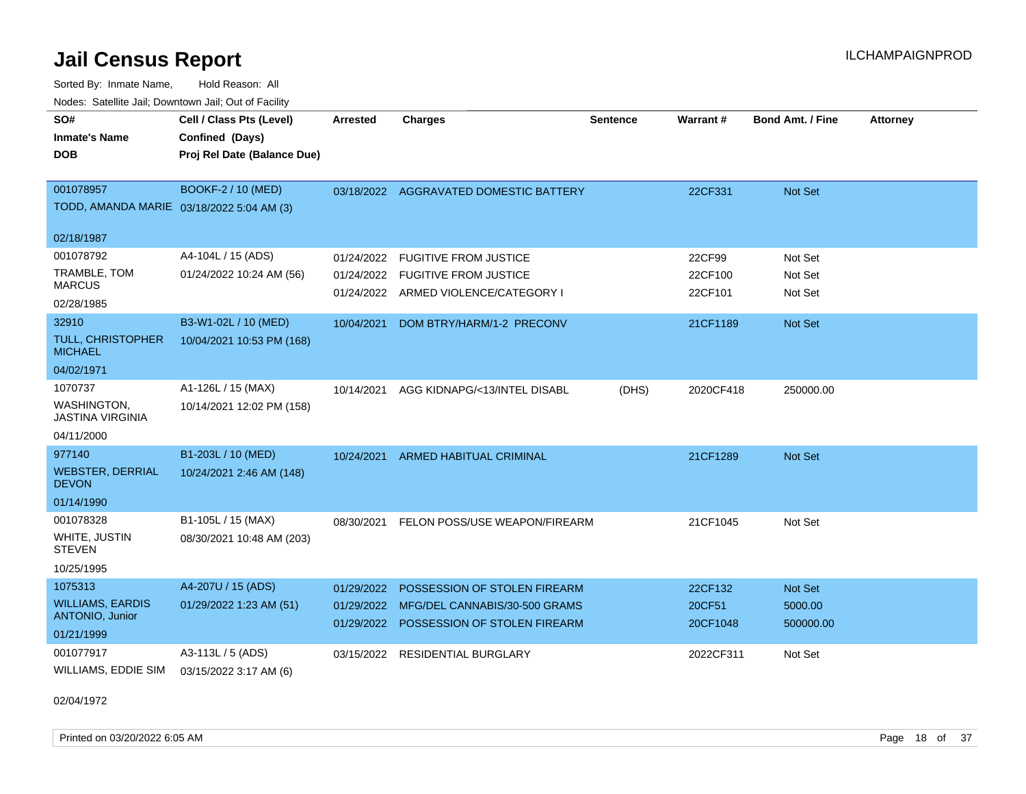Sorted By: Inmate Name, Hold Reason: All Nodes: Satellite Jail; Downtown Jail; Out of Facility

| SO#<br><b>Inmate's Name</b><br><b>DOB</b>                       | Cell / Class Pts (Level)<br>Confined (Days)<br>Proj Rel Date (Balance Due) | <b>Arrested</b> | <b>Charges</b>                                                           | <b>Sentence</b> | Warrant#           | <b>Bond Amt. / Fine</b> | <b>Attorney</b> |
|-----------------------------------------------------------------|----------------------------------------------------------------------------|-----------------|--------------------------------------------------------------------------|-----------------|--------------------|-------------------------|-----------------|
| 001078957<br>TODD, AMANDA MARIE 03/18/2022 5:04 AM (3)          | BOOKF-2 / 10 (MED)                                                         |                 | 03/18/2022 AGGRAVATED DOMESTIC BATTERY                                   |                 | 22CF331            | Not Set                 |                 |
| 02/18/1987                                                      |                                                                            |                 |                                                                          |                 |                    |                         |                 |
| 001078792                                                       | A4-104L / 15 (ADS)                                                         | 01/24/2022      | <b>FUGITIVE FROM JUSTICE</b>                                             |                 | 22CF99             | Not Set                 |                 |
| TRAMBLE, TOM<br><b>MARCUS</b>                                   | 01/24/2022 10:24 AM (56)                                                   |                 | 01/24/2022 FUGITIVE FROM JUSTICE<br>01/24/2022 ARMED VIOLENCE/CATEGORY I |                 | 22CF100<br>22CF101 | Not Set<br>Not Set      |                 |
| 02/28/1985<br>32910                                             | B3-W1-02L / 10 (MED)                                                       |                 |                                                                          |                 |                    |                         |                 |
| <b>TULL, CHRISTOPHER</b><br><b>MICHAEL</b>                      | 10/04/2021 10:53 PM (168)                                                  | 10/04/2021      | DOM BTRY/HARM/1-2 PRECONV                                                |                 | 21CF1189           | <b>Not Set</b>          |                 |
| 04/02/1971                                                      |                                                                            |                 |                                                                          |                 |                    |                         |                 |
| 1070737<br>WASHINGTON,<br><b>JASTINA VIRGINIA</b><br>04/11/2000 | A1-126L / 15 (MAX)<br>10/14/2021 12:02 PM (158)                            | 10/14/2021      | AGG KIDNAPG/<13/INTEL DISABL                                             | (DHS)           | 2020CF418          | 250000.00               |                 |
| 977140                                                          | B1-203L / 10 (MED)                                                         | 10/24/2021      | <b>ARMED HABITUAL CRIMINAL</b>                                           |                 | 21CF1289           | Not Set                 |                 |
| <b>WEBSTER, DERRIAL</b><br><b>DEVON</b>                         | 10/24/2021 2:46 AM (148)                                                   |                 |                                                                          |                 |                    |                         |                 |
| 01/14/1990                                                      |                                                                            |                 |                                                                          |                 |                    |                         |                 |
| 001078328<br>WHITE, JUSTIN<br><b>STEVEN</b><br>10/25/1995       | B1-105L / 15 (MAX)<br>08/30/2021 10:48 AM (203)                            | 08/30/2021      | FELON POSS/USE WEAPON/FIREARM                                            |                 | 21CF1045           | Not Set                 |                 |
| 1075313                                                         | A4-207U / 15 (ADS)                                                         | 01/29/2022      | POSSESSION OF STOLEN FIREARM                                             |                 | 22CF132            | <b>Not Set</b>          |                 |
| <b>WILLIAMS, EARDIS</b><br>ANTONIO, Junior                      | 01/29/2022 1:23 AM (51)                                                    | 01/29/2022      | MFG/DEL CANNABIS/30-500 GRAMS<br>01/29/2022 POSSESSION OF STOLEN FIREARM |                 | 20CF51<br>20CF1048 | 5000.00<br>500000.00    |                 |
| 01/21/1999                                                      |                                                                            |                 |                                                                          |                 |                    |                         |                 |
| 001077917<br>WILLIAMS, EDDIE SIM                                | A3-113L / 5 (ADS)<br>03/15/2022 3:17 AM (6)                                | 03/15/2022      | <b>RESIDENTIAL BURGLARY</b>                                              |                 | 2022CF311          | Not Set                 |                 |

02/04/1972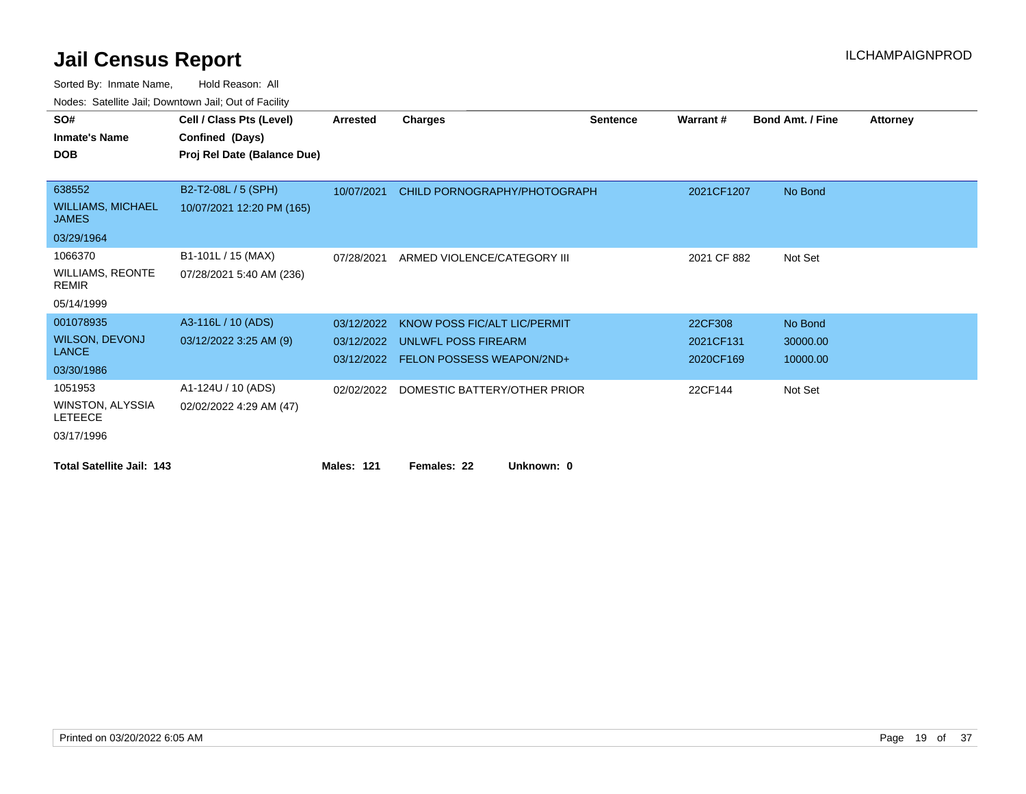| SO#                                      | Cell / Class Pts (Level)    | Arrested          | <b>Charges</b>                       | <b>Sentence</b> | Warrant#    | <b>Bond Amt. / Fine</b> | <b>Attorney</b> |
|------------------------------------------|-----------------------------|-------------------|--------------------------------------|-----------------|-------------|-------------------------|-----------------|
| <b>Inmate's Name</b>                     | Confined (Days)             |                   |                                      |                 |             |                         |                 |
| <b>DOB</b>                               | Proj Rel Date (Balance Due) |                   |                                      |                 |             |                         |                 |
|                                          |                             |                   |                                      |                 |             |                         |                 |
| 638552                                   | B2-T2-08L / 5 (SPH)         | 10/07/2021        | CHILD PORNOGRAPHY/PHOTOGRAPH         |                 | 2021CF1207  | No Bond                 |                 |
| <b>WILLIAMS, MICHAEL</b><br><b>JAMES</b> | 10/07/2021 12:20 PM (165)   |                   |                                      |                 |             |                         |                 |
| 03/29/1964                               |                             |                   |                                      |                 |             |                         |                 |
| 1066370                                  | B1-101L / 15 (MAX)          | 07/28/2021        | ARMED VIOLENCE/CATEGORY III          |                 | 2021 CF 882 | Not Set                 |                 |
| <b>WILLIAMS, REONTE</b><br><b>REMIR</b>  | 07/28/2021 5:40 AM (236)    |                   |                                      |                 |             |                         |                 |
| 05/14/1999                               |                             |                   |                                      |                 |             |                         |                 |
| 001078935                                | A3-116L / 10 (ADS)          | 03/12/2022        | KNOW POSS FIC/ALT LIC/PERMIT         |                 | 22CF308     | No Bond                 |                 |
| <b>WILSON, DEVONJ</b>                    | 03/12/2022 3:25 AM (9)      | 03/12/2022        | <b>UNLWFL POSS FIREARM</b>           |                 | 2021CF131   | 30000.00                |                 |
| <b>LANCE</b>                             |                             |                   | 03/12/2022 FELON POSSESS WEAPON/2ND+ |                 | 2020CF169   | 10000.00                |                 |
| 03/30/1986                               |                             |                   |                                      |                 |             |                         |                 |
| 1051953                                  | A1-124U / 10 (ADS)          | 02/02/2022        | DOMESTIC BATTERY/OTHER PRIOR         |                 | 22CF144     | Not Set                 |                 |
| WINSTON, ALYSSIA<br><b>LETEECE</b>       | 02/02/2022 4:29 AM (47)     |                   |                                      |                 |             |                         |                 |
| 03/17/1996                               |                             |                   |                                      |                 |             |                         |                 |
| <b>Total Satellite Jail: 143</b>         |                             | <b>Males: 121</b> | Females: 22<br>Unknown: 0            |                 |             |                         |                 |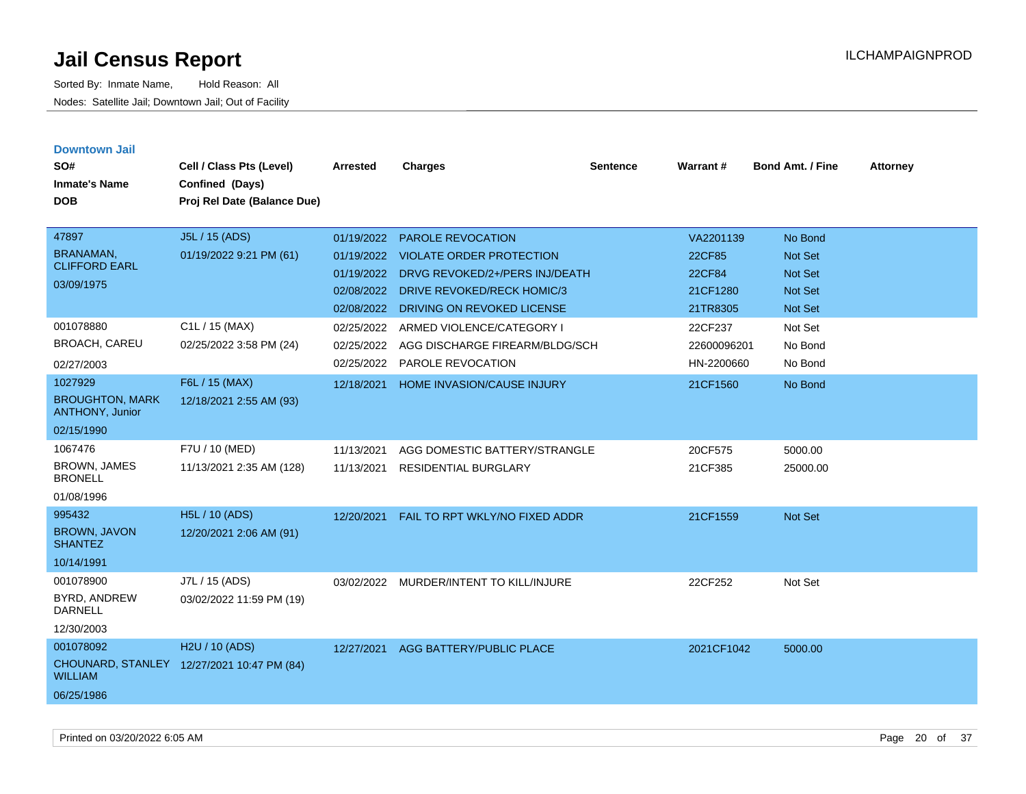| <b>Downtown Jail</b><br>SO#<br><b>Inmate's Name</b><br><b>DOB</b>  | Cell / Class Pts (Level)<br>Confined (Days)<br>Proj Rel Date (Balance Due) | Arrested                                                           | <b>Charges</b>                                                                                                                                            | <b>Sentence</b> | Warrant#                                              | <b>Bond Amt. / Fine</b>                                                  | <b>Attorney</b> |
|--------------------------------------------------------------------|----------------------------------------------------------------------------|--------------------------------------------------------------------|-----------------------------------------------------------------------------------------------------------------------------------------------------------|-----------------|-------------------------------------------------------|--------------------------------------------------------------------------|-----------------|
| 47897<br><b>BRANAMAN,</b><br><b>CLIFFORD EARL</b><br>03/09/1975    | J5L / 15 (ADS)<br>01/19/2022 9:21 PM (61)                                  | 01/19/2022<br>01/19/2022<br>01/19/2022<br>02/08/2022<br>02/08/2022 | <b>PAROLE REVOCATION</b><br><b>VIOLATE ORDER PROTECTION</b><br>DRVG REVOKED/2+/PERS INJ/DEATH<br>DRIVE REVOKED/RECK HOMIC/3<br>DRIVING ON REVOKED LICENSE |                 | VA2201139<br>22CF85<br>22CF84<br>21CF1280<br>21TR8305 | No Bond<br>Not Set<br><b>Not Set</b><br><b>Not Set</b><br><b>Not Set</b> |                 |
| 001078880<br><b>BROACH, CAREU</b><br>02/27/2003                    | C1L / 15 (MAX)<br>02/25/2022 3:58 PM (24)                                  | 02/25/2022<br>02/25/2022<br>02/25/2022                             | ARMED VIOLENCE/CATEGORY I<br>AGG DISCHARGE FIREARM/BLDG/SCH<br>PAROLE REVOCATION                                                                          |                 | 22CF237<br>22600096201<br>HN-2200660                  | Not Set<br>No Bond<br>No Bond                                            |                 |
| 1027929<br><b>BROUGHTON, MARK</b><br>ANTHONY, Junior<br>02/15/1990 | F6L / 15 (MAX)<br>12/18/2021 2:55 AM (93)                                  | 12/18/2021                                                         | <b>HOME INVASION/CAUSE INJURY</b>                                                                                                                         |                 | 21CF1560                                              | No Bond                                                                  |                 |
| 1067476<br><b>BROWN, JAMES</b><br><b>BRONELL</b><br>01/08/1996     | F7U / 10 (MED)<br>11/13/2021 2:35 AM (128)                                 | 11/13/2021<br>11/13/2021                                           | AGG DOMESTIC BATTERY/STRANGLE<br><b>RESIDENTIAL BURGLARY</b>                                                                                              |                 | 20CF575<br>21CF385                                    | 5000.00<br>25000.00                                                      |                 |
| 995432<br><b>BROWN, JAVON</b><br><b>SHANTEZ</b><br>10/14/1991      | <b>H5L / 10 (ADS)</b><br>12/20/2021 2:06 AM (91)                           | 12/20/2021                                                         | FAIL TO RPT WKLY/NO FIXED ADDR                                                                                                                            |                 | 21CF1559                                              | Not Set                                                                  |                 |
| 001078900<br>BYRD, ANDREW<br><b>DARNELL</b><br>12/30/2003          | J7L / 15 (ADS)<br>03/02/2022 11:59 PM (19)                                 | 03/02/2022                                                         | MURDER/INTENT TO KILL/INJURE                                                                                                                              |                 | 22CF252                                               | Not Set                                                                  |                 |
| 001078092<br><b>WILLIAM</b><br>06/25/1986                          | H2U / 10 (ADS)<br>CHOUNARD, STANLEY 12/27/2021 10:47 PM (84)               | 12/27/2021                                                         | <b>AGG BATTERY/PUBLIC PLACE</b>                                                                                                                           |                 | 2021CF1042                                            | 5000.00                                                                  |                 |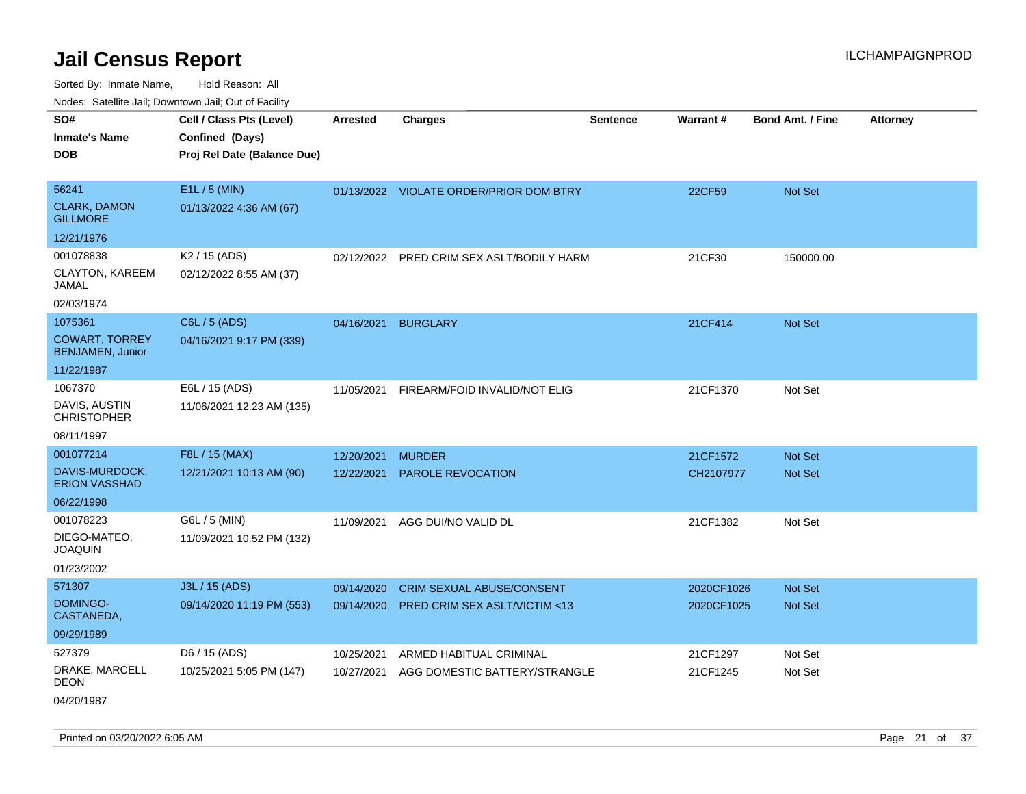Sorted By: Inmate Name, Hold Reason: All

| Nodes: Satellite Jail; Downtown Jail; Out of Facility |                             |            |                                           |                 |                 |                         |                 |  |  |
|-------------------------------------------------------|-----------------------------|------------|-------------------------------------------|-----------------|-----------------|-------------------------|-----------------|--|--|
| SO#                                                   | Cell / Class Pts (Level)    | Arrested   | <b>Charges</b>                            | <b>Sentence</b> | <b>Warrant#</b> | <b>Bond Amt. / Fine</b> | <b>Attorney</b> |  |  |
| <b>Inmate's Name</b>                                  | Confined (Days)             |            |                                           |                 |                 |                         |                 |  |  |
| <b>DOB</b>                                            | Proj Rel Date (Balance Due) |            |                                           |                 |                 |                         |                 |  |  |
|                                                       |                             |            |                                           |                 |                 |                         |                 |  |  |
| 56241                                                 | E1L / 5 (MIN)               |            | 01/13/2022 VIOLATE ORDER/PRIOR DOM BTRY   |                 | 22CF59          | Not Set                 |                 |  |  |
| <b>CLARK, DAMON</b><br><b>GILLMORE</b>                | 01/13/2022 4:36 AM (67)     |            |                                           |                 |                 |                         |                 |  |  |
| 12/21/1976                                            |                             |            |                                           |                 |                 |                         |                 |  |  |
| 001078838                                             | K <sub>2</sub> / 15 (ADS)   |            | 02/12/2022 PRED CRIM SEX ASLT/BODILY HARM |                 | 21CF30          | 150000.00               |                 |  |  |
| <b>CLAYTON, KAREEM</b><br><b>JAMAL</b>                | 02/12/2022 8:55 AM (37)     |            |                                           |                 |                 |                         |                 |  |  |
| 02/03/1974                                            |                             |            |                                           |                 |                 |                         |                 |  |  |
| 1075361                                               | C6L / 5 (ADS)               |            | 04/16/2021 BURGLARY                       |                 | 21CF414         | Not Set                 |                 |  |  |
| <b>COWART, TORREY</b><br><b>BENJAMEN, Junior</b>      | 04/16/2021 9:17 PM (339)    |            |                                           |                 |                 |                         |                 |  |  |
| 11/22/1987                                            |                             |            |                                           |                 |                 |                         |                 |  |  |
| 1067370                                               | E6L / 15 (ADS)              | 11/05/2021 | FIREARM/FOID INVALID/NOT ELIG             |                 | 21CF1370        | Not Set                 |                 |  |  |
| DAVIS, AUSTIN<br><b>CHRISTOPHER</b>                   | 11/06/2021 12:23 AM (135)   |            |                                           |                 |                 |                         |                 |  |  |
| 08/11/1997                                            |                             |            |                                           |                 |                 |                         |                 |  |  |
| 001077214                                             | F8L / 15 (MAX)              | 12/20/2021 | <b>MURDER</b>                             |                 | 21CF1572        | Not Set                 |                 |  |  |
| DAVIS-MURDOCK,<br><b>ERION VASSHAD</b>                | 12/21/2021 10:13 AM (90)    | 12/22/2021 | <b>PAROLE REVOCATION</b>                  |                 | CH2107977       | Not Set                 |                 |  |  |
| 06/22/1998                                            |                             |            |                                           |                 |                 |                         |                 |  |  |
| 001078223                                             | G6L / 5 (MIN)               | 11/09/2021 | AGG DUI/NO VALID DL                       |                 | 21CF1382        | Not Set                 |                 |  |  |
| DIEGO-MATEO,<br><b>JOAQUIN</b>                        | 11/09/2021 10:52 PM (132)   |            |                                           |                 |                 |                         |                 |  |  |
| 01/23/2002                                            |                             |            |                                           |                 |                 |                         |                 |  |  |
| 571307                                                | J3L / 15 (ADS)              | 09/14/2020 | <b>CRIM SEXUAL ABUSE/CONSENT</b>          |                 | 2020CF1026      | Not Set                 |                 |  |  |
| <b>DOMINGO-</b><br>CASTANEDA,                         | 09/14/2020 11:19 PM (553)   | 09/14/2020 | <b>PRED CRIM SEX ASLT/VICTIM &lt;13</b>   |                 | 2020CF1025      | Not Set                 |                 |  |  |
| 09/29/1989                                            |                             |            |                                           |                 |                 |                         |                 |  |  |
| 527379                                                | D6 / 15 (ADS)               | 10/25/2021 | ARMED HABITUAL CRIMINAL                   |                 | 21CF1297        | Not Set                 |                 |  |  |
| DRAKE, MARCELL<br><b>DEON</b>                         | 10/25/2021 5:05 PM (147)    | 10/27/2021 | AGG DOMESTIC BATTERY/STRANGLE             |                 | 21CF1245        | Not Set                 |                 |  |  |
| 04/20/1987                                            |                             |            |                                           |                 |                 |                         |                 |  |  |

Printed on 03/20/2022 6:05 AM Page 21 of 37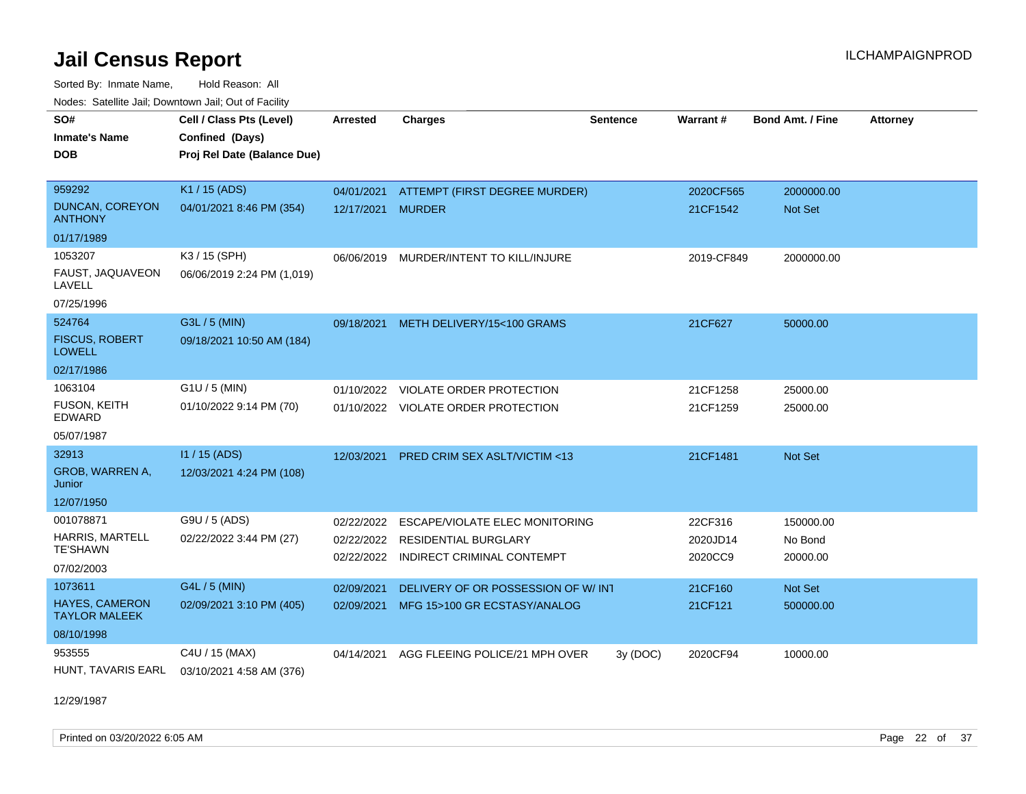Sorted By: Inmate Name, Hold Reason: All Nodes: Satellite Jail; Downtown Jail; Out of Facility

| SO#<br><b>Inmate's Name</b>                   | Cell / Class Pts (Level)<br>Confined (Days) | <b>Arrested</b> | <b>Charges</b>                          | <b>Sentence</b> | Warrant#   | <b>Bond Amt. / Fine</b> | <b>Attorney</b> |
|-----------------------------------------------|---------------------------------------------|-----------------|-----------------------------------------|-----------------|------------|-------------------------|-----------------|
| <b>DOB</b>                                    | Proj Rel Date (Balance Due)                 |                 |                                         |                 |            |                         |                 |
|                                               |                                             |                 |                                         |                 |            |                         |                 |
| 959292                                        | K1 / 15 (ADS)                               | 04/01/2021      | ATTEMPT (FIRST DEGREE MURDER)           |                 | 2020CF565  | 2000000.00              |                 |
| <b>DUNCAN, COREYON</b><br><b>ANTHONY</b>      | 04/01/2021 8:46 PM (354)                    | 12/17/2021      | <b>MURDER</b>                           |                 | 21CF1542   | <b>Not Set</b>          |                 |
| 01/17/1989                                    |                                             |                 |                                         |                 |            |                         |                 |
| 1053207                                       | K3 / 15 (SPH)                               | 06/06/2019      | MURDER/INTENT TO KILL/INJURE            |                 | 2019-CF849 | 2000000.00              |                 |
| FAUST, JAQUAVEON<br>LAVELL                    | 06/06/2019 2:24 PM (1,019)                  |                 |                                         |                 |            |                         |                 |
| 07/25/1996                                    |                                             |                 |                                         |                 |            |                         |                 |
| 524764                                        | G3L / 5 (MIN)                               | 09/18/2021      | METH DELIVERY/15<100 GRAMS              |                 | 21CF627    | 50000.00                |                 |
| <b>FISCUS, ROBERT</b><br><b>LOWELL</b>        | 09/18/2021 10:50 AM (184)                   |                 |                                         |                 |            |                         |                 |
| 02/17/1986                                    |                                             |                 |                                         |                 |            |                         |                 |
| 1063104                                       | $G1U / 5$ (MIN)                             | 01/10/2022      | <b>VIOLATE ORDER PROTECTION</b>         |                 | 21CF1258   | 25000.00                |                 |
| <b>FUSON, KEITH</b><br><b>EDWARD</b>          | 01/10/2022 9:14 PM (70)                     |                 | 01/10/2022 VIOLATE ORDER PROTECTION     |                 | 21CF1259   | 25000.00                |                 |
| 05/07/1987                                    |                                             |                 |                                         |                 |            |                         |                 |
| 32913                                         | $11/15$ (ADS)                               | 12/03/2021      | <b>PRED CRIM SEX ASLT/VICTIM &lt;13</b> |                 | 21CF1481   | <b>Not Set</b>          |                 |
| GROB, WARREN A,<br>Junior                     | 12/03/2021 4:24 PM (108)                    |                 |                                         |                 |            |                         |                 |
| 12/07/1950                                    |                                             |                 |                                         |                 |            |                         |                 |
| 001078871                                     | G9U / 5 (ADS)                               | 02/22/2022      | ESCAPE/VIOLATE ELEC MONITORING          |                 | 22CF316    | 150000.00               |                 |
| <b>HARRIS, MARTELL</b>                        | 02/22/2022 3:44 PM (27)                     |                 | 02/22/2022 RESIDENTIAL BURGLARY         |                 | 2020JD14   | No Bond                 |                 |
| <b>TE'SHAWN</b>                               |                                             | 02/22/2022      | INDIRECT CRIMINAL CONTEMPT              |                 | 2020CC9    | 20000.00                |                 |
| 07/02/2003                                    |                                             |                 |                                         |                 |            |                         |                 |
| 1073611                                       | G4L / 5 (MIN)                               | 02/09/2021      | DELIVERY OF OR POSSESSION OF W/INT      |                 | 21CF160    | Not Set                 |                 |
| <b>HAYES, CAMERON</b><br><b>TAYLOR MALEEK</b> | 02/09/2021 3:10 PM (405)                    | 02/09/2021      | MFG 15>100 GR ECSTASY/ANALOG            |                 | 21CF121    | 500000.00               |                 |
| 08/10/1998                                    |                                             |                 |                                         |                 |            |                         |                 |
| 953555                                        | C4U / 15 (MAX)                              | 04/14/2021      | AGG FLEEING POLICE/21 MPH OVER          | 3y(DOC)         | 2020CF94   | 10000.00                |                 |
| HUNT, TAVARIS EARL                            | 03/10/2021 4:58 AM (376)                    |                 |                                         |                 |            |                         |                 |

12/29/1987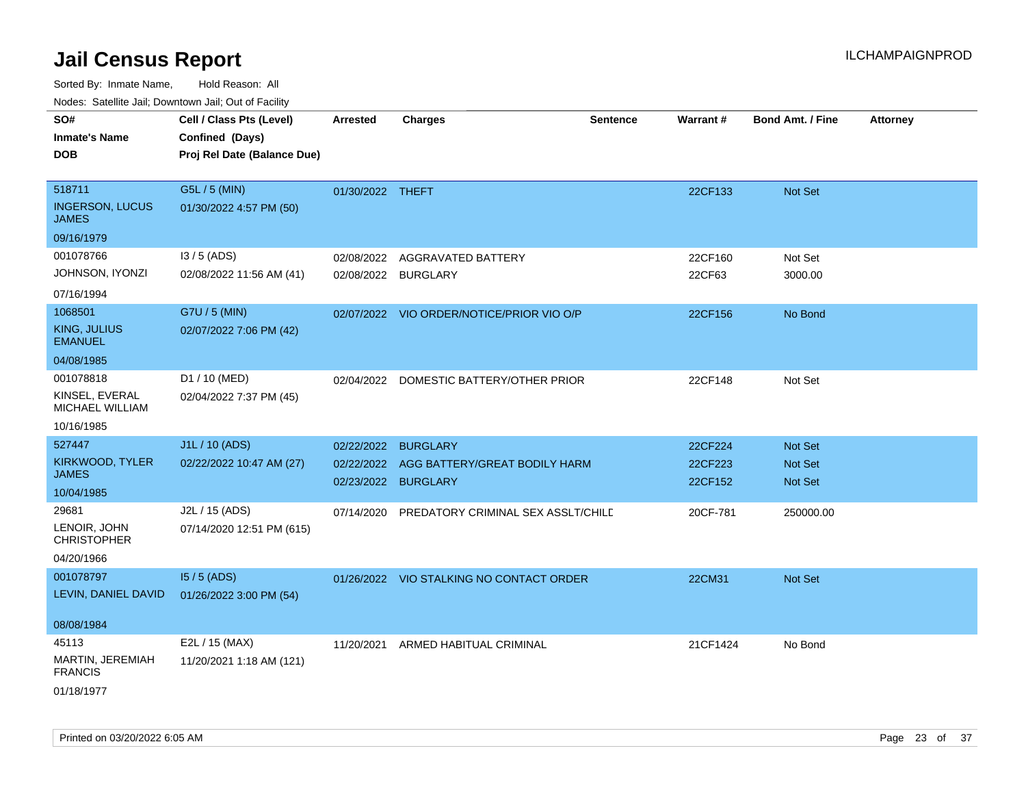Sorted By: Inmate Name, Hold Reason: All

| Nodes: Satellite Jail; Downtown Jail; Out of Facility |  |
|-------------------------------------------------------|--|
|-------------------------------------------------------|--|

| SO#                                    | Cell / Class Pts (Level)    | <b>Arrested</b>     | Charges                                   | <b>Sentence</b> | <b>Warrant#</b> | <b>Bond Amt. / Fine</b> | <b>Attorney</b> |
|----------------------------------------|-----------------------------|---------------------|-------------------------------------------|-----------------|-----------------|-------------------------|-----------------|
| <b>Inmate's Name</b>                   | Confined (Days)             |                     |                                           |                 |                 |                         |                 |
| <b>DOB</b>                             | Proj Rel Date (Balance Due) |                     |                                           |                 |                 |                         |                 |
|                                        |                             |                     |                                           |                 |                 |                         |                 |
| 518711                                 | G5L / 5 (MIN)               | 01/30/2022 THEFT    |                                           |                 | 22CF133         | Not Set                 |                 |
| <b>INGERSON, LUCUS</b><br><b>JAMES</b> | 01/30/2022 4:57 PM (50)     |                     |                                           |                 |                 |                         |                 |
| 09/16/1979                             |                             |                     |                                           |                 |                 |                         |                 |
| 001078766                              | $13/5$ (ADS)                | 02/08/2022          | AGGRAVATED BATTERY                        |                 | 22CF160         | Not Set                 |                 |
| JOHNSON, IYONZI                        | 02/08/2022 11:56 AM (41)    | 02/08/2022 BURGLARY |                                           |                 | 22CF63          | 3000.00                 |                 |
| 07/16/1994                             |                             |                     |                                           |                 |                 |                         |                 |
| 1068501                                | G7U / 5 (MIN)               |                     | 02/07/2022 VIO ORDER/NOTICE/PRIOR VIO O/P |                 | 22CF156         | No Bond                 |                 |
| <b>KING, JULIUS</b><br><b>EMANUEL</b>  | 02/07/2022 7:06 PM (42)     |                     |                                           |                 |                 |                         |                 |
| 04/08/1985                             |                             |                     |                                           |                 |                 |                         |                 |
| 001078818                              | D1 / 10 (MED)               |                     | 02/04/2022 DOMESTIC BATTERY/OTHER PRIOR   |                 | 22CF148         | Not Set                 |                 |
| KINSEL, EVERAL<br>MICHAEL WILLIAM      | 02/04/2022 7:37 PM (45)     |                     |                                           |                 |                 |                         |                 |
| 10/16/1985                             |                             |                     |                                           |                 |                 |                         |                 |
| 527447                                 | J1L / 10 (ADS)              | 02/22/2022          | <b>BURGLARY</b>                           |                 | 22CF224         | Not Set                 |                 |
| KIRKWOOD, TYLER                        | 02/22/2022 10:47 AM (27)    | 02/22/2022          | AGG BATTERY/GREAT BODILY HARM             |                 | 22CF223         | Not Set                 |                 |
| <b>JAMES</b>                           |                             | 02/23/2022          | <b>BURGLARY</b>                           |                 | 22CF152         | Not Set                 |                 |
| 10/04/1985                             |                             |                     |                                           |                 |                 |                         |                 |
| 29681                                  | J2L / 15 (ADS)              | 07/14/2020          | PREDATORY CRIMINAL SEX ASSLT/CHILE        |                 | 20CF-781        | 250000.00               |                 |
| LENOIR, JOHN<br><b>CHRISTOPHER</b>     | 07/14/2020 12:51 PM (615)   |                     |                                           |                 |                 |                         |                 |
| 04/20/1966                             |                             |                     |                                           |                 |                 |                         |                 |
| 001078797                              | $15/5$ (ADS)                |                     | 01/26/2022 VIO STALKING NO CONTACT ORDER  |                 | 22CM31          | Not Set                 |                 |
| LEVIN, DANIEL DAVID                    | 01/26/2022 3:00 PM (54)     |                     |                                           |                 |                 |                         |                 |
| 08/08/1984                             |                             |                     |                                           |                 |                 |                         |                 |
| 45113                                  | E2L / 15 (MAX)              | 11/20/2021          | ARMED HABITUAL CRIMINAL                   |                 | 21CF1424        | No Bond                 |                 |
| MARTIN, JEREMIAH<br><b>FRANCIS</b>     | 11/20/2021 1:18 AM (121)    |                     |                                           |                 |                 |                         |                 |
| 01/18/1977                             |                             |                     |                                           |                 |                 |                         |                 |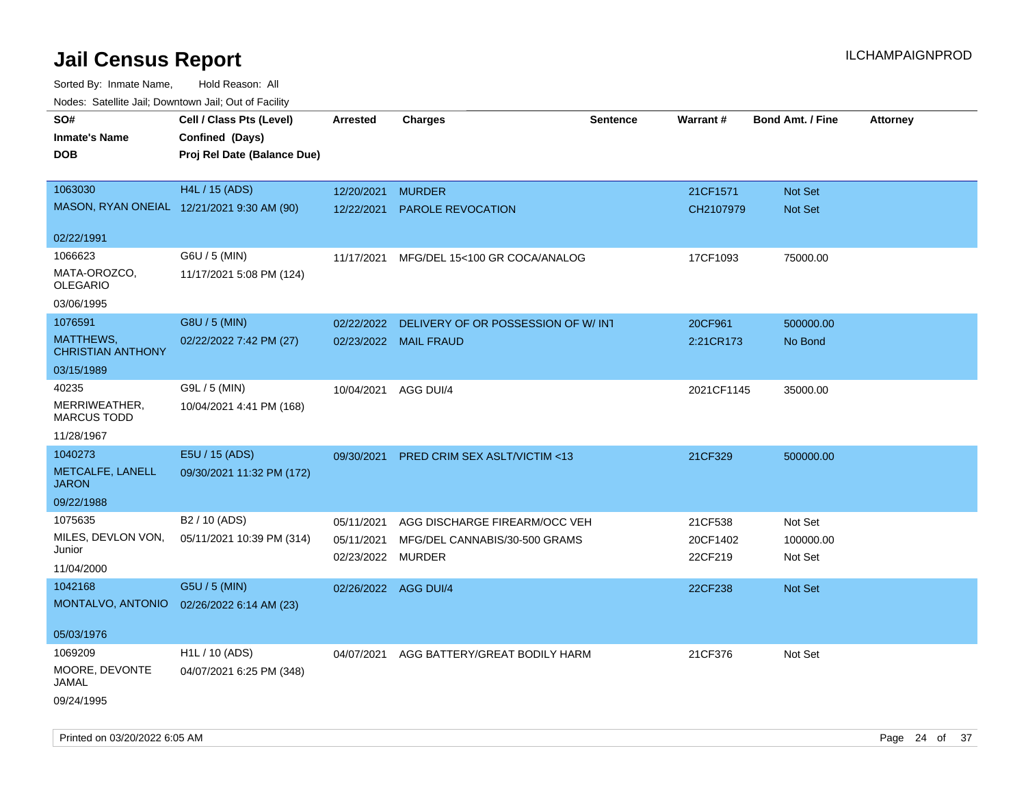| Noues. Salenne Jan, Downtown Jan, Out of Facility |                             |                      |                                         |          |            |                         |                 |
|---------------------------------------------------|-----------------------------|----------------------|-----------------------------------------|----------|------------|-------------------------|-----------------|
| SO#                                               | Cell / Class Pts (Level)    | Arrested             | <b>Charges</b>                          | Sentence | Warrant#   | <b>Bond Amt. / Fine</b> | <b>Attorney</b> |
| <b>Inmate's Name</b>                              | Confined (Days)             |                      |                                         |          |            |                         |                 |
| DOB                                               | Proj Rel Date (Balance Due) |                      |                                         |          |            |                         |                 |
|                                                   |                             |                      |                                         |          |            |                         |                 |
| 1063030                                           | <b>H4L / 15 (ADS)</b>       | 12/20/2021           | <b>MURDER</b>                           |          | 21CF1571   | Not Set                 |                 |
| MASON, RYAN ONEIAL 12/21/2021 9:30 AM (90)        |                             | 12/22/2021           | PAROLE REVOCATION                       |          | CH2107979  | Not Set                 |                 |
|                                                   |                             |                      |                                         |          |            |                         |                 |
| 02/22/1991                                        |                             |                      |                                         |          |            |                         |                 |
| 1066623                                           | G6U / 5 (MIN)               | 11/17/2021           | MFG/DEL 15<100 GR COCA/ANALOG           |          | 17CF1093   | 75000.00                |                 |
| MATA-OROZCO,<br><b>OLEGARIO</b>                   | 11/17/2021 5:08 PM (124)    |                      |                                         |          |            |                         |                 |
| 03/06/1995                                        |                             |                      |                                         |          |            |                         |                 |
| 1076591                                           | G8U / 5 (MIN)               | 02/22/2022           | DELIVERY OF OR POSSESSION OF W/INT      |          | 20CF961    | 500000.00               |                 |
| MATTHEWS,<br><b>CHRISTIAN ANTHONY</b>             | 02/22/2022 7:42 PM (27)     | 02/23/2022           | <b>MAIL FRAUD</b>                       |          | 2:21CR173  | No Bond                 |                 |
| 03/15/1989                                        |                             |                      |                                         |          |            |                         |                 |
| 40235                                             | G9L / 5 (MIN)               | 10/04/2021           | AGG DUI/4                               |          | 2021CF1145 | 35000.00                |                 |
| MERRIWEATHER,<br><b>MARCUS TODD</b>               | 10/04/2021 4:41 PM (168)    |                      |                                         |          |            |                         |                 |
| 11/28/1967                                        |                             |                      |                                         |          |            |                         |                 |
| 1040273                                           | E5U / 15 (ADS)              | 09/30/2021           | <b>PRED CRIM SEX ASLT/VICTIM &lt;13</b> |          | 21CF329    | 500000.00               |                 |
| METCALFE, LANELL<br><b>JARON</b>                  | 09/30/2021 11:32 PM (172)   |                      |                                         |          |            |                         |                 |
| 09/22/1988                                        |                             |                      |                                         |          |            |                         |                 |
| 1075635                                           | B <sub>2</sub> / 10 (ADS)   | 05/11/2021           | AGG DISCHARGE FIREARM/OCC VEH           |          | 21CF538    | Not Set                 |                 |
| MILES, DEVLON VON,                                | 05/11/2021 10:39 PM (314)   | 05/11/2021           | MFG/DEL CANNABIS/30-500 GRAMS           |          | 20CF1402   | 100000.00               |                 |
| Junior                                            |                             | 02/23/2022           | MURDER                                  |          | 22CF219    | Not Set                 |                 |
| 11/04/2000                                        |                             |                      |                                         |          |            |                         |                 |
| 1042168                                           | G5U / 5 (MIN)               | 02/26/2022 AGG DUI/4 |                                         |          | 22CF238    | Not Set                 |                 |
| MONTALVO, ANTONIO                                 | 02/26/2022 6:14 AM (23)     |                      |                                         |          |            |                         |                 |
| 05/03/1976                                        |                             |                      |                                         |          |            |                         |                 |
| 1069209                                           | H1L / 10 (ADS)              | 04/07/2021           | AGG BATTERY/GREAT BODILY HARM           |          | 21CF376    | Not Set                 |                 |
| MOORE, DEVONTE<br>JAMAL                           | 04/07/2021 6:25 PM (348)    |                      |                                         |          |            |                         |                 |
| 09/24/1995                                        |                             |                      |                                         |          |            |                         |                 |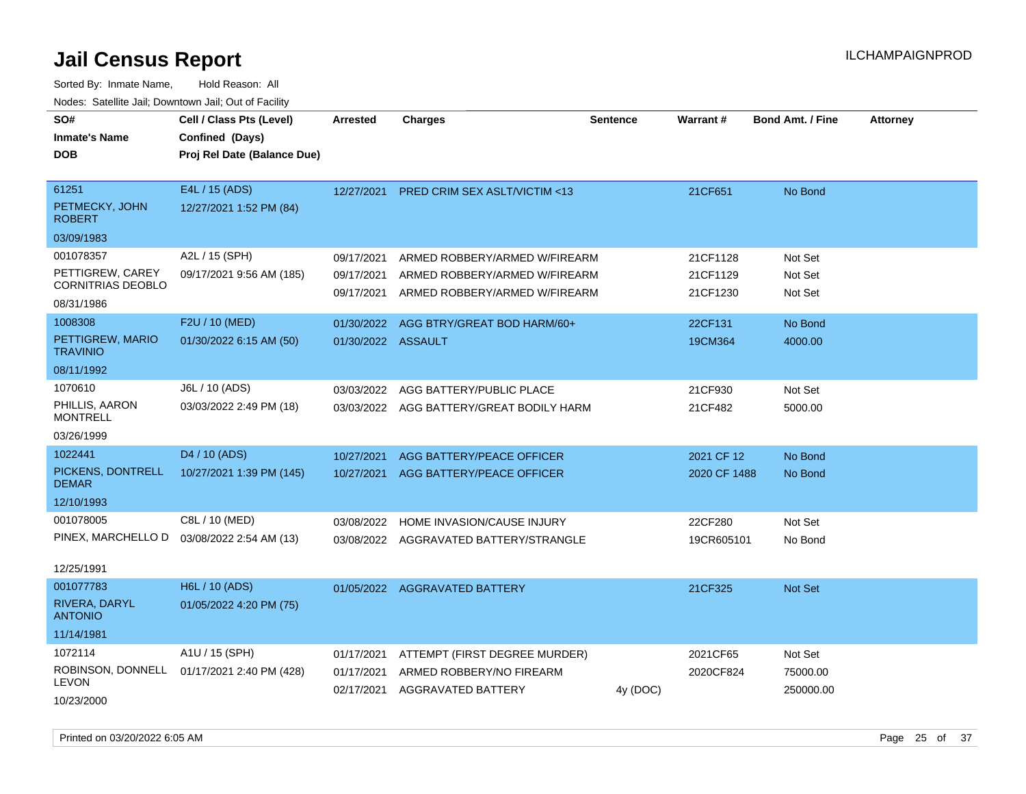| SO#<br><b>Inmate's Name</b><br><b>DOB</b>                               | Cell / Class Pts (Level)<br>Confined (Days)<br>Proj Rel Date (Balance Due) | <b>Arrested</b>                        | <b>Charges</b>                                                                                  | <b>Sentence</b> | <b>Warrant#</b>                  | <b>Bond Amt. / Fine</b>          | <b>Attorney</b> |
|-------------------------------------------------------------------------|----------------------------------------------------------------------------|----------------------------------------|-------------------------------------------------------------------------------------------------|-----------------|----------------------------------|----------------------------------|-----------------|
| 61251<br>PETMECKY, JOHN<br><b>ROBERT</b><br>03/09/1983                  | E4L / 15 (ADS)<br>12/27/2021 1:52 PM (84)                                  | 12/27/2021                             | PRED CRIM SEX ASLT/VICTIM <13                                                                   |                 | 21CF651                          | No Bond                          |                 |
| 001078357<br>PETTIGREW, CAREY<br><b>CORNITRIAS DEOBLO</b><br>08/31/1986 | A2L / 15 (SPH)<br>09/17/2021 9:56 AM (185)                                 | 09/17/2021<br>09/17/2021<br>09/17/2021 | ARMED ROBBERY/ARMED W/FIREARM<br>ARMED ROBBERY/ARMED W/FIREARM<br>ARMED ROBBERY/ARMED W/FIREARM |                 | 21CF1128<br>21CF1129<br>21CF1230 | Not Set<br>Not Set<br>Not Set    |                 |
| 1008308<br>PETTIGREW, MARIO<br><b>TRAVINIO</b><br>08/11/1992            | F2U / 10 (MED)<br>01/30/2022 6:15 AM (50)                                  | 01/30/2022<br>01/30/2022 ASSAULT       | AGG BTRY/GREAT BOD HARM/60+                                                                     |                 | 22CF131<br>19CM364               | No Bond<br>4000.00               |                 |
| 1070610<br>PHILLIS, AARON<br><b>MONTRELL</b><br>03/26/1999              | J6L / 10 (ADS)<br>03/03/2022 2:49 PM (18)                                  | 03/03/2022                             | AGG BATTERY/PUBLIC PLACE<br>03/03/2022 AGG BATTERY/GREAT BODILY HARM                            |                 | 21CF930<br>21CF482               | Not Set<br>5000.00               |                 |
| 1022441<br>PICKENS, DONTRELL<br><b>DEMAR</b><br>12/10/1993              | D4 / 10 (ADS)<br>10/27/2021 1:39 PM (145)                                  | 10/27/2021                             | AGG BATTERY/PEACE OFFICER<br>10/27/2021 AGG BATTERY/PEACE OFFICER                               |                 | 2021 CF 12<br>2020 CF 1488       | No Bond<br>No Bond               |                 |
| 001078005<br>PINEX, MARCHELLO D<br>12/25/1991                           | C8L / 10 (MED)<br>03/08/2022 2:54 AM (13)                                  | 03/08/2022                             | HOME INVASION/CAUSE INJURY<br>03/08/2022 AGGRAVATED BATTERY/STRANGLE                            |                 | 22CF280<br>19CR605101            | Not Set<br>No Bond               |                 |
| 001077783<br>RIVERA, DARYL<br><b>ANTONIO</b><br>11/14/1981              | H6L / 10 (ADS)<br>01/05/2022 4:20 PM (75)                                  |                                        | 01/05/2022 AGGRAVATED BATTERY                                                                   |                 | 21CF325                          | Not Set                          |                 |
| 1072114<br>ROBINSON, DONNELL<br><b>LEVON</b><br>10/23/2000              | A1U / 15 (SPH)<br>01/17/2021 2:40 PM (428)                                 | 01/17/2021<br>01/17/2021               | ATTEMPT (FIRST DEGREE MURDER)<br>ARMED ROBBERY/NO FIREARM<br>02/17/2021 AGGRAVATED BATTERY      | 4y (DOC)        | 2021CF65<br>2020CF824            | Not Set<br>75000.00<br>250000.00 |                 |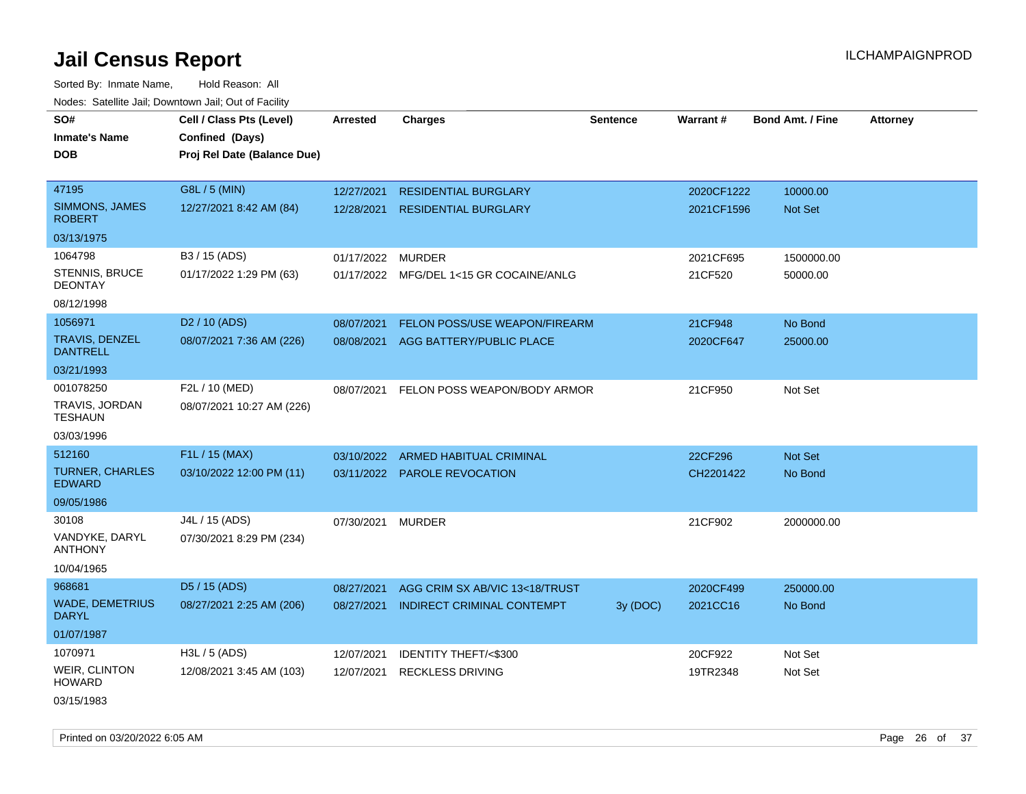Sorted By: Inmate Name, Hold Reason: All Nodes: Satellite Jail; Downtown Jail; Out of Facility

| rougs. Calcing Jan, Downtown Jan, Out of Facinty |                                                                            |                 |                                         |                 |                 |                         |                 |
|--------------------------------------------------|----------------------------------------------------------------------------|-----------------|-----------------------------------------|-----------------|-----------------|-------------------------|-----------------|
| SO#<br><b>Inmate's Name</b><br><b>DOB</b>        | Cell / Class Pts (Level)<br>Confined (Days)<br>Proj Rel Date (Balance Due) | <b>Arrested</b> | Charges                                 | <b>Sentence</b> | <b>Warrant#</b> | <b>Bond Amt. / Fine</b> | <b>Attorney</b> |
| 47195                                            | G8L / 5 (MIN)                                                              | 12/27/2021      | <b>RESIDENTIAL BURGLARY</b>             |                 | 2020CF1222      | 10000.00                |                 |
| SIMMONS, JAMES<br><b>ROBERT</b>                  | 12/27/2021 8:42 AM (84)                                                    | 12/28/2021      | <b>RESIDENTIAL BURGLARY</b>             |                 | 2021CF1596      | <b>Not Set</b>          |                 |
| 03/13/1975                                       |                                                                            |                 |                                         |                 |                 |                         |                 |
| 1064798                                          | B3 / 15 (ADS)                                                              | 01/17/2022      | <b>MURDER</b>                           |                 | 2021CF695       | 1500000.00              |                 |
| <b>STENNIS, BRUCE</b><br><b>DEONTAY</b>          | 01/17/2022 1:29 PM (63)                                                    |                 | 01/17/2022 MFG/DEL 1<15 GR COCAINE/ANLG |                 | 21CF520         | 50000.00                |                 |
| 08/12/1998                                       |                                                                            |                 |                                         |                 |                 |                         |                 |
| 1056971                                          | D <sub>2</sub> / 10 (ADS)                                                  | 08/07/2021      | FELON POSS/USE WEAPON/FIREARM           |                 | 21CF948         | No Bond                 |                 |
| <b>TRAVIS, DENZEL</b><br><b>DANTRELL</b>         | 08/07/2021 7:36 AM (226)                                                   | 08/08/2021      | AGG BATTERY/PUBLIC PLACE                |                 | 2020CF647       | 25000.00                |                 |
| 03/21/1993                                       |                                                                            |                 |                                         |                 |                 |                         |                 |
| 001078250                                        | F2L / 10 (MED)                                                             | 08/07/2021      | FELON POSS WEAPON/BODY ARMOR            |                 | 21CF950         | Not Set                 |                 |
| TRAVIS, JORDAN<br>TESHAUN                        | 08/07/2021 10:27 AM (226)                                                  |                 |                                         |                 |                 |                         |                 |
| 03/03/1996                                       |                                                                            |                 |                                         |                 |                 |                         |                 |
| 512160                                           | F1L / 15 (MAX)                                                             | 03/10/2022      | ARMED HABITUAL CRIMINAL                 |                 | 22CF296         | <b>Not Set</b>          |                 |
| <b>TURNER, CHARLES</b><br><b>EDWARD</b>          | 03/10/2022 12:00 PM (11)                                                   |                 | 03/11/2022 PAROLE REVOCATION            |                 | CH2201422       | No Bond                 |                 |
| 09/05/1986                                       |                                                                            |                 |                                         |                 |                 |                         |                 |
| 30108                                            | J4L / 15 (ADS)                                                             | 07/30/2021      | MURDER                                  |                 | 21CF902         | 2000000.00              |                 |
| VANDYKE, DARYL<br><b>ANTHONY</b>                 | 07/30/2021 8:29 PM (234)                                                   |                 |                                         |                 |                 |                         |                 |
| 10/04/1965                                       |                                                                            |                 |                                         |                 |                 |                         |                 |
| 968681                                           | D5 / 15 (ADS)                                                              | 08/27/2021      | AGG CRIM SX AB/VIC 13<18/TRUST          |                 | 2020CF499       | 250000.00               |                 |
| <b>WADE, DEMETRIUS</b><br><b>DARYL</b>           | 08/27/2021 2:25 AM (206)                                                   | 08/27/2021      | INDIRECT CRIMINAL CONTEMPT              | 3y (DOC)        | 2021CC16        | No Bond                 |                 |
| 01/07/1987                                       |                                                                            |                 |                                         |                 |                 |                         |                 |
| 1070971                                          | $H3L / 5$ (ADS)                                                            | 12/07/2021      | <b>IDENTITY THEFT/&lt;\$300</b>         |                 | 20CF922         | Not Set                 |                 |
| <b>WEIR, CLINTON</b><br><b>HOWARD</b>            | 12/08/2021 3:45 AM (103)                                                   | 12/07/2021      | <b>RECKLESS DRIVING</b>                 |                 | 19TR2348        | Not Set                 |                 |
| 03/15/1983                                       |                                                                            |                 |                                         |                 |                 |                         |                 |

Printed on 03/20/2022 6:05 AM Page 26 of 37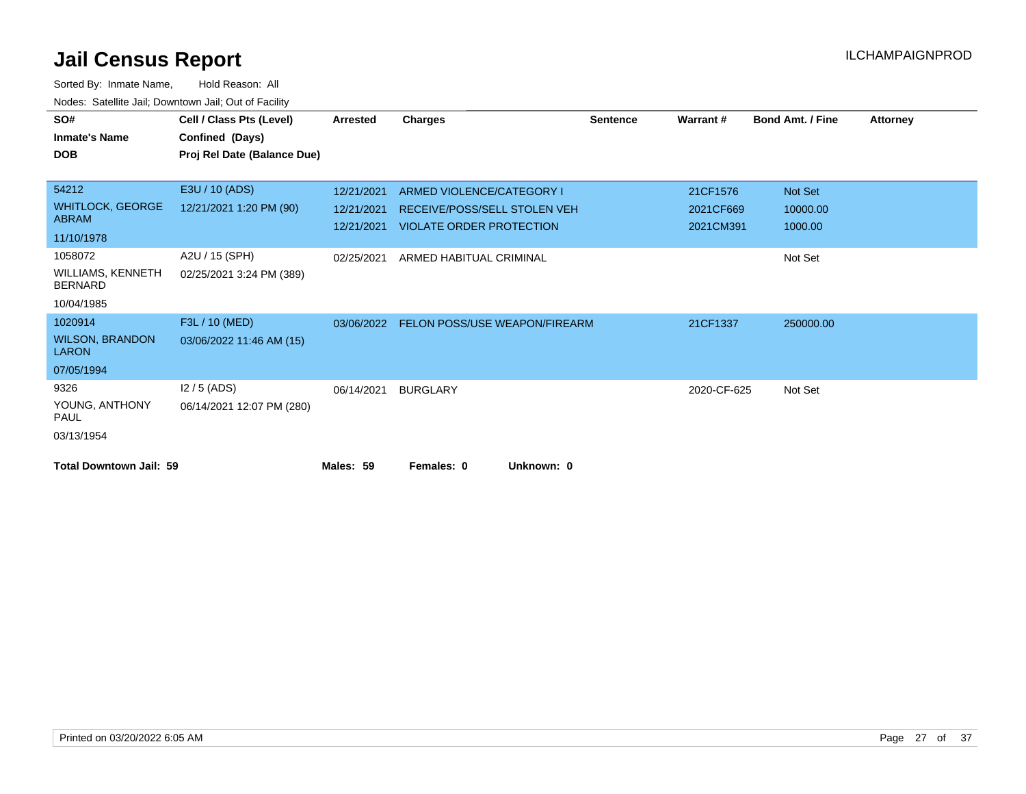| SO#                                        | Cell / Class Pts (Level)    | Arrested   | <b>Charges</b>                  | <b>Sentence</b> | Warrant#    | <b>Bond Amt. / Fine</b> | <b>Attorney</b> |
|--------------------------------------------|-----------------------------|------------|---------------------------------|-----------------|-------------|-------------------------|-----------------|
| <b>Inmate's Name</b>                       | Confined (Days)             |            |                                 |                 |             |                         |                 |
| <b>DOB</b>                                 | Proj Rel Date (Balance Due) |            |                                 |                 |             |                         |                 |
|                                            |                             |            |                                 |                 |             |                         |                 |
| 54212                                      | E3U / 10 (ADS)              | 12/21/2021 | ARMED VIOLENCE/CATEGORY I       |                 | 21CF1576    | Not Set                 |                 |
| <b>WHITLOCK, GEORGE</b>                    | 12/21/2021 1:20 PM (90)     | 12/21/2021 | RECEIVE/POSS/SELL STOLEN VEH    |                 | 2021CF669   | 10000.00                |                 |
| <b>ABRAM</b>                               |                             | 12/21/2021 | <b>VIOLATE ORDER PROTECTION</b> |                 | 2021CM391   | 1000.00                 |                 |
| 11/10/1978                                 |                             |            |                                 |                 |             |                         |                 |
| 1058072                                    | A2U / 15 (SPH)              | 02/25/2021 | ARMED HABITUAL CRIMINAL         |                 |             | Not Set                 |                 |
| <b>WILLIAMS, KENNETH</b><br><b>BERNARD</b> | 02/25/2021 3:24 PM (389)    |            |                                 |                 |             |                         |                 |
| 10/04/1985                                 |                             |            |                                 |                 |             |                         |                 |
| 1020914                                    | F3L / 10 (MED)              | 03/06/2022 | FELON POSS/USE WEAPON/FIREARM   |                 | 21CF1337    | 250000.00               |                 |
| <b>WILSON, BRANDON</b><br><b>LARON</b>     | 03/06/2022 11:46 AM (15)    |            |                                 |                 |             |                         |                 |
| 07/05/1994                                 |                             |            |                                 |                 |             |                         |                 |
| 9326                                       | $12/5$ (ADS)                | 06/14/2021 | <b>BURGLARY</b>                 |                 | 2020-CF-625 | Not Set                 |                 |
| YOUNG, ANTHONY<br>PAUL                     | 06/14/2021 12:07 PM (280)   |            |                                 |                 |             |                         |                 |
| 03/13/1954                                 |                             |            |                                 |                 |             |                         |                 |
| <b>Total Downtown Jail: 59</b>             |                             | Males: 59  | Females: 0<br>Unknown: 0        |                 |             |                         |                 |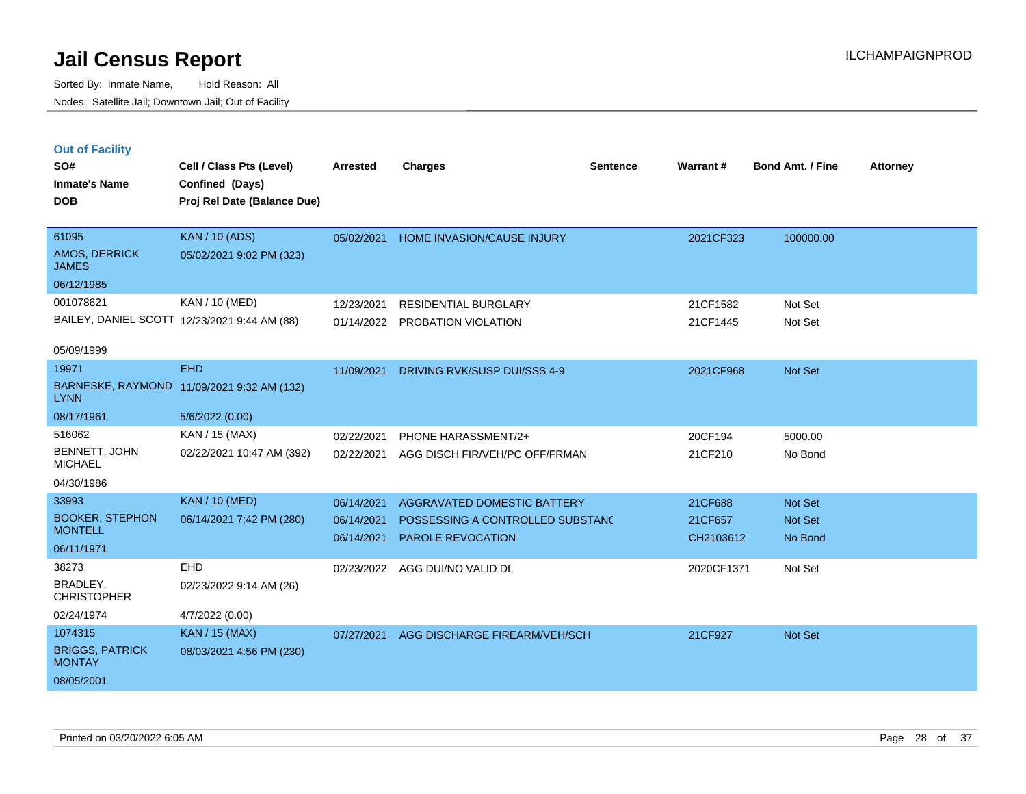**Out of Facility**

Sorted By: Inmate Name, Hold Reason: All Nodes: Satellite Jail; Downtown Jail; Out of Facility

| SO#                           | Cell / Class Pts (Level)                     | Arrested   | Charges                      | <b>Sentence</b> | <b>Warrant#</b> | <b>Bond Amt. / Fine</b> | <b>Attorney</b> |
|-------------------------------|----------------------------------------------|------------|------------------------------|-----------------|-----------------|-------------------------|-----------------|
| <b>Inmate's Name</b>          | Confined (Days)                              |            |                              |                 |                 |                         |                 |
| <b>DOB</b>                    | Proj Rel Date (Balance Due)                  |            |                              |                 |                 |                         |                 |
|                               |                                              |            |                              |                 |                 |                         |                 |
| 61095                         | <b>KAN / 10 (ADS)</b>                        | 05/02/2021 | HOME INVASION/CAUSE INJURY   |                 | 2021CF323       | 100000.00               |                 |
| AMOS, DERRICK<br><b>JAMES</b> | 05/02/2021 9:02 PM (323)                     |            |                              |                 |                 |                         |                 |
| 06/12/1985                    |                                              |            |                              |                 |                 |                         |                 |
| 001078621                     | KAN / 10 (MED)                               | 12/23/2021 | <b>RESIDENTIAL BURGLARY</b>  |                 | 21CF1582        | Not Set                 |                 |
|                               | BAILEY, DANIEL SCOTT 12/23/2021 9:44 AM (88) | 01/14/2022 | PROBATION VIOLATION          |                 | 21CF1445        | Not Set                 |                 |
| 05/09/1999                    |                                              |            |                              |                 |                 |                         |                 |
| 19971                         | <b>EHD</b>                                   | 11/09/2021 | DRIVING RVK/SUSP DUI/SSS 4-9 |                 | 2021CF968       | Not Set                 |                 |
| LYNN                          | BARNESKE, RAYMOND 11/09/2021 9:32 AM (132)   |            |                              |                 |                 |                         |                 |
| 08/17/1961                    | 5/6/2022 (0.00)                              |            |                              |                 |                 |                         |                 |

| <b>LYNN</b>                             | BARNESKE, RAYMOND 11/09/2021 9:32 AM (132) |            |                                    |            |                |
|-----------------------------------------|--------------------------------------------|------------|------------------------------------|------------|----------------|
| 08/17/1961                              | 5/6/2022(0.00)                             |            |                                    |            |                |
| 516062                                  | KAN / 15 (MAX)                             | 02/22/2021 | <b>PHONE HARASSMENT/2+</b>         | 20CF194    | 5000.00        |
| BENNETT, JOHN<br><b>MICHAEL</b>         | 02/22/2021 10:47 AM (392)                  | 02/22/2021 | AGG DISCH FIR/VEH/PC OFF/FRMAN     | 21CF210    | No Bond        |
| 04/30/1986                              |                                            |            |                                    |            |                |
| 33993                                   | <b>KAN / 10 (MED)</b>                      | 06/14/2021 | <b>AGGRAVATED DOMESTIC BATTERY</b> | 21CF688    | <b>Not Set</b> |
| <b>BOOKER, STEPHON</b>                  | 06/14/2021 7:42 PM (280)                   | 06/14/2021 | POSSESSING A CONTROLLED SUBSTANC   | 21CF657    | <b>Not Set</b> |
| <b>MONTELL</b>                          |                                            | 06/14/2021 | <b>PAROLE REVOCATION</b>           | CH2103612  | No Bond        |
| 06/11/1971                              |                                            |            |                                    |            |                |
| 38273                                   | <b>EHD</b>                                 | 02/23/2022 | AGG DUI/NO VALID DL                | 2020CF1371 | Not Set        |
| BRADLEY,<br><b>CHRISTOPHER</b>          | 02/23/2022 9:14 AM (26)                    |            |                                    |            |                |
| 02/24/1974                              | 4/7/2022 (0.00)                            |            |                                    |            |                |
| 1074315                                 | KAN / 15 (MAX)                             | 07/27/2021 | AGG DISCHARGE FIREARM/VEH/SCH      | 21CF927    | <b>Not Set</b> |
| <b>BRIGGS, PATRICK</b><br><b>MONTAY</b> | 08/03/2021 4:56 PM (230)                   |            |                                    |            |                |

08/05/2001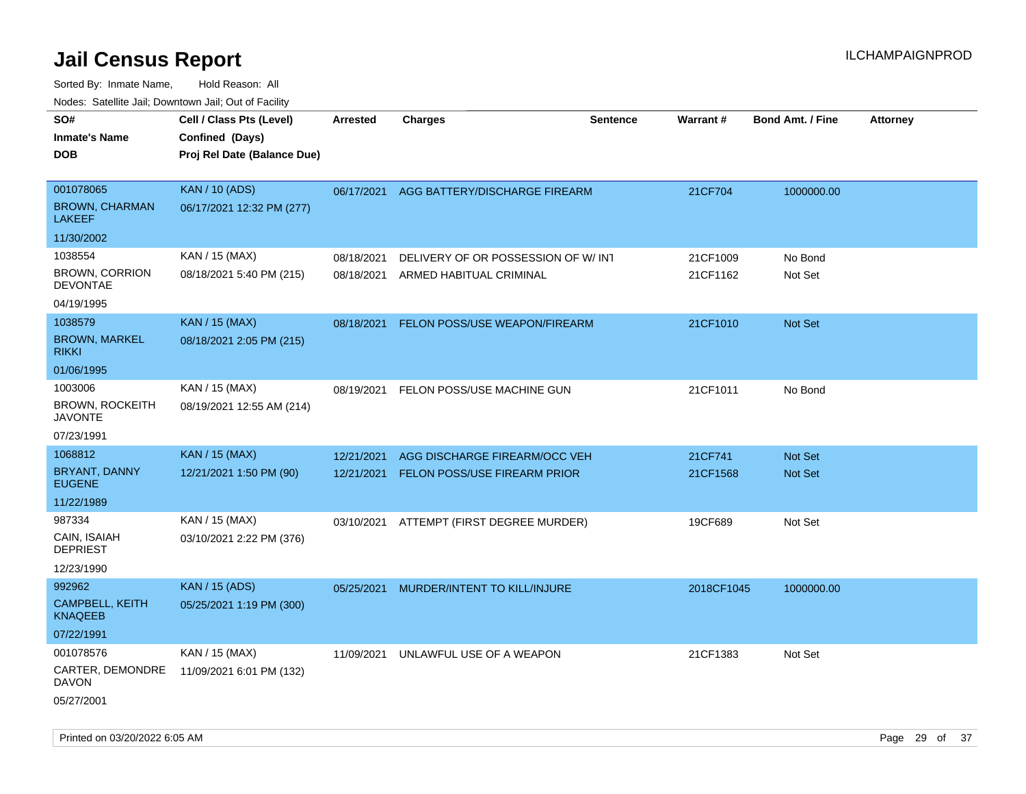| roaco. Calcinio dan, Downtown dan, Cal or Fability |                                                                            |                          |                                                               |                 |                      |                         |                 |
|----------------------------------------------------|----------------------------------------------------------------------------|--------------------------|---------------------------------------------------------------|-----------------|----------------------|-------------------------|-----------------|
| SO#<br><b>Inmate's Name</b><br>DOB                 | Cell / Class Pts (Level)<br>Confined (Days)<br>Proj Rel Date (Balance Due) | <b>Arrested</b>          | <b>Charges</b>                                                | <b>Sentence</b> | <b>Warrant#</b>      | <b>Bond Amt. / Fine</b> | <b>Attorney</b> |
| 001078065<br><b>BROWN, CHARMAN</b><br>LAKEEF       | <b>KAN / 10 (ADS)</b><br>06/17/2021 12:32 PM (277)                         | 06/17/2021               | AGG BATTERY/DISCHARGE FIREARM                                 |                 | 21CF704              | 1000000.00              |                 |
| 11/30/2002                                         |                                                                            |                          |                                                               |                 |                      |                         |                 |
| 1038554<br><b>BROWN, CORRION</b>                   | KAN / 15 (MAX)<br>08/18/2021 5:40 PM (215)                                 | 08/18/2021<br>08/18/2021 | DELIVERY OF OR POSSESSION OF W/INT<br>ARMED HABITUAL CRIMINAL |                 | 21CF1009<br>21CF1162 | No Bond<br>Not Set      |                 |
| <b>DEVONTAE</b><br>04/19/1995                      |                                                                            |                          |                                                               |                 |                      |                         |                 |
| 1038579<br><b>BROWN, MARKEL</b><br>rikki           | <b>KAN / 15 (MAX)</b><br>08/18/2021 2:05 PM (215)                          | 08/18/2021               | FELON POSS/USE WEAPON/FIREARM                                 |                 | 21CF1010             | Not Set                 |                 |
| 01/06/1995                                         |                                                                            |                          |                                                               |                 |                      |                         |                 |
| 1003006<br>BROWN, ROCKEITH<br>JAVONTE              | KAN / 15 (MAX)<br>08/19/2021 12:55 AM (214)                                | 08/19/2021               | FELON POSS/USE MACHINE GUN                                    |                 | 21CF1011             | No Bond                 |                 |
| 07/23/1991                                         |                                                                            |                          |                                                               |                 |                      |                         |                 |
| 1068812                                            | <b>KAN / 15 (MAX)</b>                                                      | 12/21/2021               | AGG DISCHARGE FIREARM/OCC VEH                                 |                 | 21CF741              | <b>Not Set</b>          |                 |
| BRYANT, DANNY<br><b>EUGENE</b>                     | 12/21/2021 1:50 PM (90)                                                    | 12/21/2021               | <b>FELON POSS/USE FIREARM PRIOR</b>                           |                 | 21CF1568             | <b>Not Set</b>          |                 |
| 11/22/1989                                         |                                                                            |                          |                                                               |                 |                      |                         |                 |
| 987334                                             | KAN / 15 (MAX)                                                             |                          | 03/10/2021 ATTEMPT (FIRST DEGREE MURDER)                      |                 | 19CF689              | Not Set                 |                 |
| CAIN, ISAIAH<br><b>DEPRIEST</b>                    | 03/10/2021 2:22 PM (376)                                                   |                          |                                                               |                 |                      |                         |                 |
| 12/23/1990                                         |                                                                            |                          |                                                               |                 |                      |                         |                 |
| 992962                                             | <b>KAN / 15 (ADS)</b>                                                      | 05/25/2021               | MURDER/INTENT TO KILL/INJURE                                  |                 | 2018CF1045           | 1000000.00              |                 |
| <b>CAMPBELL, KEITH</b><br>KNAQEEB                  | 05/25/2021 1:19 PM (300)                                                   |                          |                                                               |                 |                      |                         |                 |
| 07/22/1991                                         |                                                                            |                          |                                                               |                 |                      |                         |                 |
| 001078576                                          | KAN / 15 (MAX)                                                             | 11/09/2021               | UNLAWFUL USE OF A WEAPON                                      |                 | 21CF1383             | Not Set                 |                 |
| CARTER, DEMONDRE<br>DAVON<br>05/27/2001            | 11/09/2021 6:01 PM (132)                                                   |                          |                                                               |                 |                      |                         |                 |
|                                                    |                                                                            |                          |                                                               |                 |                      |                         |                 |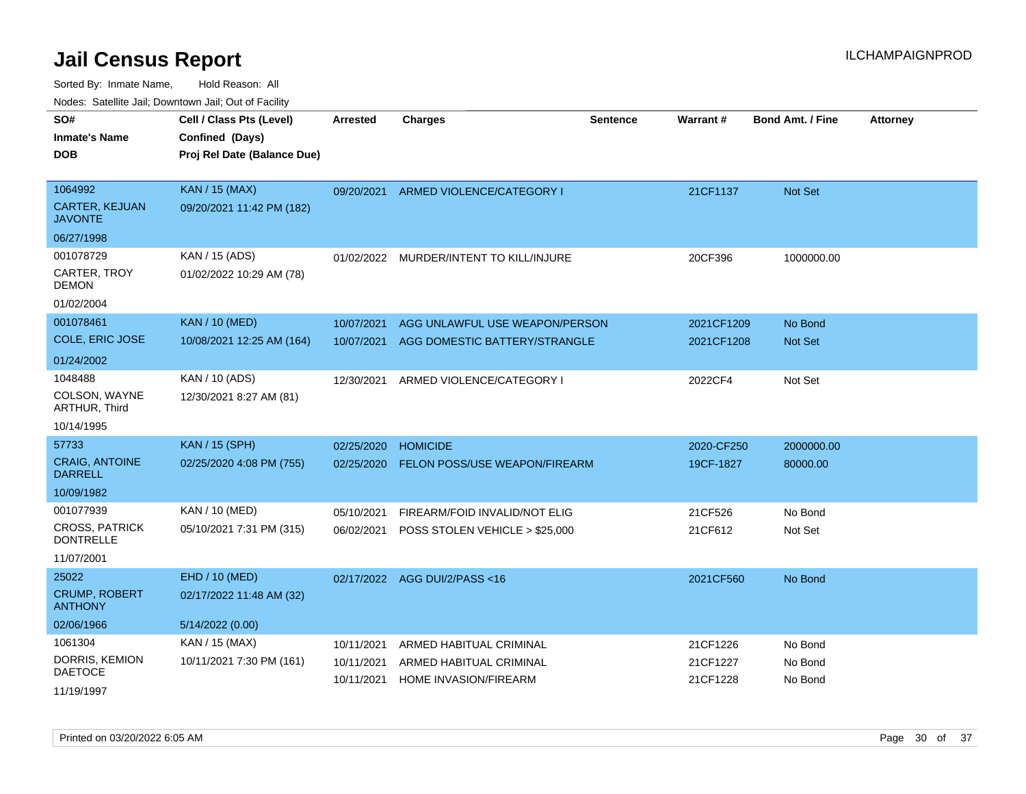| soupois catomic can, Dominomii can, Cat or Faomt |                                                                            |                          |                                                                 |                 |                          |                           |                 |
|--------------------------------------------------|----------------------------------------------------------------------------|--------------------------|-----------------------------------------------------------------|-----------------|--------------------------|---------------------------|-----------------|
| SO#<br><b>Inmate's Name</b><br>DOB               | Cell / Class Pts (Level)<br>Confined (Days)<br>Proj Rel Date (Balance Due) | <b>Arrested</b>          | <b>Charges</b>                                                  | <b>Sentence</b> | Warrant#                 | <b>Bond Amt. / Fine</b>   | <b>Attorney</b> |
| 1064992<br><b>CARTER, KEJUAN</b><br>JAVONTE      | <b>KAN / 15 (MAX)</b><br>09/20/2021 11:42 PM (182)                         | 09/20/2021               | ARMED VIOLENCE/CATEGORY I                                       |                 | 21CF1137                 | <b>Not Set</b>            |                 |
| 06/27/1998                                       |                                                                            |                          |                                                                 |                 |                          |                           |                 |
| 001078729<br>CARTER, TROY<br>DEMON               | KAN / 15 (ADS)<br>01/02/2022 10:29 AM (78)                                 | 01/02/2022               | MURDER/INTENT TO KILL/INJURE                                    |                 | 20CF396                  | 1000000.00                |                 |
| 01/02/2004                                       |                                                                            |                          |                                                                 |                 |                          |                           |                 |
| 001078461<br>COLE, ERIC JOSE                     | <b>KAN / 10 (MED)</b><br>10/08/2021 12:25 AM (164)                         | 10/07/2021<br>10/07/2021 | AGG UNLAWFUL USE WEAPON/PERSON<br>AGG DOMESTIC BATTERY/STRANGLE |                 | 2021CF1209<br>2021CF1208 | No Bond<br><b>Not Set</b> |                 |
| 01/24/2002                                       |                                                                            |                          |                                                                 |                 |                          |                           |                 |
| 1048488<br>COLSON, WAYNE<br><b>ARTHUR, Third</b> | KAN / 10 (ADS)<br>12/30/2021 8:27 AM (81)                                  | 12/30/2021               | ARMED VIOLENCE/CATEGORY I                                       |                 | 2022CF4                  | Not Set                   |                 |
| 10/14/1995                                       |                                                                            |                          |                                                                 |                 |                          |                           |                 |
| 57733                                            | <b>KAN / 15 (SPH)</b>                                                      | 02/25/2020               | <b>HOMICIDE</b>                                                 |                 | 2020-CF250               | 2000000.00                |                 |
| <b>CRAIG, ANTOINE</b><br>DARRELL                 | 02/25/2020 4:08 PM (755)                                                   | 02/25/2020               | FELON POSS/USE WEAPON/FIREARM                                   |                 | 19CF-1827                | 80000.00                  |                 |
| 10/09/1982                                       |                                                                            |                          |                                                                 |                 |                          |                           |                 |
| 001077939                                        | KAN / 10 (MED)                                                             | 05/10/2021               | FIREARM/FOID INVALID/NOT ELIG                                   |                 | 21CF526                  | No Bond                   |                 |
| CROSS, PATRICK<br><b>DONTRELLE</b>               | 05/10/2021 7:31 PM (315)                                                   | 06/02/2021               | POSS STOLEN VEHICLE > \$25,000                                  |                 | 21CF612                  | Not Set                   |                 |
| 11/07/2001                                       |                                                                            |                          |                                                                 |                 |                          |                           |                 |
| 25022                                            | EHD / 10 (MED)                                                             | 02/17/2022               | AGG DUI/2/PASS <16                                              |                 | 2021CF560                | No Bond                   |                 |
| <b>CRUMP, ROBERT</b><br>ANTHONY                  | 02/17/2022 11:48 AM (32)                                                   |                          |                                                                 |                 |                          |                           |                 |
| 02/06/1966                                       | 5/14/2022 (0.00)                                                           |                          |                                                                 |                 |                          |                           |                 |
| 1061304                                          | KAN / 15 (MAX)                                                             | 10/11/2021               | ARMED HABITUAL CRIMINAL                                         |                 | 21CF1226                 | No Bond                   |                 |
| DORRIS, KEMION<br>DAETOCE                        | 10/11/2021 7:30 PM (161)                                                   | 10/11/2021<br>10/11/2021 | ARMED HABITUAL CRIMINAL<br><b>HOME INVASION/FIREARM</b>         |                 | 21CF1227<br>21CF1228     | No Bond<br>No Bond        |                 |
| 11/19/1997                                       |                                                                            |                          |                                                                 |                 |                          |                           |                 |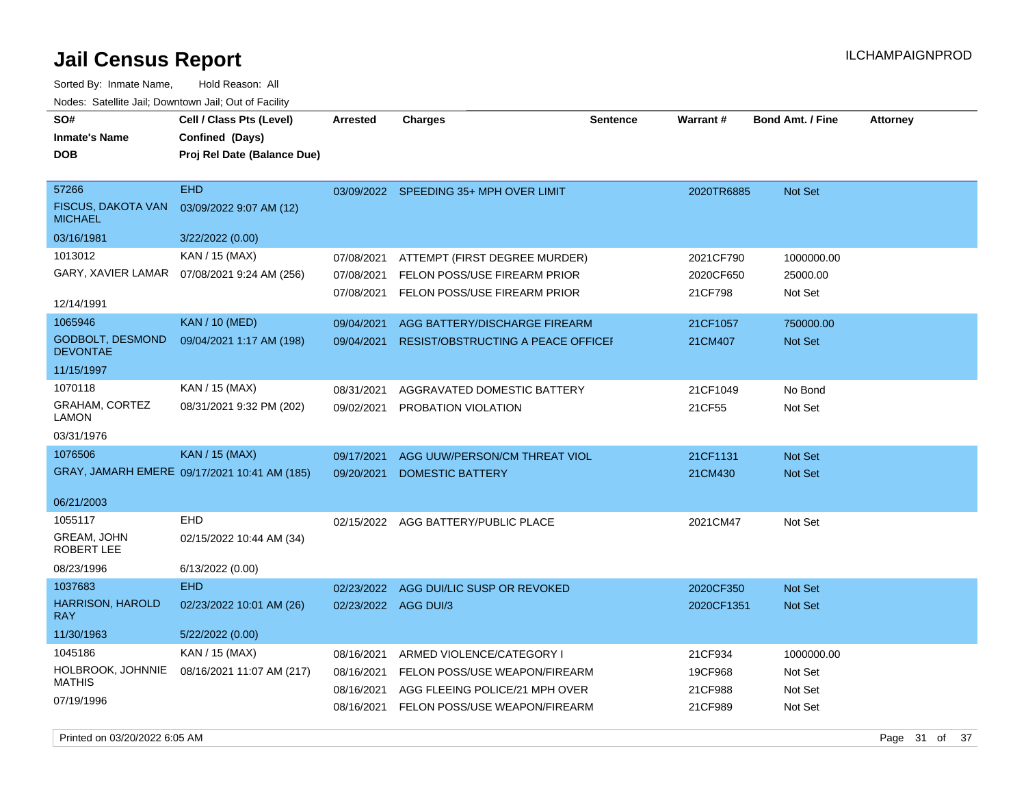**DOB SO# Inmate's Name Cell / Class Pts (Level) Arrested Charges Warrant # Bond Amt. / Fine Attorney Confined (Days) Proj Rel Date (Balance Due)** Sorted By: Inmate Name, Hold Reason: All Nodes: Satellite Jail; Downtown Jail; Out of Facility

|                                            | r roj Kor Balo (Balance Bac)                 |                      |                                           |            |                |
|--------------------------------------------|----------------------------------------------|----------------------|-------------------------------------------|------------|----------------|
| 57266                                      | <b>EHD</b>                                   |                      | 03/09/2022 SPEEDING 35+ MPH OVER LIMIT    | 2020TR6885 | <b>Not Set</b> |
| FISCUS, DAKOTA VAN<br><b>MICHAEL</b>       | 03/09/2022 9:07 AM (12)                      |                      |                                           |            |                |
| 03/16/1981                                 | 3/22/2022 (0.00)                             |                      |                                           |            |                |
| 1013012                                    | KAN / 15 (MAX)                               | 07/08/2021           | ATTEMPT (FIRST DEGREE MURDER)             | 2021CF790  | 1000000.00     |
| GARY, XAVIER LAMAR                         | 07/08/2021 9:24 AM (256)                     | 07/08/2021           | FELON POSS/USE FIREARM PRIOR              | 2020CF650  | 25000.00       |
|                                            |                                              |                      | 07/08/2021 FELON POSS/USE FIREARM PRIOR   | 21CF798    | Not Set        |
| 12/14/1991                                 |                                              |                      |                                           |            |                |
| 1065946                                    | <b>KAN / 10 (MED)</b>                        | 09/04/2021           | AGG BATTERY/DISCHARGE FIREARM             | 21CF1057   | 750000.00      |
| <b>GODBOLT, DESMOND</b><br><b>DEVONTAE</b> | 09/04/2021 1:17 AM (198)                     | 09/04/2021           | <b>RESIST/OBSTRUCTING A PEACE OFFICEF</b> | 21CM407    | <b>Not Set</b> |
| 11/15/1997                                 |                                              |                      |                                           |            |                |
| 1070118                                    | KAN / 15 (MAX)                               | 08/31/2021           | AGGRAVATED DOMESTIC BATTERY               | 21CF1049   | No Bond        |
| <b>GRAHAM, CORTEZ</b><br><b>LAMON</b>      | 08/31/2021 9:32 PM (202)                     |                      | 09/02/2021 PROBATION VIOLATION            | 21CF55     | Not Set        |
| 03/31/1976                                 |                                              |                      |                                           |            |                |
| 1076506                                    | <b>KAN</b> / 15 (MAX)                        | 09/17/2021           | AGG UUW/PERSON/CM THREAT VIOL             | 21CF1131   | Not Set        |
|                                            | GRAY, JAMARH EMERE 09/17/2021 10:41 AM (185) | 09/20/2021           | <b>DOMESTIC BATTERY</b>                   | 21CM430    | <b>Not Set</b> |
| 06/21/2003                                 |                                              |                      |                                           |            |                |
| 1055117                                    | EHD                                          |                      | 02/15/2022 AGG BATTERY/PUBLIC PLACE       | 2021CM47   | Not Set        |
| GREAM, JOHN<br>ROBERT LEE                  | 02/15/2022 10:44 AM (34)                     |                      |                                           |            |                |
| 08/23/1996                                 | 6/13/2022 (0.00)                             |                      |                                           |            |                |
| 1037683                                    | <b>EHD</b>                                   |                      | 02/23/2022 AGG DUI/LIC SUSP OR REVOKED    | 2020CF350  | <b>Not Set</b> |
| <b>HARRISON, HAROLD</b><br><b>RAY</b>      | 02/23/2022 10:01 AM (26)                     | 02/23/2022 AGG DUI/3 |                                           | 2020CF1351 | <b>Not Set</b> |
| 11/30/1963                                 | 5/22/2022 (0.00)                             |                      |                                           |            |                |
| 1045186                                    | KAN / 15 (MAX)                               | 08/16/2021           | ARMED VIOLENCE/CATEGORY I                 | 21CF934    | 1000000.00     |
| HOLBROOK, JOHNNIE                          | 08/16/2021 11:07 AM (217)                    | 08/16/2021           | FELON POSS/USE WEAPON/FIREARM             | 19CF968    | Not Set        |
| <b>MATHIS</b>                              |                                              | 08/16/2021           | AGG FLEEING POLICE/21 MPH OVER            | 21CF988    | Not Set        |
| 07/19/1996                                 |                                              | 08/16/2021           | FELON POSS/USE WEAPON/FIREARM             | 21CF989    | Not Set        |

**Sentence**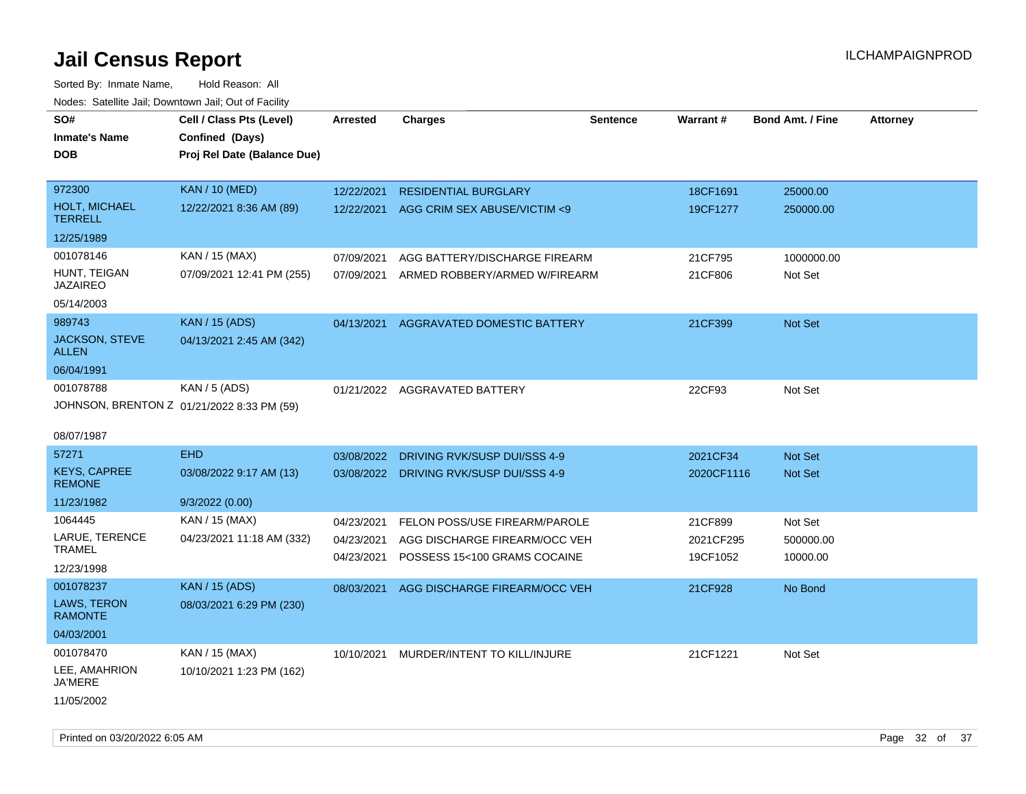Sorted By: Inmate Name, Hold Reason: All Nodes: Satellite Jail; Downtown Jail; Out of Facility

| roacs. Catellite Jall, Downtown Jall, Out of Facility |                                                                            |                 |                                         |                 |            |                         |                 |
|-------------------------------------------------------|----------------------------------------------------------------------------|-----------------|-----------------------------------------|-----------------|------------|-------------------------|-----------------|
| SO#<br><b>Inmate's Name</b><br><b>DOB</b>             | Cell / Class Pts (Level)<br>Confined (Days)<br>Proj Rel Date (Balance Due) | <b>Arrested</b> | <b>Charges</b>                          | <b>Sentence</b> | Warrant#   | <b>Bond Amt. / Fine</b> | <b>Attorney</b> |
|                                                       |                                                                            |                 |                                         |                 |            |                         |                 |
| 972300                                                | <b>KAN / 10 (MED)</b>                                                      | 12/22/2021      | <b>RESIDENTIAL BURGLARY</b>             |                 | 18CF1691   | 25000.00                |                 |
| <b>HOLT, MICHAEL</b><br><b>TERRELL</b>                | 12/22/2021 8:36 AM (89)                                                    | 12/22/2021      | AGG CRIM SEX ABUSE/VICTIM <9            |                 | 19CF1277   | 250000.00               |                 |
| 12/25/1989                                            |                                                                            |                 |                                         |                 |            |                         |                 |
| 001078146                                             | KAN / 15 (MAX)                                                             | 07/09/2021      | AGG BATTERY/DISCHARGE FIREARM           |                 | 21CF795    | 1000000.00              |                 |
| HUNT, TEIGAN<br><b>JAZAIREO</b>                       | 07/09/2021 12:41 PM (255)                                                  | 07/09/2021      | ARMED ROBBERY/ARMED W/FIREARM           |                 | 21CF806    | Not Set                 |                 |
| 05/14/2003                                            |                                                                            |                 |                                         |                 |            |                         |                 |
| 989743                                                | <b>KAN / 15 (ADS)</b>                                                      | 04/13/2021      | AGGRAVATED DOMESTIC BATTERY             |                 | 21CF399    | Not Set                 |                 |
| <b>JACKSON, STEVE</b><br><b>ALLEN</b>                 | 04/13/2021 2:45 AM (342)                                                   |                 |                                         |                 |            |                         |                 |
| 06/04/1991                                            |                                                                            |                 |                                         |                 |            |                         |                 |
| 001078788                                             | KAN / 5 (ADS)                                                              |                 | 01/21/2022 AGGRAVATED BATTERY           |                 | 22CF93     | Not Set                 |                 |
|                                                       | JOHNSON, BRENTON Z 01/21/2022 8:33 PM (59)                                 |                 |                                         |                 |            |                         |                 |
|                                                       |                                                                            |                 |                                         |                 |            |                         |                 |
| 08/07/1987                                            |                                                                            |                 |                                         |                 |            |                         |                 |
| 57271                                                 | <b>EHD</b>                                                                 | 03/08/2022      | DRIVING RVK/SUSP DUI/SSS 4-9            |                 | 2021CF34   | <b>Not Set</b>          |                 |
| <b>KEYS, CAPREE</b><br><b>REMONE</b>                  | 03/08/2022 9:17 AM (13)                                                    |                 | 03/08/2022 DRIVING RVK/SUSP DUI/SSS 4-9 |                 | 2020CF1116 | Not Set                 |                 |
| 11/23/1982                                            | 9/3/2022(0.00)                                                             |                 |                                         |                 |            |                         |                 |
| 1064445                                               | KAN / 15 (MAX)                                                             | 04/23/2021      | FELON POSS/USE FIREARM/PAROLE           |                 | 21CF899    | Not Set                 |                 |
| LARUE, TERENCE                                        | 04/23/2021 11:18 AM (332)                                                  | 04/23/2021      | AGG DISCHARGE FIREARM/OCC VEH           |                 | 2021CF295  | 500000.00               |                 |
| <b>TRAMEL</b>                                         |                                                                            | 04/23/2021      | POSSESS 15<100 GRAMS COCAINE            |                 | 19CF1052   | 10000.00                |                 |
| 12/23/1998                                            |                                                                            |                 |                                         |                 |            |                         |                 |
| 001078237                                             | <b>KAN / 15 (ADS)</b>                                                      | 08/03/2021      | AGG DISCHARGE FIREARM/OCC VEH           |                 | 21CF928    | No Bond                 |                 |
| LAWS, TERON<br><b>RAMONTE</b>                         | 08/03/2021 6:29 PM (230)                                                   |                 |                                         |                 |            |                         |                 |
| 04/03/2001                                            |                                                                            |                 |                                         |                 |            |                         |                 |
| 001078470                                             | KAN / 15 (MAX)                                                             |                 | 10/10/2021 MURDER/INTENT TO KILL/INJURE |                 | 21CF1221   | Not Set                 |                 |
| LEE, AMAHRION<br>JA'MERE                              | 10/10/2021 1:23 PM (162)                                                   |                 |                                         |                 |            |                         |                 |
| 11/05/2002                                            |                                                                            |                 |                                         |                 |            |                         |                 |

Printed on 03/20/2022 6:05 AM Page 32 of 37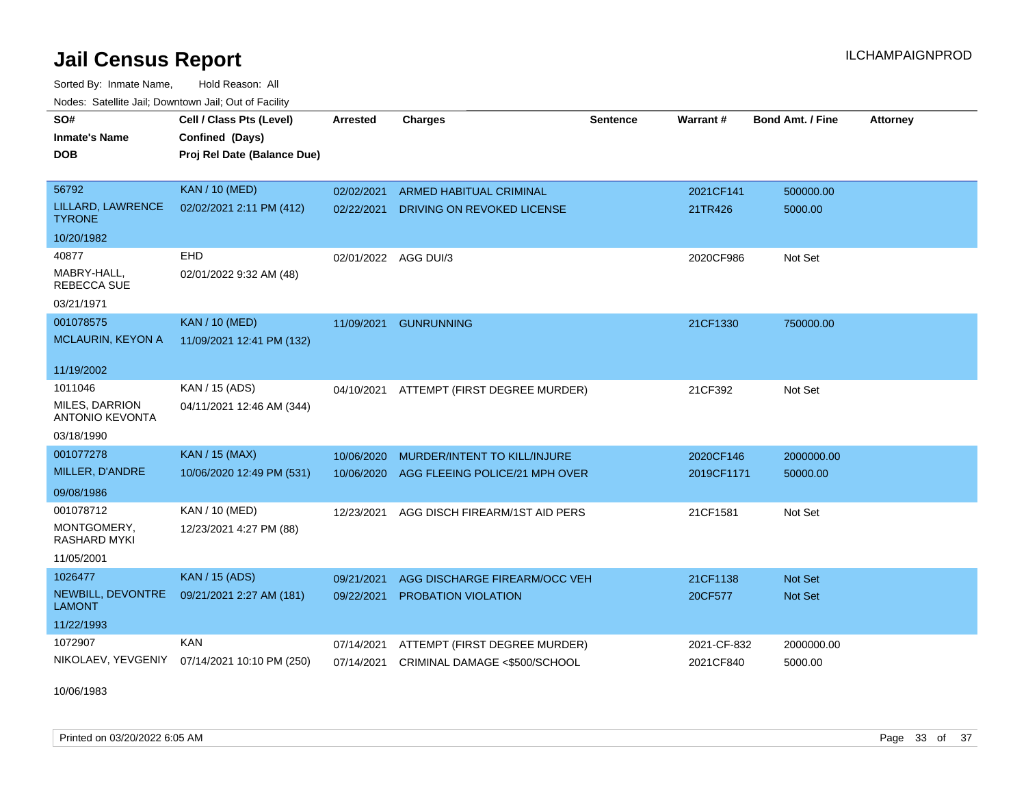Sorted By: Inmate Name, Hold Reason: All Nodes: Satellite Jail; Downtown Jail; Out of Facility

| <b>Neget Calculus Vall, Downlown Vall, Out of Fability</b> |                                                                            |                      |                                |                 |                 |                         |                 |
|------------------------------------------------------------|----------------------------------------------------------------------------|----------------------|--------------------------------|-----------------|-----------------|-------------------------|-----------------|
| SO#<br><b>Inmate's Name</b><br><b>DOB</b>                  | Cell / Class Pts (Level)<br>Confined (Days)<br>Proj Rel Date (Balance Due) | <b>Arrested</b>      | <b>Charges</b>                 | <b>Sentence</b> | <b>Warrant#</b> | <b>Bond Amt. / Fine</b> | <b>Attorney</b> |
| 56792                                                      | <b>KAN / 10 (MED)</b>                                                      | 02/02/2021           | <b>ARMED HABITUAL CRIMINAL</b> |                 | 2021CF141       | 500000.00               |                 |
| LILLARD, LAWRENCE<br><b>TYRONE</b>                         | 02/02/2021 2:11 PM (412)                                                   | 02/22/2021           | DRIVING ON REVOKED LICENSE     |                 | 21TR426         | 5000.00                 |                 |
| 10/20/1982                                                 |                                                                            |                      |                                |                 |                 |                         |                 |
| 40877                                                      | <b>EHD</b>                                                                 | 02/01/2022 AGG DUI/3 |                                |                 | 2020CF986       | Not Set                 |                 |
| MABRY-HALL,<br><b>REBECCA SUE</b>                          | 02/01/2022 9:32 AM (48)                                                    |                      |                                |                 |                 |                         |                 |
| 03/21/1971                                                 |                                                                            |                      |                                |                 |                 |                         |                 |
| 001078575                                                  | <b>KAN / 10 (MED)</b>                                                      | 11/09/2021           | <b>GUNRUNNING</b>              |                 | 21CF1330        | 750000.00               |                 |
| <b>MCLAURIN, KEYON A</b>                                   | 11/09/2021 12:41 PM (132)                                                  |                      |                                |                 |                 |                         |                 |
| 11/19/2002                                                 |                                                                            |                      |                                |                 |                 |                         |                 |
| 1011046                                                    | KAN / 15 (ADS)                                                             | 04/10/2021           | ATTEMPT (FIRST DEGREE MURDER)  |                 | 21CF392         | Not Set                 |                 |
| <b>MILES, DARRION</b><br><b>ANTONIO KEVONTA</b>            | 04/11/2021 12:46 AM (344)                                                  |                      |                                |                 |                 |                         |                 |
| 03/18/1990                                                 |                                                                            |                      |                                |                 |                 |                         |                 |
| 001077278                                                  | <b>KAN / 15 (MAX)</b>                                                      | 10/06/2020           | MURDER/INTENT TO KILL/INJURE   |                 | 2020CF146       | 2000000.00              |                 |
| MILLER, D'ANDRE                                            | 10/06/2020 12:49 PM (531)                                                  | 10/06/2020           | AGG FLEEING POLICE/21 MPH OVER |                 | 2019CF1171      | 50000.00                |                 |
| 09/08/1986                                                 |                                                                            |                      |                                |                 |                 |                         |                 |
| 001078712                                                  | KAN / 10 (MED)                                                             | 12/23/2021           | AGG DISCH FIREARM/1ST AID PERS |                 | 21CF1581        | Not Set                 |                 |
| MONTGOMERY,<br><b>RASHARD MYKI</b>                         | 12/23/2021 4:27 PM (88)                                                    |                      |                                |                 |                 |                         |                 |
| 11/05/2001                                                 |                                                                            |                      |                                |                 |                 |                         |                 |
| 1026477                                                    | <b>KAN / 15 (ADS)</b>                                                      | 09/21/2021           | AGG DISCHARGE FIREARM/OCC VEH  |                 | 21CF1138        | <b>Not Set</b>          |                 |
| NEWBILL, DEVONTRE<br>LAMONT                                | 09/21/2021 2:27 AM (181)                                                   | 09/22/2021           | <b>PROBATION VIOLATION</b>     |                 | 20CF577         | <b>Not Set</b>          |                 |
| 11/22/1993                                                 |                                                                            |                      |                                |                 |                 |                         |                 |
| 1072907                                                    | <b>KAN</b>                                                                 | 07/14/2021           | ATTEMPT (FIRST DEGREE MURDER)  |                 | 2021-CF-832     | 2000000.00              |                 |
| NIKOLAEV, YEVGENIY                                         | 07/14/2021 10:10 PM (250)                                                  | 07/14/2021           | CRIMINAL DAMAGE <\$500/SCHOOL  |                 | 2021CF840       | 5000.00                 |                 |

10/06/1983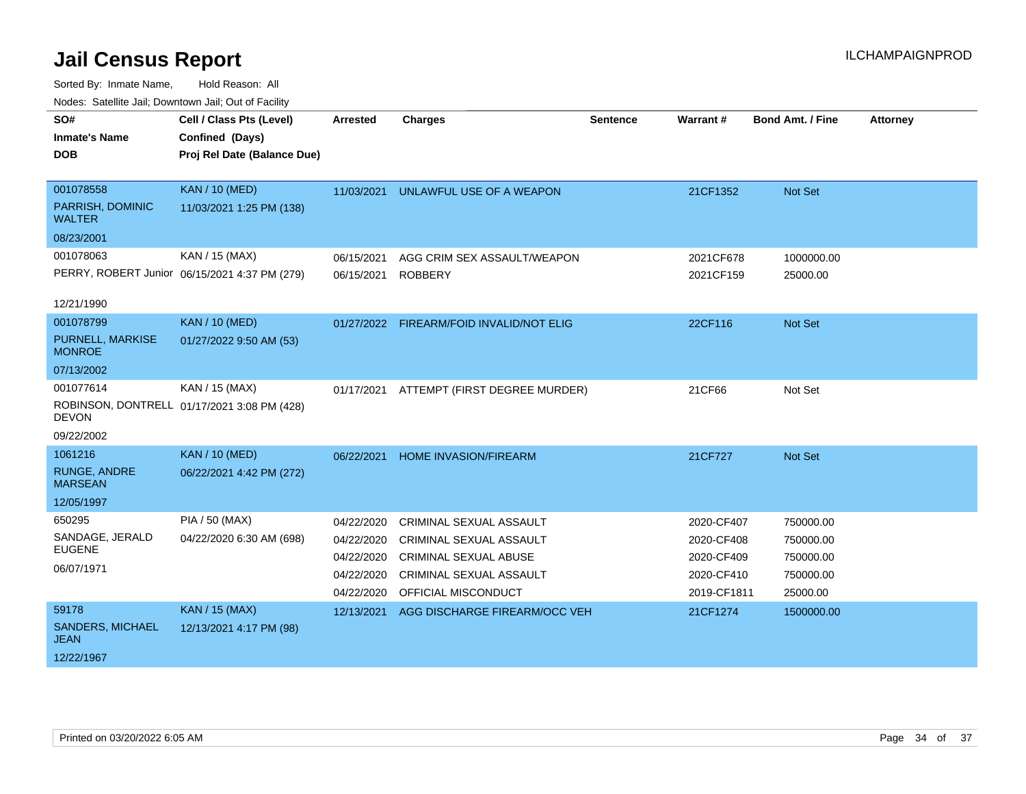| SO#                               | Cell / Class Pts (Level)                      | <b>Arrested</b> | <b>Charges</b>                           | <b>Sentence</b> | Warrant#    | <b>Bond Amt. / Fine</b> | <b>Attorney</b> |
|-----------------------------------|-----------------------------------------------|-----------------|------------------------------------------|-----------------|-------------|-------------------------|-----------------|
| <b>Inmate's Name</b>              | Confined (Days)                               |                 |                                          |                 |             |                         |                 |
| <b>DOB</b>                        | Proj Rel Date (Balance Due)                   |                 |                                          |                 |             |                         |                 |
|                                   |                                               |                 |                                          |                 |             |                         |                 |
| 001078558                         | <b>KAN / 10 (MED)</b>                         | 11/03/2021      | UNLAWFUL USE OF A WEAPON                 |                 | 21CF1352    | <b>Not Set</b>          |                 |
| PARRISH, DOMINIC<br>WALTER        | 11/03/2021 1:25 PM (138)                      |                 |                                          |                 |             |                         |                 |
| 08/23/2001                        |                                               |                 |                                          |                 |             |                         |                 |
| 001078063                         | KAN / 15 (MAX)                                | 06/15/2021      | AGG CRIM SEX ASSAULT/WEAPON              |                 | 2021CF678   | 1000000.00              |                 |
|                                   | PERRY, ROBERT Junior 06/15/2021 4:37 PM (279) | 06/15/2021      | <b>ROBBERY</b>                           |                 | 2021CF159   | 25000.00                |                 |
|                                   |                                               |                 |                                          |                 |             |                         |                 |
| 12/21/1990                        |                                               |                 |                                          |                 |             |                         |                 |
| 001078799                         | <b>KAN / 10 (MED)</b>                         |                 | 01/27/2022 FIREARM/FOID INVALID/NOT ELIG |                 | 22CF116     | Not Set                 |                 |
| PURNELL, MARKISE<br><b>MONROE</b> | 01/27/2022 9:50 AM (53)                       |                 |                                          |                 |             |                         |                 |
| 07/13/2002                        |                                               |                 |                                          |                 |             |                         |                 |
| 001077614                         | KAN / 15 (MAX)                                | 01/17/2021      | ATTEMPT (FIRST DEGREE MURDER)            |                 | 21CF66      | Not Set                 |                 |
| <b>DEVON</b>                      | ROBINSON, DONTRELL 01/17/2021 3:08 PM (428)   |                 |                                          |                 |             |                         |                 |
| 09/22/2002                        |                                               |                 |                                          |                 |             |                         |                 |
| 1061216                           | <b>KAN / 10 (MED)</b>                         | 06/22/2021      | <b>HOME INVASION/FIREARM</b>             |                 | 21CF727     | <b>Not Set</b>          |                 |
| RUNGE, ANDRE<br><b>MARSEAN</b>    | 06/22/2021 4:42 PM (272)                      |                 |                                          |                 |             |                         |                 |
| 12/05/1997                        |                                               |                 |                                          |                 |             |                         |                 |
| 650295                            | PIA / 50 (MAX)                                | 04/22/2020      | CRIMINAL SEXUAL ASSAULT                  |                 | 2020-CF407  | 750000.00               |                 |
| SANDAGE, JERALD                   | 04/22/2020 6:30 AM (698)                      | 04/22/2020      | <b>CRIMINAL SEXUAL ASSAULT</b>           |                 | 2020-CF408  | 750000.00               |                 |
| <b>EUGENE</b>                     |                                               | 04/22/2020      | <b>CRIMINAL SEXUAL ABUSE</b>             |                 | 2020-CF409  | 750000.00               |                 |
| 06/07/1971                        |                                               | 04/22/2020      | <b>CRIMINAL SEXUAL ASSAULT</b>           |                 | 2020-CF410  | 750000.00               |                 |
|                                   |                                               | 04/22/2020      | OFFICIAL MISCONDUCT                      |                 | 2019-CF1811 | 25000.00                |                 |
| 59178                             | <b>KAN / 15 (MAX)</b>                         | 12/13/2021      | AGG DISCHARGE FIREARM/OCC VEH            |                 | 21CF1274    | 1500000.00              |                 |
| SANDERS, MICHAEL<br><b>JEAN</b>   | 12/13/2021 4:17 PM (98)                       |                 |                                          |                 |             |                         |                 |
| 12/22/1967                        |                                               |                 |                                          |                 |             |                         |                 |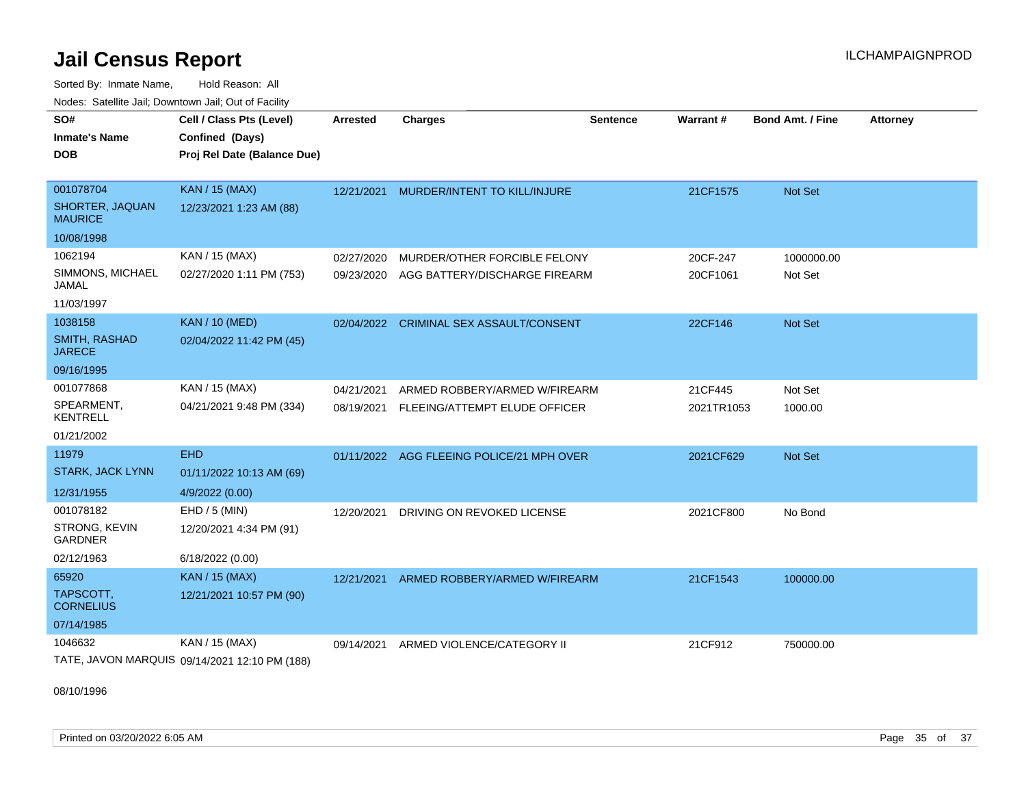Sorted By: Inmate Name, Hold Reason: All Nodes: Satellite Jail; Downtown Jail; Out of Facility

| SO#                               | Cell / Class Pts (Level)                      | <b>Arrested</b> | <b>Charges</b>                           | <b>Sentence</b> | Warrant#   | <b>Bond Amt. / Fine</b> | <b>Attorney</b> |
|-----------------------------------|-----------------------------------------------|-----------------|------------------------------------------|-----------------|------------|-------------------------|-----------------|
| <b>Inmate's Name</b>              | Confined (Days)                               |                 |                                          |                 |            |                         |                 |
| <b>DOB</b>                        | Proj Rel Date (Balance Due)                   |                 |                                          |                 |            |                         |                 |
|                                   |                                               |                 |                                          |                 |            |                         |                 |
| 001078704                         | <b>KAN / 15 (MAX)</b>                         |                 | 12/21/2021 MURDER/INTENT TO KILL/INJURE  |                 | 21CF1575   | Not Set                 |                 |
| SHORTER, JAQUAN<br><b>MAURICE</b> | 12/23/2021 1:23 AM (88)                       |                 |                                          |                 |            |                         |                 |
| 10/08/1998                        |                                               |                 |                                          |                 |            |                         |                 |
| 1062194                           | KAN / 15 (MAX)                                | 02/27/2020      | MURDER/OTHER FORCIBLE FELONY             |                 | 20CF-247   | 1000000.00              |                 |
| SIMMONS, MICHAEL<br><b>JAMAL</b>  | 02/27/2020 1:11 PM (753)                      | 09/23/2020      | AGG BATTERY/DISCHARGE FIREARM            |                 | 20CF1061   | Not Set                 |                 |
| 11/03/1997                        |                                               |                 |                                          |                 |            |                         |                 |
| 1038158                           | <b>KAN / 10 (MED)</b>                         |                 | 02/04/2022 CRIMINAL SEX ASSAULT/CONSENT  |                 | 22CF146    | Not Set                 |                 |
| SMITH, RASHAD<br><b>JARECE</b>    | 02/04/2022 11:42 PM (45)                      |                 |                                          |                 |            |                         |                 |
| 09/16/1995                        |                                               |                 |                                          |                 |            |                         |                 |
| 001077868                         | KAN / 15 (MAX)                                | 04/21/2021      | ARMED ROBBERY/ARMED W/FIREARM            |                 | 21CF445    | Not Set                 |                 |
| SPEARMENT,<br><b>KENTRELL</b>     | 04/21/2021 9:48 PM (334)                      |                 | 08/19/2021 FLEEING/ATTEMPT ELUDE OFFICER |                 | 2021TR1053 | 1000.00                 |                 |
| 01/21/2002                        |                                               |                 |                                          |                 |            |                         |                 |
| 11979                             | <b>EHD</b>                                    | 01/11/2022      | AGG FLEEING POLICE/21 MPH OVER           |                 | 2021CF629  | Not Set                 |                 |
| <b>STARK, JACK LYNN</b>           | 01/11/2022 10:13 AM (69)                      |                 |                                          |                 |            |                         |                 |
| 12/31/1955                        | 4/9/2022 (0.00)                               |                 |                                          |                 |            |                         |                 |
| 001078182                         | EHD / 5 (MIN)                                 | 12/20/2021      | DRIVING ON REVOKED LICENSE               |                 | 2021CF800  | No Bond                 |                 |
| STRONG, KEVIN<br><b>GARDNER</b>   | 12/20/2021 4:34 PM (91)                       |                 |                                          |                 |            |                         |                 |
| 02/12/1963                        | 6/18/2022 (0.00)                              |                 |                                          |                 |            |                         |                 |
| 65920                             | <b>KAN / 15 (MAX)</b>                         | 12/21/2021      | ARMED ROBBERY/ARMED W/FIREARM            |                 | 21CF1543   | 100000.00               |                 |
| TAPSCOTT.<br><b>CORNELIUS</b>     | 12/21/2021 10:57 PM (90)                      |                 |                                          |                 |            |                         |                 |
| 07/14/1985                        |                                               |                 |                                          |                 |            |                         |                 |
| 1046632                           | KAN / 15 (MAX)                                | 09/14/2021      | ARMED VIOLENCE/CATEGORY II               |                 | 21CF912    | 750000.00               |                 |
|                                   | TATE, JAVON MARQUIS 09/14/2021 12:10 PM (188) |                 |                                          |                 |            |                         |                 |

08/10/1996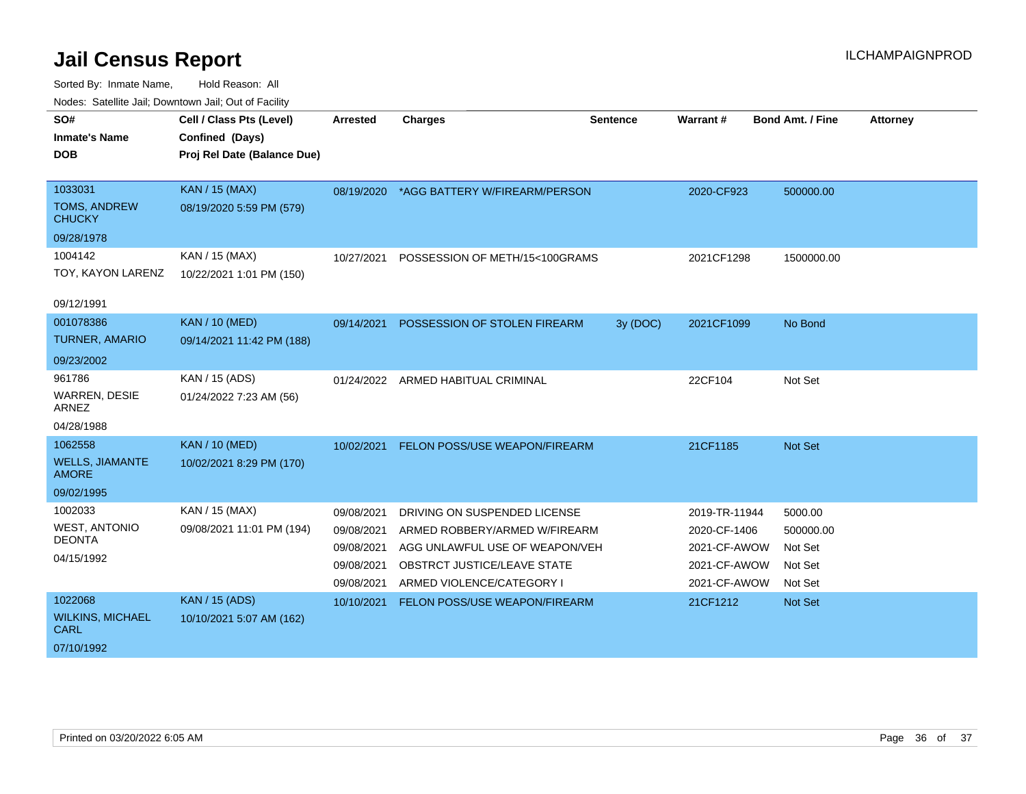| SO#                                    | Cell / Class Pts (Level)    | <b>Arrested</b> | <b>Charges</b>                           | <b>Sentence</b> | <b>Warrant#</b> | <b>Bond Amt. / Fine</b> | <b>Attorney</b> |
|----------------------------------------|-----------------------------|-----------------|------------------------------------------|-----------------|-----------------|-------------------------|-----------------|
| <b>Inmate's Name</b>                   | Confined (Days)             |                 |                                          |                 |                 |                         |                 |
| <b>DOB</b>                             | Proj Rel Date (Balance Due) |                 |                                          |                 |                 |                         |                 |
|                                        |                             |                 |                                          |                 |                 |                         |                 |
| 1033031                                | <b>KAN / 15 (MAX)</b>       |                 | 08/19/2020 *AGG BATTERY W/FIREARM/PERSON |                 | 2020-CF923      | 500000.00               |                 |
| <b>TOMS, ANDREW</b><br><b>CHUCKY</b>   | 08/19/2020 5:59 PM (579)    |                 |                                          |                 |                 |                         |                 |
| 09/28/1978                             |                             |                 |                                          |                 |                 |                         |                 |
| 1004142                                | KAN / 15 (MAX)              | 10/27/2021      | POSSESSION OF METH/15<100GRAMS           |                 | 2021CF1298      | 1500000.00              |                 |
| TOY, KAYON LARENZ                      | 10/22/2021 1:01 PM (150)    |                 |                                          |                 |                 |                         |                 |
|                                        |                             |                 |                                          |                 |                 |                         |                 |
| 09/12/1991                             |                             |                 |                                          |                 |                 |                         |                 |
| 001078386                              | <b>KAN / 10 (MED)</b>       | 09/14/2021      | POSSESSION OF STOLEN FIREARM             | 3y (DOC)        | 2021CF1099      | No Bond                 |                 |
| <b>TURNER, AMARIO</b>                  | 09/14/2021 11:42 PM (188)   |                 |                                          |                 |                 |                         |                 |
| 09/23/2002                             |                             |                 |                                          |                 |                 |                         |                 |
| 961786                                 | KAN / 15 (ADS)              |                 | 01/24/2022 ARMED HABITUAL CRIMINAL       |                 | 22CF104         | Not Set                 |                 |
| <b>WARREN, DESIE</b><br>ARNEZ          | 01/24/2022 7:23 AM (56)     |                 |                                          |                 |                 |                         |                 |
| 04/28/1988                             |                             |                 |                                          |                 |                 |                         |                 |
| 1062558                                | <b>KAN / 10 (MED)</b>       | 10/02/2021      | FELON POSS/USE WEAPON/FIREARM            |                 | 21CF1185        | Not Set                 |                 |
| <b>WELLS, JIAMANTE</b><br><b>AMORE</b> | 10/02/2021 8:29 PM (170)    |                 |                                          |                 |                 |                         |                 |
| 09/02/1995                             |                             |                 |                                          |                 |                 |                         |                 |
| 1002033                                | KAN / 15 (MAX)              | 09/08/2021      | DRIVING ON SUSPENDED LICENSE             |                 | 2019-TR-11944   | 5000.00                 |                 |
| <b>WEST, ANTONIO</b>                   | 09/08/2021 11:01 PM (194)   | 09/08/2021      | ARMED ROBBERY/ARMED W/FIREARM            |                 | 2020-CF-1406    | 500000.00               |                 |
| <b>DEONTA</b>                          |                             | 09/08/2021      | AGG UNLAWFUL USE OF WEAPON/VEH           |                 | 2021-CF-AWOW    | Not Set                 |                 |
| 04/15/1992                             |                             | 09/08/2021      | OBSTRCT JUSTICE/LEAVE STATE              |                 | 2021-CF-AWOW    | Not Set                 |                 |
|                                        |                             | 09/08/2021      | ARMED VIOLENCE/CATEGORY I                |                 | 2021-CF-AWOW    | Not Set                 |                 |
| 1022068                                | <b>KAN / 15 (ADS)</b>       | 10/10/2021      | FELON POSS/USE WEAPON/FIREARM            |                 | 21CF1212        | Not Set                 |                 |
| <b>WILKINS, MICHAEL</b><br><b>CARL</b> | 10/10/2021 5:07 AM (162)    |                 |                                          |                 |                 |                         |                 |
| 07/10/1992                             |                             |                 |                                          |                 |                 |                         |                 |